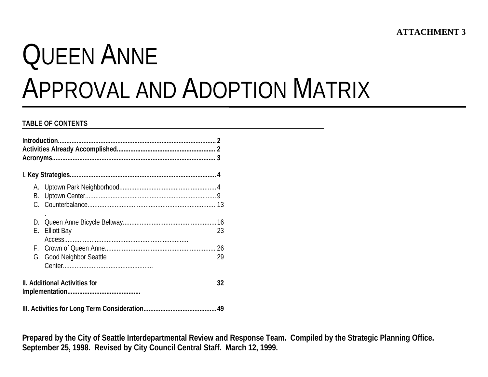# QUEEN ANNEAPPROVAL AND ADOPTION MATRIX

#### **TABLE OF CONTENTS**

| В. |                                      |    |  |  |  |  |  |
|----|--------------------------------------|----|--|--|--|--|--|
|    |                                      |    |  |  |  |  |  |
|    |                                      |    |  |  |  |  |  |
|    |                                      |    |  |  |  |  |  |
| Е. | <b>Elliott Bay</b>                   | 23 |  |  |  |  |  |
|    |                                      |    |  |  |  |  |  |
|    |                                      | 26 |  |  |  |  |  |
|    | G. Good Neighbor Seattle             | 29 |  |  |  |  |  |
|    |                                      |    |  |  |  |  |  |
|    | <b>II. Additional Activities for</b> | 32 |  |  |  |  |  |
|    |                                      | 49 |  |  |  |  |  |

**Prepared by the City of Seattle Interdepartmental Review and Response Team. Compiled by the Strategic Planning Office. September 25, 1998. Revised by City Council Central Staff. March 12, 1999.**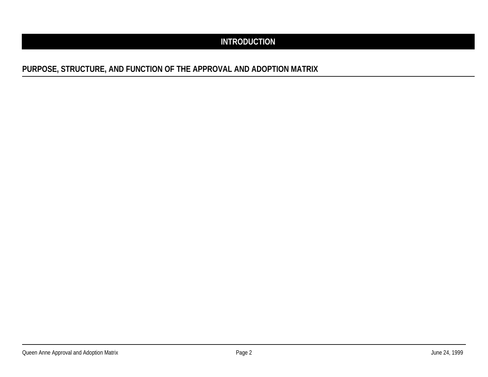# **INTRODUCTION**

# **PURPOSE, STRUCTURE, AND FUNCTION OF THE APPROVAL AND ADOPTION MATRIX**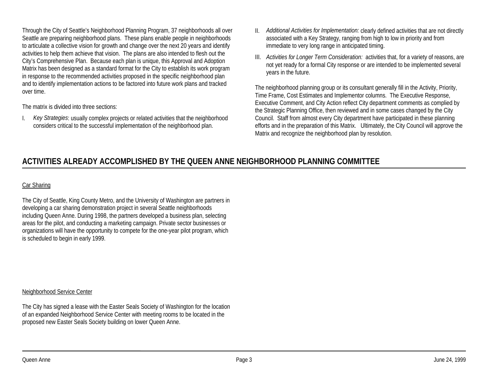Through the City of Seattle's Neighborhood Planning Program, 37 neighborhoods all over Seattle are preparing neighborhood plans. These plans enable people in neighborhoods to articulate a collective vision for growth and change over the next 20 years and identify activities to help them achieve that vision. The plans are also intended to flesh out the City's Comprehensive Plan. Because each plan is unique, this Approval and Adoption Matrix has been designed as a standard format for the City to establish its work program in response to the recommended activities proposed in the specific neighborhood plan and to identify implementation actions to be factored into future work plans and tracked over time.

The matrix is divided into three sections:

I. *Key Strategies*: usually complex projects or related activities that the neighborhood considers critical to the successful implementation of the neighborhood plan.

- II. *Additional Activities for Implementation:* clearly defined activities that are not directly associated with a Key Strategy, ranging from high to low in priority and from immediate to very long range in anticipated timing.
- III. *Activities for Longer Term Consideration:* activities that, for a variety of reasons, are not yet ready for a formal City response or are intended to be implemented several years in the future.

The neighborhood planning group or its consultant generally fill in the Activity, Priority, Time Frame, Cost Estimates and Implementor columns. The Executive Response, Executive Comment, and City Action reflect City department comments as complied by the Strategic Planning Office, then reviewed and in some cases changed by the City Council. Staff from almost every City department have participated in these planning efforts and in the preparation of this Matrix. Ultimately, the City Council will approve the Matrix and recognize the neighborhood plan by resolution.

# **ACTIVITIES ALREADY ACCOMPLISHED BY THE QUEEN ANNE NEIGHBORHOOD PLANNING COMMITTEE**

#### Car Sharing

The City of Seattle, King County Metro, and the University of Washington are partners in developing a car sharing demonstration project in several Seattle neighborhoods including Queen Anne. During 1998, the partners developed a business plan, selecting areas for the pilot, and conducting a marketing campaign. Private sector businesses or organizations will have the opportunity to compete for the one-year pilot program, which is scheduled to begin in early 1999.

#### Neighborhood Service Center

The City has signed a lease with the Easter Seals Society of Washington for the location of an expanded Neighborhood Service Center with meeting rooms to be located in the proposed new Easter Seals Society building on lower Queen Anne.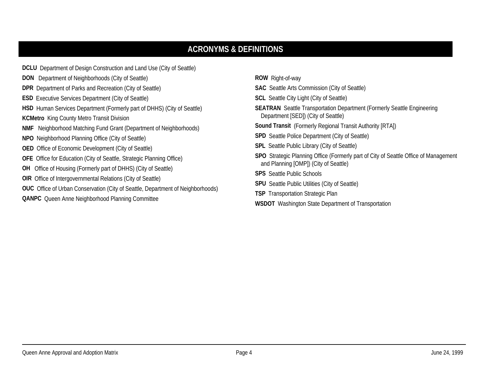# **ACRONYMS & DEFINITIONS**

| <b>DCLU</b> Department of Design Construction and Land Use (City of Seattle)           |
|----------------------------------------------------------------------------------------|
| <b>DON</b> Department of Neighborhoods (City of Seattle)                               |
| <b>DPR</b> Department of Parks and Recreation (City of Seattle)                        |
| <b>ESD</b> Executive Services Department (City of Seattle)                             |
| HSD Human Services Department (Formerly part of DHHS) (City of Seattle)                |
| <b>KCMetro</b> King County Metro Transit Division                                      |
| <b>NMF</b> Neighborhood Matching Fund Grant (Department of Neighborhoods)              |
| NPO Neighborhood Planning Office (City of Seattle)                                     |
| <b>OED</b> Office of Economic Development (City of Seattle)                            |
| <b>OFE</b> Office for Education (City of Seattle, Strategic Planning Office)           |
| <b>OH</b> Office of Housing (Formerly part of DHHS) (City of Seattle)                  |
| <b>OIR</b> Office of Intergovernmental Relations (City of Seattle)                     |
| <b>OUC</b> Office of Urban Conservation (City of Seattle, Department of Neighborhoods) |
| <b>QANPC</b> Queen Anne Neighborhood Planning Committee                                |

**ROW** Right-of-way **SAC** Seattle Arts Commission (City of Seattle) **SCL** Seattle City Light (City of Seattle) **SEATRAN** Seattle Transportation Department (Formerly Seattle Engineering Department [SED]) (City of Seattle) **Sound Transit** (Formerly Regional Transit Authority [RTA]) **SPD** Seattle Police Department (City of Seattle) **SPL** Seattle Public Library (City of Seattle) **SPO** Strategic Planning Office (Formerly part of City of Seattle Office of Management and Planning [OMP]) (City of Seattle) **SPS** Seattle Public Schools **SPU** Seattle Public Utilities (City of Seattle) **TSP** Transportation Strategic Plan

**WSDOT** Washington State Department of Transportation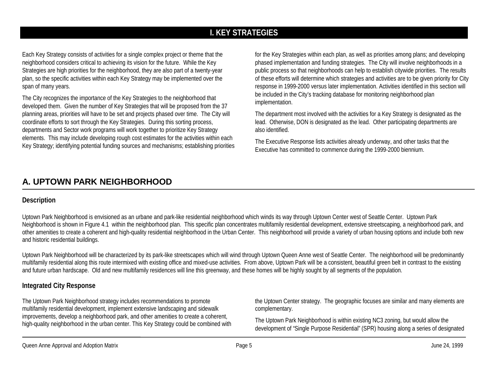# **I. KEY STRATEGIES**

Each Key Strategy consists of activities for a single complex project or theme that the neighborhood considers critical to achieving its vision for the future. While the Key Strategies are high priorities for the neighborhood, they are also part of a twenty-year plan, so the specific activities within each Key Strategy may be implemented over the span of many years.

The City recognizes the importance of the Key Strategies to the neighborhood that developed them. Given the number of Key Strategies that will be proposed from the 37 planning areas, priorities will have to be set and projects phased over time. The City will coordinate efforts to sort through the Key Strategies. During this sorting process, departments and Sector work programs will work together to prioritize Key Strategy elements. This may include developing rough cost estimates for the activities within each Key Strategy; identifying potential funding sources and mechanisms; establishing priorities

for the Key Strategies within each plan, as well as priorities among plans; and developing phased implementation and funding strategies. The City will involve neighborhoods in a public process so that neighborhoods can help to establish citywide priorities. The results of these efforts will determine which strategies and activities are to be given priority for City response in 1999-2000 versus later implementation. Activities identified in this section will be included in the City's tracking database for monitoring neighborhood plan implementation.

The department most involved with the activities for a Key Strategy is designated as the lead. Otherwise, DON is designated as the lead. Other participating departments are also identified.

The Executive Response lists activities already underway, and other tasks that the Executive has committed to commence during the 1999-2000 biennium.

# **A. UPTOWN PARK NEIGHBORHOOD**

#### **Description**

Uptown Park Neighborhood is envisioned as an urbane and park-like residential neighborhood which winds its way through Uptown Center west of Seattle Center. Uptown Park Neighborhood is shown in Figure 4.1 within the neighborhood plan. This specific plan concentrates multifamily residential development, extensive streetscaping, a neighborhood park, and other amenities to create a coherent and high-quality residential neighborhood in the Urban Center. This neighborhood will provide a variety of urban housing options and include both new and historic residential buildings.

Uptown Park Neighborhood will be characterized by its park-like streetscapes which will wind through Uptown Queen Anne west of Seattle Center. The neighborhood will be predominantly multifamily residential along this route intermixed with existing office and mixed-use activities. From above, Uptown Park will be a consistent, beautiful green belt in contrast to the existing and future urban hardscape. Old and new multifamily residences will line this greenway, and these homes will be highly sought by all segments of the population.

## **Integrated City Response**

The Uptown Park Neighborhood strategy includes recommendations to promote multifamily residential development, implement extensive landscaping and sidewalk improvements, develop a neighborhood park, and other amenities to create a coherent, high-quality neighborhood in the urban center. This Key Strategy could be combined with the Uptown Center strategy. The geographic focuses are similar and many elements are complementary.

The Uptown Park Neighborhood is within existing NC3 zoning, but would allow the development of "Single Purpose Residential" (SPR) housing along a series of designated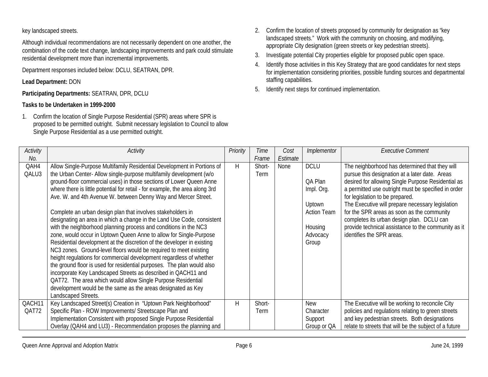key landscaped streets.

Although individual recommendations are not necessarily dependent on one another, the combination of the code text change, landscaping improvements and park could stimulate residential development more than incremental improvements.

Department responses included below: DCLU, SEATRAN, DPR.

## **Lead Department:** DON

**Participating Departments:** SEATRAN, DPR, DCLU

## **Tasks to be Undertaken in 1999-2000**

1. Confirm the location of Single Purpose Residential (SPR) areas where SPR is proposed to be permitted outright. Submit necessary legislation to Council to allow Single Purpose Residential as a use permitted outright.

- 2. Confirm the location of streets proposed by community for designation as "key landscaped streets." Work with the community on choosing, and modifying, appropriate City designation (green streets or key pedestrian streets).
- 3. Investigate potential City properties eligible for proposed public open space.
- 4. Identify those activities in this Key Strategy that are good candidates for next steps for implementation considering priorities, possible funding sources and departmental staffing capabilities.
- 5. Identify next steps for continued implementation.

| Activity | Activity                                                                     | Priority | Time        | Cost     | Implementor        | <b>Executive Comment</b>                               |
|----------|------------------------------------------------------------------------------|----------|-------------|----------|--------------------|--------------------------------------------------------|
| No.      |                                                                              |          | Frame       | Estimate |                    |                                                        |
| QAH4     | Allow Single-Purpose Multifamily Residential Development in Portions of      | H        | Short-      | None     | <b>DCLU</b>        | The neighborhood has determined that they will         |
| QALU3    | the Urban Center-Allow single-purpose multifamily development (w/o           |          | <b>Term</b> |          |                    | pursue this designation at a later date. Areas         |
|          | ground-floor commercial uses) in those sections of Lower Queen Anne          |          |             |          | QA Plan            | desired for allowing Single Purpose Residential as     |
|          | where there is little potential for retail - for example, the area along 3rd |          |             |          | Impl. Org.         | a permitted use outright must be specified in order    |
|          | Ave. W. and 4th Avenue W. between Denny Way and Mercer Street.               |          |             |          |                    | for legislation to be prepared.                        |
|          |                                                                              |          |             |          | Uptown             | The Executive will prepare necessary legislation       |
|          | Complete an urban design plan that involves stakeholders in                  |          |             |          | <b>Action Team</b> | for the SPR areas as soon as the community             |
|          | designating an area in which a change in the Land Use Code, consistent       |          |             |          |                    | completes its urban design plan. DCLU can              |
|          | with the neighborhood planning process and conditions in the NC3             |          |             |          | Housing            | provide technical assistance to the community as it    |
|          | zone, would occur in Uptown Queen Anne to allow for Single-Purpose           |          |             |          | Advocacy           | identifies the SPR areas.                              |
|          | Residential development at the discretion of the developer in existing       |          |             |          | Group              |                                                        |
|          | NC3 zones. Ground-level floors would be required to meet existing            |          |             |          |                    |                                                        |
|          | height regulations for commercial development regardless of whether          |          |             |          |                    |                                                        |
|          | the ground floor is used for residential purposes. The plan would also       |          |             |          |                    |                                                        |
|          | incorporate Key Landscaped Streets as described in QACH11 and                |          |             |          |                    |                                                        |
|          | QAT72. The area which would allow Single Purpose Residential                 |          |             |          |                    |                                                        |
|          | development would be the same as the areas designated as Key                 |          |             |          |                    |                                                        |
|          | Landscaped Streets.                                                          |          |             |          |                    |                                                        |
| QACH11   | Key Landscaped Street(s) Creation in "Uptown Park Neighborhood"              | H        | Short-      |          | <b>New</b>         | The Executive will be working to reconcile City        |
| QAT72    | Specific Plan - ROW Improvements/ Streetscape Plan and                       |          | <b>Term</b> |          | Character          | policies and regulations relating to green streets     |
|          | Implementation Consistent with proposed Single Purpose Residential           |          |             |          | Support            | and key pedestrian streets. Both designations          |
|          | Overlay (QAH4 and LU3) - Recommendation proposes the planning and            |          |             |          | Group or QA        | relate to streets that will be the subject of a future |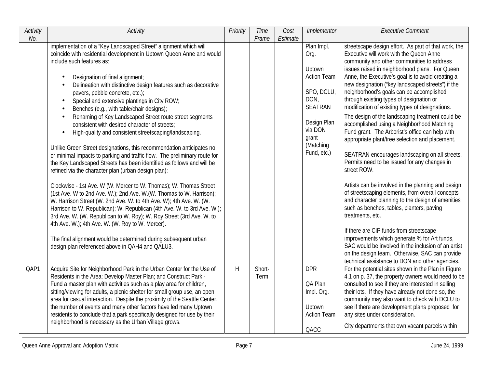| Activity<br>No. | <b>Activity</b>                                                                                                                                                                                                                                                                                                                                                                                                                                                                                                                                                                                                                                                                                                                                                                                                                                                                                                                                                                                                                                                                                                                                                                                                                                                                                                                                                                                                                                                                          | Priority | <b>Time</b><br>Frame | Cost<br>Estimate | Implementor                                                                                                                                               | <b>Executive Comment</b>                                                                                                                                                                                                                                                                                                                                                                                                                                                                                                                                                                                                                                                                                                                                                                                                                                                                                                                                                                                                                                                                                                                                                                                                                                             |
|-----------------|------------------------------------------------------------------------------------------------------------------------------------------------------------------------------------------------------------------------------------------------------------------------------------------------------------------------------------------------------------------------------------------------------------------------------------------------------------------------------------------------------------------------------------------------------------------------------------------------------------------------------------------------------------------------------------------------------------------------------------------------------------------------------------------------------------------------------------------------------------------------------------------------------------------------------------------------------------------------------------------------------------------------------------------------------------------------------------------------------------------------------------------------------------------------------------------------------------------------------------------------------------------------------------------------------------------------------------------------------------------------------------------------------------------------------------------------------------------------------------------|----------|----------------------|------------------|-----------------------------------------------------------------------------------------------------------------------------------------------------------|----------------------------------------------------------------------------------------------------------------------------------------------------------------------------------------------------------------------------------------------------------------------------------------------------------------------------------------------------------------------------------------------------------------------------------------------------------------------------------------------------------------------------------------------------------------------------------------------------------------------------------------------------------------------------------------------------------------------------------------------------------------------------------------------------------------------------------------------------------------------------------------------------------------------------------------------------------------------------------------------------------------------------------------------------------------------------------------------------------------------------------------------------------------------------------------------------------------------------------------------------------------------|
|                 | implementation of a "Key Landscaped Street" alignment which will<br>coincide with residential development in Uptown Queen Anne and would<br>include such features as:<br>Designation of final alignment;<br>$\bullet$<br>Delineation with distinctive design features such as decorative<br>$\bullet$<br>pavers, pebble concrete, etc.);<br>Special and extensive plantings in City ROW;<br>$\bullet$<br>Benches (e.g., with table/chair designs);<br>Renaming of Key Landscaped Street route street segments<br>$\bullet$<br>consistent with desired character of streets;<br>High-quality and consistent streetscaping/landscaping.<br>$\bullet$<br>Unlike Green Street designations, this recommendation anticipates no,<br>or minimal impacts to parking and traffic flow. The preliminary route for<br>the Key Landscaped Streets has been identified as follows and will be<br>refined via the character plan (urban design plan):<br>Clockwise - 1st Ave. W (W. Mercer to W. Thomas); W. Thomas Street<br>(1st Ave. W to 2nd Ave. W.); 2nd Ave. W. (W. Thomas to W. Harrison);<br>W. Harrison Street (W. 2nd Ave. W. to 4th Ave. W); 4th Ave. W. (W.<br>Harrison to W. Republican); W. Republican (4th Ave. W. to 3rd Ave. W.);<br>3rd Ave. W. (W. Republican to W. Roy); W. Roy Street (3rd Ave. W. to<br>4th Ave. W.); 4th Ave. W. (W. Roy to W. Mercer).<br>The final alignment would be determined during subsequent urban<br>design plan referenced above in QAH4 and QALU3. |          |                      |                  | Plan Impl.<br>Org.<br>Uptown<br><b>Action Team</b><br>SPO, DCLU,<br>DON,<br><b>SEATRAN</b><br>Design Plan<br>via DON<br>grant<br>(Matching<br>Fund, etc.) | streetscape design effort. As part of that work, the<br>Executive will work with the Queen Anne<br>community and other communities to address<br>issues raised in neighborhood plans. For Queen<br>Anne, the Executive's goal is to avoid creating a<br>new designation ("key landscaped streets") if the<br>neighborhood's goals can be accomplished<br>through existing types of designation or<br>modification of existing types of designations.<br>The design of the landscaping treatment could be<br>accomplished using a Neighborhood Matching<br>Fund grant. The Arborist's office can help with<br>appropriate plant/tree selection and placement.<br>SEATRAN encourages landscaping on all streets.<br>Permits need to be issued for any changes in<br>street ROW.<br>Artists can be involved in the planning and design<br>of streetscaping elements, from overall concepts<br>and character planning to the design of amenities<br>such as benches, tables, planters, paving<br>treatments, etc.<br>If there are CIP funds from streetscape<br>improvements which generate % for Art funds,<br>SAC would be involved in the inclusion of an artist<br>on the design team. Otherwise, SAC can provide<br>technical assistance to DON and other agencies. |
| QAP1            | Acquire Site for Neighborhood Park in the Urban Center for the Use of<br>Residents in the Area; Develop Master Plan; and Construct Park -<br>Fund a master plan with activities such as a play area for children,<br>sitting/viewing for adults, a picnic shelter for small group use, an open<br>area for casual interaction. Despite the proximity of the Seattle Center,<br>the number of events and many other factors have led many Uptown<br>residents to conclude that a park specifically designed for use by their<br>neighborhood is necessary as the Urban Village grows.                                                                                                                                                                                                                                                                                                                                                                                                                                                                                                                                                                                                                                                                                                                                                                                                                                                                                                     | H        | Short-<br>Term       |                  | <b>DPR</b><br>QA Plan<br>Impl. Org.<br>Uptown<br><b>Action Team</b><br>QACC                                                                               | For the potential sites shown in the Plan in Figure<br>4.1 on p. 37, the property owners would need to be<br>consulted to see if they are interested in selling<br>their lots. If they have already not done so, the<br>community may also want to check with DCLU to<br>see if there are development plans proposed for<br>any sites under consideration.<br>City departments that own vacant parcels within                                                                                                                                                                                                                                                                                                                                                                                                                                                                                                                                                                                                                                                                                                                                                                                                                                                        |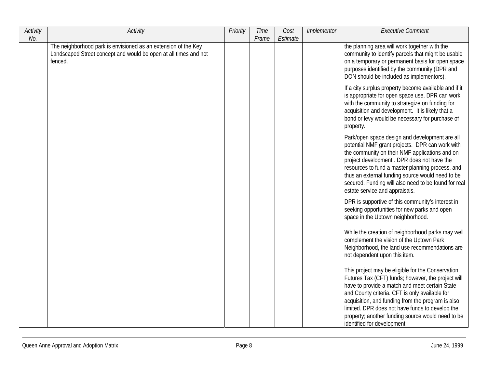| Activity | Activity                                                                                                                                      | Priority | Time  | Cost     | Implementor | <b>Executive Comment</b>                                                                                                                                                                                                                                                                                                                                                                                |
|----------|-----------------------------------------------------------------------------------------------------------------------------------------------|----------|-------|----------|-------------|---------------------------------------------------------------------------------------------------------------------------------------------------------------------------------------------------------------------------------------------------------------------------------------------------------------------------------------------------------------------------------------------------------|
| No.      |                                                                                                                                               |          | Frame | Estimate |             |                                                                                                                                                                                                                                                                                                                                                                                                         |
|          | The neighborhood park is envisioned as an extension of the Key<br>Landscaped Street concept and would be open at all times and not<br>fenced. |          |       |          |             | the planning area will work together with the<br>community to identify parcels that might be usable<br>on a temporary or permanent basis for open space<br>purposes identified by the community (DPR and<br>DON should be included as implementors).                                                                                                                                                    |
|          |                                                                                                                                               |          |       |          |             | If a city surplus property become available and if it<br>is appropriate for open space use, DPR can work<br>with the community to strategize on funding for<br>acquisition and development. It is likely that a<br>bond or levy would be necessary for purchase of<br>property.                                                                                                                         |
|          |                                                                                                                                               |          |       |          |             | Park/open space design and development are all<br>potential NMF grant projects. DPR can work with<br>the community on their NMF applications and on<br>project development. DPR does not have the<br>resources to fund a master planning process, and<br>thus an external funding source would need to be<br>secured. Funding will also need to be found for real<br>estate service and appraisals.     |
|          |                                                                                                                                               |          |       |          |             | DPR is supportive of this community's interest in<br>seeking opportunities for new parks and open<br>space in the Uptown neighborhood.                                                                                                                                                                                                                                                                  |
|          |                                                                                                                                               |          |       |          |             | While the creation of neighborhood parks may well<br>complement the vision of the Uptown Park<br>Neighborhood, the land use recommendations are<br>not dependent upon this item.                                                                                                                                                                                                                        |
|          |                                                                                                                                               |          |       |          |             | This project may be eligible for the Conservation<br>Futures Tax (CFT) funds; however, the project will<br>have to provide a match and meet certain State<br>and County criteria. CFT is only available for<br>acquisition, and funding from the program is also<br>limited. DPR does not have funds to develop the<br>property; another funding source would need to be<br>identified for development. |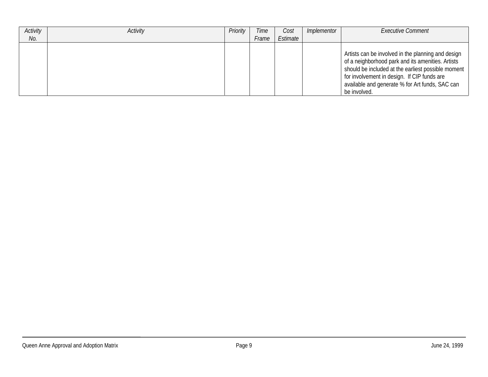| Activity | Activity | Priority | Time  | Cost     | Implementor | <b>Executive Comment</b>                                                                                                                                                                                                                                                        |
|----------|----------|----------|-------|----------|-------------|---------------------------------------------------------------------------------------------------------------------------------------------------------------------------------------------------------------------------------------------------------------------------------|
| No.      |          |          | Frame | Estimate |             |                                                                                                                                                                                                                                                                                 |
|          |          |          |       |          |             | Artists can be involved in the planning and design<br>of a neighborhood park and its amenities. Artists<br>should be included at the earliest possible moment<br>for involvement in design. If CIP funds are<br>available and generate % for Art funds, SAC can<br>be involved. |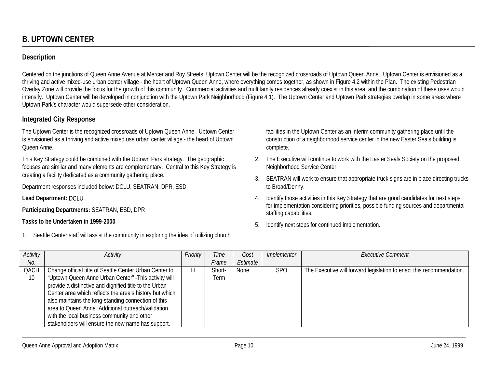# **Description**

Centered on the junctions of Queen Anne Avenue at Mercer and Roy Streets, Uptown Center will be the recognized crossroads of Uptown Queen Anne. Uptown Center is envisioned as a thriving and active mixed-use urban center village - the heart of Uptown Queen Anne, where everything comes together, as shown in Figure 4.2 within the Plan. The existing Pedestrian Overlay Zone will provide the focus for the growth of this community. Commercial activities and multifamily residences already coexist in this area, and the combination of these uses would intensify. Uptown Center will be developed in conjunction with the Uptown Park Neighborhood (Figure 4.1). The Uptown Center and Uptown Park strategies overlap in some areas where Uptown Park's character would supersede other consideration.

# **Integrated City Response**

The Uptown Center is the recognized crossroads of Uptown Queen Anne. Uptown Center is envisioned as a thriving and active mixed use urban center village - the heart of Uptown Queen Anne.

This Key Strategy could be combined with the Uptown Park strategy. The geographic focuses are similar and many elements are complementary. Central to this Key Strategy is creating a facility dedicated as a community gathering place.

Department responses included below: DCLU, SEATRAN, DPR, ESD

**Lead Department:** DCLU

**Participating Departments:** SEATRAN, ESD, DPR

#### **Tasks to be Undertaken in 1999-2000**

1. Seattle Center staff will assist the community in exploring the idea of utilizing church

facilities in the Uptown Center as an interim community gathering place until the construction of a neighborhood service center in the new Easter Seals building is complete.

- 2. The Executive will continue to work with the Easter Seals Society on the proposed Neighborhood Service Center.
- 3. SEATRAN will work to ensure that appropriate truck signs are in place directing trucks to Broad/Denny.
- 4. Identify those activities in this Key Strategy that are good candidates for next steps for implementation considering priorities, possible funding sources and departmental staffing capabilities.
- 5. Identify next steps for continued implementation.

| Activity | Activity                                                | Priority | Time   | Cost     | Implementor | <b>Executive Comment</b>                                             |
|----------|---------------------------------------------------------|----------|--------|----------|-------------|----------------------------------------------------------------------|
| No.      |                                                         |          | Frame  | Estimate |             |                                                                      |
| QACH     | Change official title of Seattle Center Urban Center to | Н        | Short- | None     | <b>SPO</b>  | The Executive will forward legislation to enact this recommendation. |
| 10       | "Uptown Queen Anne Urban Center" - This activity will   |          | Term   |          |             |                                                                      |
|          | provide a distinctive and dignified title to the Urban  |          |        |          |             |                                                                      |
|          | Center area which reflects the area's history but which |          |        |          |             |                                                                      |
|          | also maintains the long-standing connection of this     |          |        |          |             |                                                                      |
|          | area to Queen Anne. Additional outreach/validation      |          |        |          |             |                                                                      |
|          | with the local business community and other             |          |        |          |             |                                                                      |
|          | stakeholders will ensure the new name has support.      |          |        |          |             |                                                                      |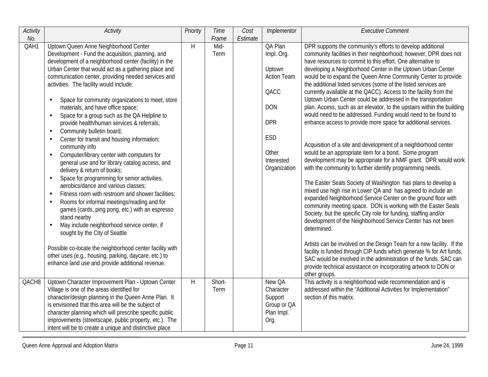| Activity | Activity                                                                                                                                                                                                                                                                                                                                                                                                                                                                                                                                                                                                                                                                                                                                                                                                                                                                                                                                                                                                                                                                                                                                                                                                                                                                                                                                                                        | Priority | Time           | Cost     | Implementor                                                                                                                             | <b>Executive Comment</b>                                                                                                                                                                                                                                                                                                                                                                                                                                                                                                                                                                                                                                                                                                                                                                                                                                                                                                                                                                                                                                                                                                                                                                                                                                                                                                                                                                                                                                                                                                                                                                                                                                                                                                   |
|----------|---------------------------------------------------------------------------------------------------------------------------------------------------------------------------------------------------------------------------------------------------------------------------------------------------------------------------------------------------------------------------------------------------------------------------------------------------------------------------------------------------------------------------------------------------------------------------------------------------------------------------------------------------------------------------------------------------------------------------------------------------------------------------------------------------------------------------------------------------------------------------------------------------------------------------------------------------------------------------------------------------------------------------------------------------------------------------------------------------------------------------------------------------------------------------------------------------------------------------------------------------------------------------------------------------------------------------------------------------------------------------------|----------|----------------|----------|-----------------------------------------------------------------------------------------------------------------------------------------|----------------------------------------------------------------------------------------------------------------------------------------------------------------------------------------------------------------------------------------------------------------------------------------------------------------------------------------------------------------------------------------------------------------------------------------------------------------------------------------------------------------------------------------------------------------------------------------------------------------------------------------------------------------------------------------------------------------------------------------------------------------------------------------------------------------------------------------------------------------------------------------------------------------------------------------------------------------------------------------------------------------------------------------------------------------------------------------------------------------------------------------------------------------------------------------------------------------------------------------------------------------------------------------------------------------------------------------------------------------------------------------------------------------------------------------------------------------------------------------------------------------------------------------------------------------------------------------------------------------------------------------------------------------------------------------------------------------------------|
| No.      |                                                                                                                                                                                                                                                                                                                                                                                                                                                                                                                                                                                                                                                                                                                                                                                                                                                                                                                                                                                                                                                                                                                                                                                                                                                                                                                                                                                 |          | Frame          | Estimate |                                                                                                                                         |                                                                                                                                                                                                                                                                                                                                                                                                                                                                                                                                                                                                                                                                                                                                                                                                                                                                                                                                                                                                                                                                                                                                                                                                                                                                                                                                                                                                                                                                                                                                                                                                                                                                                                                            |
| QAH1     | Uptown Queen Anne Neighborhood Center<br>Development - Fund the acquisition, planning, and<br>development of a neighborhood center (facility) in the<br>Urban Center that would act as a gathering place and<br>communication center, providing needed services and<br>activities. The facility would include:<br>Space for community organizations to meet, store<br>$\bullet$<br>materials, and have office space;<br>Space for a group such as the QA Helpline to<br>$\bullet$<br>provide health/human services & referrals;<br>Community bulletin board;<br>$\bullet$<br>Center for transit and housing information;<br>$\bullet$<br>community info<br>Computer/library center with computers for<br>$\bullet$<br>general use and for library catalog access, and<br>delivery & return of books;<br>Space for programming for senior activities,<br>$\bullet$<br>aerobics/dance and various classes;<br>Fitness room with restroom and shower facilities;<br>$\bullet$<br>Rooms for informal meetings/reading and for<br>$\bullet$<br>games (cards, ping pong, etc.) with an espresso<br>stand nearby<br>May include neighborhood service center, if<br>$\bullet$<br>sought by the City of Seattle<br>Possible co-locate the neighborhood center facility with<br>other uses (e.g., housing, parking, daycare, etc.) to<br>enhance land use and provide additional revenue. | H        | Mid-<br>Term   |          | QA Plan<br>Impl. Org.<br>Uptown<br><b>Action Team</b><br>QACC<br><b>DON</b><br><b>DPR</b><br>ESD<br>Other<br>Interested<br>Organization | DPR supports the community's efforts to develop additional<br>community facilities in their neighborhood; however, DPR does not<br>have resources to commit to this effort. One alternative to<br>developing a Neighborhood Center in the Uptown Urban Center<br>would be to expand the Queen Anne Community Center to provide<br>the additional listed services (some of the listed services are<br>currently available at the QACC). Access to the facility from the<br>Uptown Urban Center could be addressed in the transportation<br>plan. Access, such as an elevator, to the upstairs within the building<br>would need to be addressed. Funding would need to be found to<br>enhance access to provide more space for additional services.<br>Acquisition of a site and development of a neighborhood center<br>would be an appropriate item for a bond. Some program<br>development may be appropriate for a NMF grant. DPR would work<br>with the community to further identify programming needs.<br>The Easter Seals Society of Washington has plans to develop a<br>mixed use high rise in Lower QA and has agreed to include an<br>expanded Neighborhood Service Center on the ground floor with<br>community meeting space. DON is working with the Easter Seals<br>Society, but the specific City role for funding, staffing and/or<br>development of the Neighborhood Service Center has not been<br>determined.<br>Artists can be involved on the Design Team for a new facility. If the<br>facility is funded through CIP funds which generate % for Art funds,<br>SAC would be involved in the administration of the funds. SAC can<br>provide technical assistance on incorporating artwork to DON or |
|          |                                                                                                                                                                                                                                                                                                                                                                                                                                                                                                                                                                                                                                                                                                                                                                                                                                                                                                                                                                                                                                                                                                                                                                                                                                                                                                                                                                                 |          |                |          |                                                                                                                                         | other groups.                                                                                                                                                                                                                                                                                                                                                                                                                                                                                                                                                                                                                                                                                                                                                                                                                                                                                                                                                                                                                                                                                                                                                                                                                                                                                                                                                                                                                                                                                                                                                                                                                                                                                                              |
| QACH8    | Uptown Character Improvement Plan - Uptown Center<br>Village is one of the areas identified for<br>character/design planning in the Queen Anne Plan. It<br>is envisioned that this area will be the subject of<br>character planning which will prescribe specific public<br>improvements (streetscape, public property, etc.). The<br>intent will be to create a unique and distinctive place                                                                                                                                                                                                                                                                                                                                                                                                                                                                                                                                                                                                                                                                                                                                                                                                                                                                                                                                                                                  | H        | Short-<br>Term |          | New QA<br>Character<br>Support<br>Group or QA<br>Plan Impl.<br>Org.                                                                     | This activity is a neighborhood wide recommendation and is<br>addressed within the "Additional Activities for Implementation"<br>section of this matrix.                                                                                                                                                                                                                                                                                                                                                                                                                                                                                                                                                                                                                                                                                                                                                                                                                                                                                                                                                                                                                                                                                                                                                                                                                                                                                                                                                                                                                                                                                                                                                                   |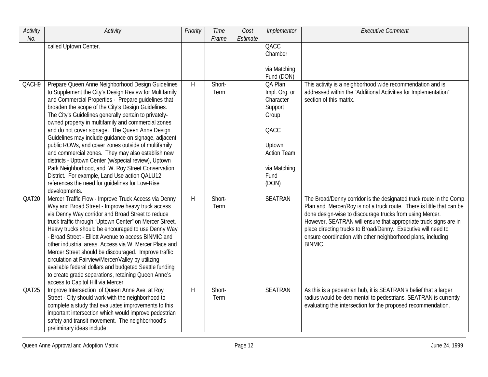| Activity | Activity                                                                                                                                                                                                                                                                                                                                                                                                                                                                                                                                                                                                                                                                                                                                                                                         | Priority | Time           | Cost     | Implementor                                                                                                                        | <b>Executive Comment</b>                                                                                                                                                                                                                                                                                                                                                                                                |
|----------|--------------------------------------------------------------------------------------------------------------------------------------------------------------------------------------------------------------------------------------------------------------------------------------------------------------------------------------------------------------------------------------------------------------------------------------------------------------------------------------------------------------------------------------------------------------------------------------------------------------------------------------------------------------------------------------------------------------------------------------------------------------------------------------------------|----------|----------------|----------|------------------------------------------------------------------------------------------------------------------------------------|-------------------------------------------------------------------------------------------------------------------------------------------------------------------------------------------------------------------------------------------------------------------------------------------------------------------------------------------------------------------------------------------------------------------------|
| No.      | called Uptown Center.                                                                                                                                                                                                                                                                                                                                                                                                                                                                                                                                                                                                                                                                                                                                                                            |          | Frame          | Estimate | QACC<br>Chamber<br>via Matching<br>Fund (DON)                                                                                      |                                                                                                                                                                                                                                                                                                                                                                                                                         |
| QACH9    | Prepare Queen Anne Neighborhood Design Guidelines<br>to Supplement the City's Design Review for Multifamily<br>and Commercial Properties - Prepare guidelines that<br>broaden the scope of the City's Design Guidelines.<br>The City's Guidelines generally pertain to privately-<br>owned property in multifamily and commercial zones<br>and do not cover signage. The Queen Anne Design<br>Guidelines may include guidance on signage, adjacent<br>public ROWs, and cover zones outside of multifamily<br>and commercial zones. They may also establish new<br>districts - Uptown Center (w/special review), Uptown<br>Park Neighborhood, and W. Roy Street Conservation<br>District. For example, Land Use action QALU12<br>references the need for guidelines for Low-Rise<br>developments. | H        | Short-<br>Term |          | QA Plan<br>Impl. Org. or<br>Character<br>Support<br>Group<br>QACC<br>Uptown<br><b>Action Team</b><br>via Matching<br>Fund<br>(DON) | This activity is a neighborhood wide recommendation and is<br>addressed within the "Additional Activities for Implementation"<br>section of this matrix.                                                                                                                                                                                                                                                                |
| QAT20    | Mercer Traffic Flow - Improve Truck Access via Denny<br>Way and Broad Street - Improve heavy truck access<br>via Denny Way corridor and Broad Street to reduce<br>truck traffic through "Uptown Center" on Mercer Street.<br>Heavy trucks should be encouraged to use Denny Way<br>- Broad Street - Elliott Avenue to access BINMIC and<br>other industrial areas. Access via W. Mercer Place and<br>Mercer Street should be discouraged. Improve traffic<br>circulation at Fairview/Mercer/Valley by utilizing<br>available federal dollars and budgeted Seattle funding<br>to create grade separations, retaining Queen Anne's<br>access to Capitol Hill via Mercer                                                                                                                            | H        | Short-<br>Term |          | <b>SEATRAN</b>                                                                                                                     | The Broad/Denny corridor is the designated truck route in the Comp<br>Plan and Mercer/Roy is not a truck route. There is little that can be<br>done design-wise to discourage trucks from using Mercer.<br>However, SEATRAN will ensure that appropriate truck signs are in<br>place directing trucks to Broad/Denny. Executive will need to<br>ensure coordination with other neighborhood plans, including<br>BINMIC. |
| QAT25    | Improve Intersection of Queen Anne Ave. at Roy<br>Street - City should work with the neighborhood to<br>complete a study that evaluates improvements to this<br>important intersection which would improve pedestrian<br>safety and transit movement. The neighborhood's<br>preliminary ideas include:                                                                                                                                                                                                                                                                                                                                                                                                                                                                                           | H        | Short-<br>Term |          | <b>SEATRAN</b>                                                                                                                     | As this is a pedestrian hub, it is SEATRAN's belief that a larger<br>radius would be detrimental to pedestrians. SEATRAN is currently<br>evaluating this intersection for the proposed recommendation.                                                                                                                                                                                                                  |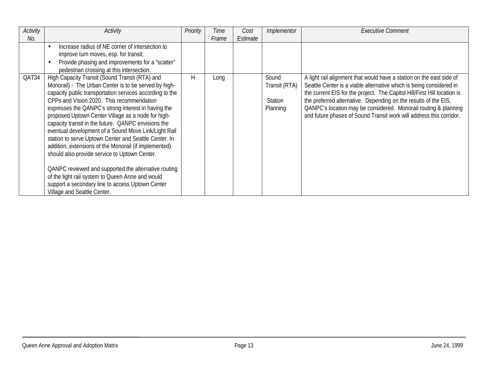| Activity | Activity                                                 | Priority | Time  | Cost     | Implementor    | <b>Executive Comment</b>                                                 |
|----------|----------------------------------------------------------|----------|-------|----------|----------------|--------------------------------------------------------------------------|
| No.      |                                                          |          | Frame | Estimate |                |                                                                          |
|          | Increase radius of NE corner of intersection to          |          |       |          |                |                                                                          |
|          | improve turn moves, esp. for transit;                    |          |       |          |                |                                                                          |
|          | Provide phasing and improvements for a "scatter"         |          |       |          |                |                                                                          |
|          | pedestrian crossing at this intersection.                |          |       |          |                |                                                                          |
| QAT34    | High Capacity Transit (Sound Transit (RTA) and           | Н        | Long  |          | Sound          | A light rail alignment that would have a station on the east side of     |
|          | Monorail) - The Urban Center is to be served by high-    |          |       |          | Transit (RTA)  | Seattle Center is a viable alternative which is being considered in      |
|          | capacity public transportation services according to the |          |       |          |                | the current EIS for the project. The Capitol Hill/First Hill location is |
|          | CPPs and Vision 2020. This recommendation                |          |       |          | <b>Station</b> | the preferred alternative. Depending on the results of the EIS,          |
|          | expresses the QANPC's strong interest in having the      |          |       |          | Planning       | QANPC's location may be considered. Monorail routing & planning          |
|          | proposed Uptown Center Village as a node for high-       |          |       |          |                | and future phases of Sound Transit work will address this corridor.      |
|          | capacity transit in the future. QANPC envisions the      |          |       |          |                |                                                                          |
|          | eventual development of a Sound Move Link/Light Rail     |          |       |          |                |                                                                          |
|          | station to serve Uptown Center and Seattle Center. In    |          |       |          |                |                                                                          |
|          | addition, extensions of the Monorail (if implemented)    |          |       |          |                |                                                                          |
|          | should also provide service to Uptown Center.            |          |       |          |                |                                                                          |
|          |                                                          |          |       |          |                |                                                                          |
|          | QANPC reviewed and supported the alternative routing     |          |       |          |                |                                                                          |
|          | of the light rail system to Queen Anne and would         |          |       |          |                |                                                                          |
|          | support a secondary line to access Uptown Center         |          |       |          |                |                                                                          |
|          | Village and Seattle Center.                              |          |       |          |                |                                                                          |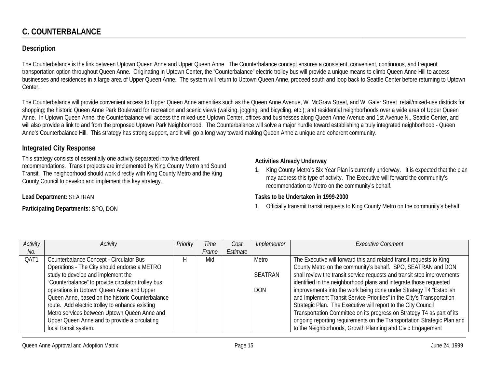# **C. COUNTERBALANCE**

## **Description**

The Counterbalance is the link between Uptown Queen Anne and Upper Queen Anne. The Counterbalance concept ensures a consistent, convenient, continuous, and frequent transportation option throughout Queen Anne. Originating in Uptown Center, the "Counterbalance" electric trolley bus will provide a unique means to climb Queen Anne Hill to access businesses and residences in a large area of Upper Queen Anne. The system will return to Uptown Queen Anne, proceed south and loop back to Seattle Center before returning to Uptown Center.

The Counterbalance will provide convenient access to Upper Queen Anne amenities such as the Queen Anne Avenue, W. McGraw Street, and W. Galer Street retail/mixed-use districts for shopping; the historic Queen Anne Park Boulevard for recreation and scenic views (walking, jogging, and bicycling, etc.); and residential neighborhoods over a wide area of Upper Queen Anne. In Uptown Queen Anne, the Counterbalance will access the mixed-use Uptown Center, offices and businesses along Queen Anne Avenue and 1st Avenue N., Seattle Center, and will also provide a link to and from the proposed Uptown Park Neighborhood. The Counterbalance will solve a major hurdle toward establishing a truly integrated neighborhood - Queen Anne's Counterbalance Hill. This strategy has strong support, and it will go a long way toward making Queen Anne a unique and coherent community.

#### **Integrated City Response**

This strategy consists of essentially one activity separated into five different recommendations. Transit projects are implemented by King County Metro and Sound Transit. The neighborhood should work directly with King County Metro and the King County Council to develop and implement this key strategy.

#### **Lead Department:** SEATRAN

**Participating Departments:** SPO, DON

#### **Activities Already Underway**

1. King County Metro's Six Year Plan is currently underway. It is expected that the plan may address this type of activity. The Executive will forward the community's recommendation to Metro on the community's behalf.

#### **Tasks to be Undertaken in 1999-2000**

1. Officially transmit transit requests to King County Metro on the community's behalf.

| Activity | <b>Activity</b>                                    | Priority | Time  | Cost     | Implementor | Executive Comment                                                       |
|----------|----------------------------------------------------|----------|-------|----------|-------------|-------------------------------------------------------------------------|
| No.      |                                                    |          | Frame | Estimate |             |                                                                         |
| QAT1     | Counterbalance Concept - Circulator Bus            |          | Mid   |          | Metro       | The Executive will forward this and related transit requests to King    |
|          | Operations - The City should endorse a METRO       |          |       |          |             | County Metro on the community's behalf. SPO, SEATRAN and DON            |
|          | study to develop and implement the                 |          |       |          | SEATRAN     | shall review the transit service requests and transit stop improvements |
|          | "Counterbalance" to provide circulator trolley bus |          |       |          |             | identified in the neighborhood plans and integrate those requested      |
|          | operations in Uptown Queen Anne and Upper          |          |       |          | DON.        | improvements into the work being done under Strategy T4 "Establish      |
|          | Queen Anne, based on the historic Counterbalance   |          |       |          |             | and Implement Transit Service Priorities" in the City's Transportation  |
|          | route. Add electric trolley to enhance existing    |          |       |          |             | Strategic Plan. The Executive will report to the City Council           |
|          | Metro services between Uptown Queen Anne and       |          |       |          |             | Transportation Committee on its progress on Strategy T4 as part of its  |
|          | Upper Queen Anne and to provide a circulating      |          |       |          |             | ongoing reporting requirements on the Transportation Strategic Plan and |
|          | local transit system.                              |          |       |          |             | to the Neighborhoods, Growth Planning and Civic Engagement              |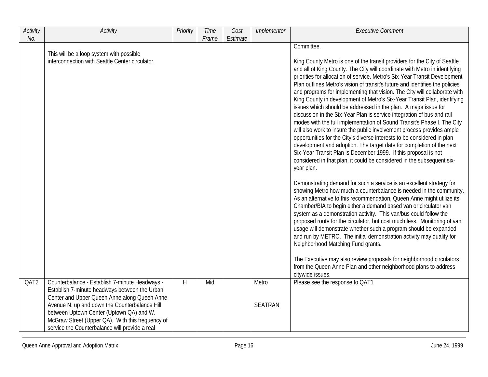| Activity | Activity                                                                                                                                                                                                                                                                                                                                           | Priority | Time  | Cost     | Implementor             | <b>Executive Comment</b>                                                                                                                                                                                                                                                                                                                                                                                                                                                                                                                                                                                                                                                                                                                                                                                                                                                                                                                                                                                                                                                                                     |
|----------|----------------------------------------------------------------------------------------------------------------------------------------------------------------------------------------------------------------------------------------------------------------------------------------------------------------------------------------------------|----------|-------|----------|-------------------------|--------------------------------------------------------------------------------------------------------------------------------------------------------------------------------------------------------------------------------------------------------------------------------------------------------------------------------------------------------------------------------------------------------------------------------------------------------------------------------------------------------------------------------------------------------------------------------------------------------------------------------------------------------------------------------------------------------------------------------------------------------------------------------------------------------------------------------------------------------------------------------------------------------------------------------------------------------------------------------------------------------------------------------------------------------------------------------------------------------------|
| No.      |                                                                                                                                                                                                                                                                                                                                                    |          | Frame | Estimate |                         |                                                                                                                                                                                                                                                                                                                                                                                                                                                                                                                                                                                                                                                                                                                                                                                                                                                                                                                                                                                                                                                                                                              |
|          | This will be a loop system with possible<br>interconnection with Seattle Center circulator.                                                                                                                                                                                                                                                        |          |       |          |                         | Committee.<br>King County Metro is one of the transit providers for the City of Seattle<br>and all of King County. The City will coordinate with Metro in identifying<br>priorities for allocation of service. Metro's Six-Year Transit Development<br>Plan outlines Metro's vision of transit's future and identifies the policies<br>and programs for implementing that vision. The City will collaborate with<br>King County in development of Metro's Six-Year Transit Plan, identifying<br>issues which should be addressed in the plan. A major issue for<br>discussion in the Six-Year Plan is service integration of bus and rail<br>modes with the full implementation of Sound Transit's Phase I. The City<br>will also work to insure the public involvement process provides ample<br>opportunities for the City's diverse interests to be considered in plan<br>development and adoption. The target date for completion of the next<br>Six-Year Transit Plan is December 1999. If this proposal is not<br>considered in that plan, it could be considered in the subsequent six-<br>year plan. |
|          |                                                                                                                                                                                                                                                                                                                                                    |          |       |          |                         | Demonstrating demand for such a service is an excellent strategy for<br>showing Metro how much a counterbalance is needed in the community.<br>As an alternative to this recommendation, Queen Anne might utilize its<br>Chamber/BIA to begin either a demand based van or circulator van<br>system as a demonstration activity. This van/bus could follow the<br>proposed route for the circulator, but cost much less. Monitoring of van<br>usage will demonstrate whether such a program should be expanded<br>and run by METRO. The initial demonstration activity may qualify for<br>Neighborhood Matching Fund grants.<br>The Executive may also review proposals for neighborhood circulators<br>from the Queen Anne Plan and other neighborhood plans to address<br>citywide issues.                                                                                                                                                                                                                                                                                                                 |
| QAT2     | Counterbalance - Establish 7-minute Headways -<br>Establish 7-minute headways between the Urban<br>Center and Upper Queen Anne along Queen Anne<br>Avenue N. up and down the Counterbalance Hill<br>between Uptown Center (Uptown QA) and W.<br>McGraw Street (Upper QA). With this frequency of<br>service the Counterbalance will provide a real | H        | Mid   |          | Metro<br><b>SEATRAN</b> | Please see the response to QAT1                                                                                                                                                                                                                                                                                                                                                                                                                                                                                                                                                                                                                                                                                                                                                                                                                                                                                                                                                                                                                                                                              |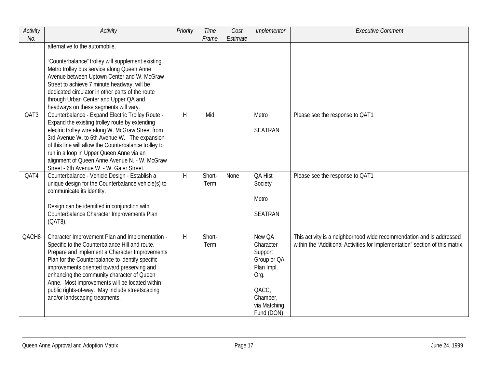| Activity<br>No. | <b>Activity</b>                                                                                                                                                                                                                                                                                                                                                                                                                                     | Priority | Time<br>Frame  | Cost<br>Estimate | Implementor                                                                                                            | <b>Executive Comment</b>                                                                                                                              |
|-----------------|-----------------------------------------------------------------------------------------------------------------------------------------------------------------------------------------------------------------------------------------------------------------------------------------------------------------------------------------------------------------------------------------------------------------------------------------------------|----------|----------------|------------------|------------------------------------------------------------------------------------------------------------------------|-------------------------------------------------------------------------------------------------------------------------------------------------------|
|                 | alternative to the automobile.<br>"Counterbalance" trolley will supplement existing<br>Metro trolley bus service along Queen Anne<br>Avenue between Uptown Center and W. McGraw<br>Street to achieve 7 minute headway; will be<br>dedicated circulator in other parts of the route<br>through Urban Center and Upper QA and                                                                                                                         |          |                |                  |                                                                                                                        |                                                                                                                                                       |
| QAT3            | headways on these segments will vary.<br>Counterbalance - Expand Electric Trolley Route -<br>Expand the existing trolley route by extending<br>electric trolley wire along W. McGraw Street from<br>3rd Avenue W. to 6th Avenue W. The expansion<br>of this line will allow the Counterbalance trolley to<br>run in a loop in Upper Queen Anne via an<br>alignment of Queen Anne Avenue N. - W. McGraw<br>Street - 6th Avenue W. - W. Galer Street. | H        | Mid            |                  | Metro<br><b>SEATRAN</b>                                                                                                | Please see the response to QAT1                                                                                                                       |
| QAT4            | Counterbalance - Vehicle Design - Establish a<br>unique design for the Counterbalance vehicle(s) to<br>communicate its identity.<br>Design can be identified in conjunction with<br>Counterbalance Character Improvements Plan<br>(QAT8).                                                                                                                                                                                                           | H        | Short-<br>Term | None             | QA Hist<br>Society<br>Metro<br><b>SEATRAN</b>                                                                          | Please see the response to QAT1                                                                                                                       |
| QACH8           | Character Improvement Plan and Implementation -<br>Specific to the Counterbalance Hill and route.<br>Prepare and implement a Character Improvements<br>Plan for the Counterbalance to identify specific<br>improvements oriented toward preserving and<br>enhancing the community character of Queen<br>Anne. Most improvements will be located within<br>public rights-of-way. May include streetscaping<br>and/or landscaping treatments.         | H        | Short-<br>Term |                  | New QA<br>Character<br>Support<br>Group or QA<br>Plan Impl.<br>Org.<br>QACC,<br>Chamber,<br>via Matching<br>Fund (DON) | This activity is a neighborhood wide recommendation and is addressed<br>within the "Additional Activities for Implementation" section of this matrix. |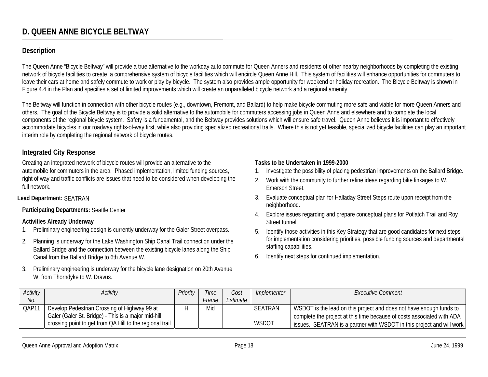## **Description**

The Queen Anne "Bicycle Beltway" will provide a true alternative to the workday auto commute for Queen Anners and residents of other nearby neighborhoods by completing the existing network of bicycle facilities to create a comprehensive system of bicycle facilities which will encircle Queen Anne Hill. This system of facilities will enhance opportunities for commuters to leave their cars at home and safely commute to work or play by bicycle. The system also provides ample opportunity for weekend or holiday recreation. The Bicycle Beltway is shown in Figure 4.4 in the Plan and specifies a set of limited improvements which will create an unparalleled bicycle network and a regional amenity.

The Beltway will function in connection with other bicycle routes (e.g., downtown, Fremont, and Ballard) to help make bicycle commuting more safe and viable for more Queen Anners and others. The goal of the Bicycle Beltway is to provide a solid alternative to the automobile for commuters accessing jobs in Queen Anne and elsewhere and to complete the local components of the regional bicycle system. Safety is a fundamental, and the Beltway provides solutions which will ensure safe travel. Queen Anne believes it is important to effectively accommodate bicycles in our roadway rights-of-way first, while also providing specialized recreational trails. Where this is not yet feasible, specialized bicycle facilities can play an important interim role by completing the regional network of bicycle routes.

#### **Integrated City Response**

Creating an integrated network of bicycle routes will provide an alternative to the automobile for commuters in the area. Phased implementation, limited funding sources, right of way and traffic conflicts are issues that need to be considered when developing the full network.

#### **Lead Department:** SEATRAN

**Participating Departments:** Seattle Center

#### **Activities Already Underway**

- 1.Preliminary engineering design is currently underway for the Galer Street overpass.
- 2. Planning is underway for the Lake Washington Ship Canal Trail connection under the Ballard Bridge and the connection between the existing bicycle lanes along the Ship Canal from the Ballard Bridge to 6th Avenue W.
- 3. Preliminary engineering is underway for the bicycle lane designation on 20th Avenue W. from Thorndyke to W. Dravus.

#### **Tasks to be Undertaken in 1999-2000**

- 1.Investigate the possibility of placing pedestrian improvements on the Ballard Bridge.
- 2. Work with the community to further refine ideas regarding bike linkages to W. Emerson Street.
- 3. Evaluate conceptual plan for Halladay Street Steps route upon receipt from the neighborhood.
- 4. Explore issues regarding and prepare conceptual plans for Potlatch Trail and Roy Street tunnel.
- 5. Identify those activities in this Key Strategy that are good candidates for next steps for implementation considering priorities, possible funding sources and departmental staffing capabilities.
- 6. Identify next steps for continued implementation.

| Activity | Activity                                                 | Priority | Time         | Cost     | Implementor  | Executive Comment                                                      |
|----------|----------------------------------------------------------|----------|--------------|----------|--------------|------------------------------------------------------------------------|
| No.      |                                                          |          | <i>Frame</i> | Estimate |              |                                                                        |
| QAP11    | Develop Pedestrian Crossing of Highway 99 at             |          | Mid          |          | SEATRAN      | WSDOT is the lead on this project and does not have enough funds to    |
|          | Galer (Galer St. Bridge) - This is a major mid-hill      |          |              |          |              | complete the project at this time because of costs associated with ADA |
|          | crossing point to get from QA Hill to the regional trail |          |              |          | <b>WSDOT</b> | issues. SEATRAN is a partner with WSDOT in this project and will work  |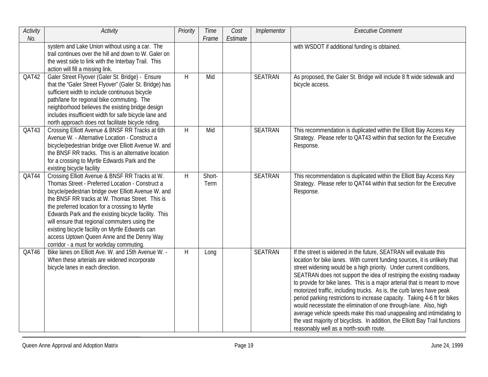| Activity<br>No. | <b>Activity</b>                                                                                                                                                                                                                                                                                                                                                                                                                                                                                                        | Priority | Time<br>Frame  | Cost<br>Estimate | Implementor    | <b>Executive Comment</b>                                                                                                                                                                                                                                                                                                                                                                                                                                                                                                                                                                                                                                                                                                                                                                                    |
|-----------------|------------------------------------------------------------------------------------------------------------------------------------------------------------------------------------------------------------------------------------------------------------------------------------------------------------------------------------------------------------------------------------------------------------------------------------------------------------------------------------------------------------------------|----------|----------------|------------------|----------------|-------------------------------------------------------------------------------------------------------------------------------------------------------------------------------------------------------------------------------------------------------------------------------------------------------------------------------------------------------------------------------------------------------------------------------------------------------------------------------------------------------------------------------------------------------------------------------------------------------------------------------------------------------------------------------------------------------------------------------------------------------------------------------------------------------------|
|                 | system and Lake Union without using a car. The<br>trail continues over the hill and down to W. Galer on<br>the west side to link with the Interbay Trail. This<br>action will fill a missing link.                                                                                                                                                                                                                                                                                                                     |          |                |                  |                | with WSDOT if additional funding is obtained.                                                                                                                                                                                                                                                                                                                                                                                                                                                                                                                                                                                                                                                                                                                                                               |
| QAT42           | Galer Street Flyover (Galer St. Bridge) - Ensure<br>that the "Galer Street Flyover" (Galer St. Bridge) has<br>sufficient width to include continuous bicycle<br>path/lane for regional bike commuting. The<br>neighborhood believes the existing bridge design<br>includes insufficient width for safe bicycle lane and<br>north approach does not facilitate bicycle riding.                                                                                                                                          | H        | Mid            |                  | <b>SEATRAN</b> | As proposed, the Galer St. Bridge will include 8 ft wide sidewalk and<br>bicycle access.                                                                                                                                                                                                                                                                                                                                                                                                                                                                                                                                                                                                                                                                                                                    |
| QAT43           | Crossing Elliott Avenue & BNSF RR Tracks at 6th<br>Avenue W. - Alternative Location - Construct a<br>bicycle/pedestrian bridge over Elliott Avenue W. and<br>the BNSF RR tracks. This is an alternative location<br>for a crossing to Myrtle Edwards Park and the<br>existing bicycle facility                                                                                                                                                                                                                         | H        | Mid            |                  | <b>SEATRAN</b> | This recommendation is duplicated within the Elliott Bay Access Key<br>Strategy. Please refer to QAT43 within that section for the Executive<br>Response.                                                                                                                                                                                                                                                                                                                                                                                                                                                                                                                                                                                                                                                   |
| QAT44           | Crossing Elliott Avenue & BNSF RR Tracks at W.<br>Thomas Street - Preferred Location - Construct a<br>bicycle/pedestrian bridge over Elliott Avenue W. and<br>the BNSF RR tracks at W. Thomas Street. This is<br>the preferred location for a crossing to Myrtle<br>Edwards Park and the existing bicycle facility. This<br>will ensure that regional commuters using the<br>existing bicycle facility on Myrtle Edwards can<br>access Uptown Queen Anne and the Denny Way<br>corridor - a must for workday commuting. | H        | Short-<br>Term |                  | <b>SEATRAN</b> | This recommendation is duplicated within the Elliott Bay Access Key<br>Strategy. Please refer to QAT44 within that section for the Executive<br>Response.                                                                                                                                                                                                                                                                                                                                                                                                                                                                                                                                                                                                                                                   |
| QAT46           | Bike lanes on Elliott Ave. W. and 15th Avenue W. -<br>When these arterials are widened incorporate<br>bicycle lanes in each direction.                                                                                                                                                                                                                                                                                                                                                                                 | H        | Long           |                  | SEATRAN        | If the street is widened in the future, SEATRAN will evaluate this<br>location for bike lanes. With current funding sources, it is unlikely that<br>street widening would be a high priority. Under current conditions,<br>SEATRAN does not support the idea of restriping the existing roadway<br>to provide for bike lanes. This is a major arterial that is meant to move<br>motorized traffic, including trucks. As is, the curb lanes have peak<br>period parking restrictions to increase capacity. Taking 4-6 ft for bikes<br>would necessitate the elimination of one through-lane. Also, high<br>average vehicle speeds make this road unappealing and intimidating to<br>the vast majority of bicyclists. In addition, the Elliott Bay Trail functions<br>reasonably well as a north-south route. |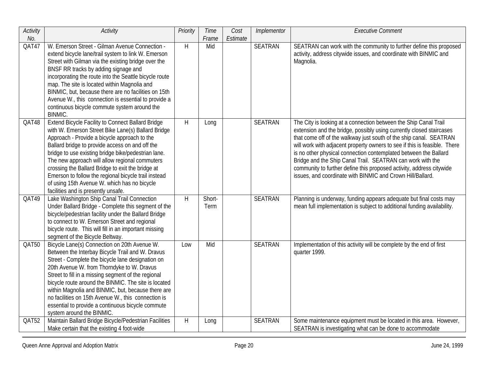| Activity | Activity                                                                                                                                                                                                                                                                                                                                                                                                                                                                                                                       | Priority       | <b>Time</b>    | Cost     | Implementor    | <b>Executive Comment</b>                                                                                                                                                                                                                                                                                                                                                                                                                                                                                                                                            |
|----------|--------------------------------------------------------------------------------------------------------------------------------------------------------------------------------------------------------------------------------------------------------------------------------------------------------------------------------------------------------------------------------------------------------------------------------------------------------------------------------------------------------------------------------|----------------|----------------|----------|----------------|---------------------------------------------------------------------------------------------------------------------------------------------------------------------------------------------------------------------------------------------------------------------------------------------------------------------------------------------------------------------------------------------------------------------------------------------------------------------------------------------------------------------------------------------------------------------|
| No.      |                                                                                                                                                                                                                                                                                                                                                                                                                                                                                                                                |                | Frame          | Estimate |                |                                                                                                                                                                                                                                                                                                                                                                                                                                                                                                                                                                     |
| QAT47    | W. Emerson Street - Gilman Avenue Connection -<br>extend bicycle lane/trail system to link W. Emerson<br>Street with Gilman via the existing bridge over the<br>BNSF RR tracks by adding signage and<br>incorporating the route into the Seattle bicycle route<br>map. The site is located within Magnolia and<br>BINMIC, but, because there are no facilities on 15th<br>Avenue W., this connection is essential to provide a<br>continuous bicycle commute system around the<br><b>BINMIC.</b>                               | H              | Mid            |          | <b>SEATRAN</b> | SEATRAN can work with the community to further define this proposed<br>activity, address citywide issues, and coordinate with BINMIC and<br>Magnolia.                                                                                                                                                                                                                                                                                                                                                                                                               |
| QAT48    | <b>Extend Bicycle Facility to Connect Ballard Bridge</b><br>with W. Emerson Street Bike Lane(s) Ballard Bridge<br>Approach - Provide a bicycle approach to the<br>Ballard bridge to provide access on and off the<br>bridge to use existing bridge bike/pedestrian lane.<br>The new approach will allow regional commuters<br>crossing the Ballard Bridge to exit the bridge at<br>Emerson to follow the regional bicycle trail instead<br>of using 15th Avenue W. which has no bicycle<br>facilities and is presently unsafe. | $\overline{H}$ | Long           |          | <b>SEATRAN</b> | The City is looking at a connection between the Ship Canal Trail<br>extension and the bridge, possibly using currently closed staircases<br>that come off of the walkway just south of the ship canal. SEATRAN<br>will work with adjacent property owners to see if this is feasible. There<br>is no other physical connection contemplated between the Ballard<br>Bridge and the Ship Canal Trail. SEATRAN can work with the<br>community to further define this proposed activity, address citywide<br>issues, and coordinate with BINMIC and Crown Hill/Ballard. |
| QAT49    | Lake Washington Ship Canal Trail Connection<br>Under Ballard Bridge - Complete this segment of the<br>bicycle/pedestrian facility under the Ballard Bridge<br>to connect to W. Emerson Street and regional<br>bicycle route. This will fill in an important missing<br>segment of the Bicycle Beltway.                                                                                                                                                                                                                         | H              | Short-<br>Term |          | <b>SEATRAN</b> | Planning is underway, funding appears adequate but final costs may<br>mean full implementation is subject to additional funding availability.                                                                                                                                                                                                                                                                                                                                                                                                                       |
| QAT50    | Bicycle Lane(s) Connection on 20th Avenue W.<br>Between the Interbay Bicycle Trail and W. Dravus<br>Street - Complete the bicycle lane designation on<br>20th Avenue W. from Thorndyke to W. Dravus<br>Street to fill in a missing segment of the regional<br>bicycle route around the BINMIC. The site is located<br>within Magnolia and BINMIC, but, because there are<br>no facilities on 15th Avenue W., this connection is<br>essential to provide a continuous bicycle commute<br>system around the BINMIC.              | Low            | Mid            |          | <b>SEATRAN</b> | Implementation of this activity will be complete by the end of first<br>quarter 1999.                                                                                                                                                                                                                                                                                                                                                                                                                                                                               |
| QAT52    | Maintain Ballard Bridge Bicycle/Pedestrian Facilities<br>Make certain that the existing 4 foot-wide                                                                                                                                                                                                                                                                                                                                                                                                                            | H              | Long           |          | <b>SEATRAN</b> | Some maintenance equipment must be located in this area. However,<br>SEATRAN is investigating what can be done to accommodate                                                                                                                                                                                                                                                                                                                                                                                                                                       |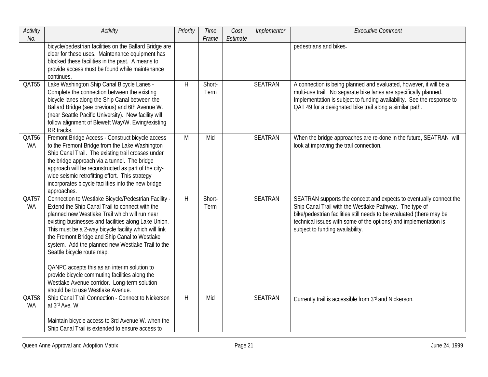| Activity<br>No.    | <b>Activity</b>                                                                                                                                                                                                                                                                                                                                                                                                                                                                                                                                                                                       | Priority | Time<br>Frame  | Cost<br>Estimate | Implementor    | <b>Executive Comment</b>                                                                                                                                                                                                                                                                                      |
|--------------------|-------------------------------------------------------------------------------------------------------------------------------------------------------------------------------------------------------------------------------------------------------------------------------------------------------------------------------------------------------------------------------------------------------------------------------------------------------------------------------------------------------------------------------------------------------------------------------------------------------|----------|----------------|------------------|----------------|---------------------------------------------------------------------------------------------------------------------------------------------------------------------------------------------------------------------------------------------------------------------------------------------------------------|
|                    | bicycle/pedestrian facilities on the Ballard Bridge are<br>clear for these uses. Maintenance equipment has<br>blocked these facilities in the past. A means to<br>provide access must be found while maintenance<br>continues.                                                                                                                                                                                                                                                                                                                                                                        |          |                |                  |                | pedestrians and bikes.                                                                                                                                                                                                                                                                                        |
| QAT55              | Lake Washington Ship Canal Bicycle Lanes -<br>Complete the connection between the existing<br>bicycle lanes along the Ship Canal between the<br>Ballard Bridge (see previous) and 6th Avenue W.<br>(near Seattle Pacific University). New facility will<br>follow alignment of Blewett Way/W. Ewing/existing<br>RR tracks.                                                                                                                                                                                                                                                                            | H        | Short-<br>Term |                  | <b>SEATRAN</b> | A connection is being planned and evaluated, however, it will be a<br>multi-use trail. No separate bike lanes are specifically planned.<br>Implementation is subject to funding availability. See the response to<br>QAT 49 for a designated bike trail along a similar path.                                 |
| QAT56<br><b>WA</b> | Fremont Bridge Access - Construct bicycle access<br>to the Fremont Bridge from the Lake Washington<br>Ship Canal Trail. The existing trail crosses under<br>the bridge approach via a tunnel. The bridge<br>approach will be reconstructed as part of the city-<br>wide seismic retrofitting effort. This strategy<br>incorporates bicycle facilities into the new bridge<br>approaches.                                                                                                                                                                                                              | M        | Mid            |                  | <b>SEATRAN</b> | When the bridge approaches are re-done in the future, SEATRAN will<br>look at improving the trail connection.                                                                                                                                                                                                 |
| QAT57<br><b>WA</b> | Connection to Westlake Bicycle/Pedestrian Facility -<br>Extend the Ship Canal Trail to connect with the<br>planned new Westlake Trail which will run near<br>existing businesses and facilities along Lake Union.<br>This must be a 2-way bicycle facility which will link<br>the Fremont Bridge and Ship Canal to Westlake<br>system. Add the planned new Westlake Trail to the<br>Seattle bicycle route map.<br>QANPC accepts this as an interim solution to<br>provide bicycle commuting facilities along the<br>Westlake Avenue corridor. Long-term solution<br>should be to use Westlake Avenue. | H        | Short-<br>Term |                  | <b>SEATRAN</b> | SEATRAN supports the concept and expects to eventually connect the<br>Ship Canal Trail with the Westlake Pathway. The type of<br>bike/pedestrian facilities still needs to be evaluated (there may be<br>technical issues with some of the options) and implementation is<br>subject to funding availability. |
| QAT58<br><b>WA</b> | Ship Canal Trail Connection - Connect to Nickerson<br>at 3rd Ave. W<br>Maintain bicycle access to 3rd Avenue W. when the<br>Ship Canal Trail is extended to ensure access to                                                                                                                                                                                                                                                                                                                                                                                                                          | H        | Mid            |                  | <b>SEATRAN</b> | Currently trail is accessible from 3rd and Nickerson.                                                                                                                                                                                                                                                         |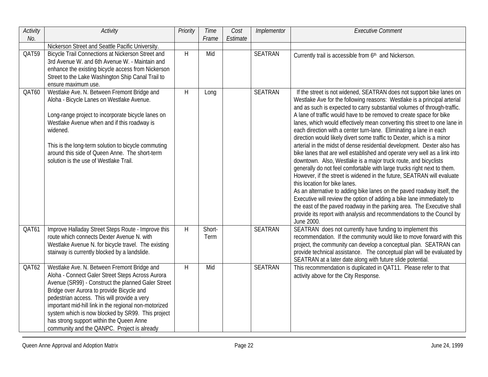| Activity<br>No. | <b>Activity</b>                                                                                                                                                                                                                                                                                                                                                                                                                                            | Priority | Time<br>Frame  | Cost<br>Estimate | Implementor    | <b>Executive Comment</b>                                                                                                                                                                                                                                                                                                                                                                                                                                                                                                                                                                                                                                                                                                                                                                                                                                                                                                                                                                                                                                                                                                                                                                                                                                                |
|-----------------|------------------------------------------------------------------------------------------------------------------------------------------------------------------------------------------------------------------------------------------------------------------------------------------------------------------------------------------------------------------------------------------------------------------------------------------------------------|----------|----------------|------------------|----------------|-------------------------------------------------------------------------------------------------------------------------------------------------------------------------------------------------------------------------------------------------------------------------------------------------------------------------------------------------------------------------------------------------------------------------------------------------------------------------------------------------------------------------------------------------------------------------------------------------------------------------------------------------------------------------------------------------------------------------------------------------------------------------------------------------------------------------------------------------------------------------------------------------------------------------------------------------------------------------------------------------------------------------------------------------------------------------------------------------------------------------------------------------------------------------------------------------------------------------------------------------------------------------|
|                 | Nickerson Street and Seattle Pacific University.                                                                                                                                                                                                                                                                                                                                                                                                           |          |                |                  |                |                                                                                                                                                                                                                                                                                                                                                                                                                                                                                                                                                                                                                                                                                                                                                                                                                                                                                                                                                                                                                                                                                                                                                                                                                                                                         |
| QAT59           | Bicycle Trail Connections at Nickerson Street and<br>3rd Avenue W. and 6th Avenue W. - Maintain and<br>enhance the existing bicycle access from Nickerson<br>Street to the Lake Washington Ship Canal Trail to<br>ensure maximum use.                                                                                                                                                                                                                      | $\sf H$  | Mid            |                  | <b>SEATRAN</b> | Currently trail is accessible from 6th and Nickerson.                                                                                                                                                                                                                                                                                                                                                                                                                                                                                                                                                                                                                                                                                                                                                                                                                                                                                                                                                                                                                                                                                                                                                                                                                   |
| QAT60           | Westlake Ave. N. Between Fremont Bridge and<br>Aloha - Bicycle Lanes on Westlake Avenue.<br>Long-range project to incorporate bicycle lanes on<br>Westlake Avenue when and if this roadway is<br>widened.<br>This is the long-term solution to bicycle commuting<br>around this side of Queen Anne. The short-term<br>solution is the use of Westlake Trail.                                                                                               | H        | Long           |                  | <b>SEATRAN</b> | If the street is not widened, SEATRAN does not support bike lanes on<br>Westlake Ave for the following reasons: Westlake is a principal arterial<br>and as such is expected to carry substantial volumes of through-traffic.<br>A lane of traffic would have to be removed to create space for bike<br>lanes, which would effectively mean converting this street to one lane in<br>each direction with a center turn-lane. Eliminating a lane in each<br>direction would likely divert some traffic to Dexter, which is a minor<br>arterial in the midst of dense residential development. Dexter also has<br>bike lanes that are well established and operate very well as a link into<br>downtown. Also, Westlake is a major truck route, and bicyclists<br>generally do not feel comfortable with large trucks right next to them.<br>However, if the street is widened in the future, SEATRAN will evaluate<br>this location for bike lanes.<br>As an alternative to adding bike lanes on the paved roadway itself, the<br>Executive will review the option of adding a bike lane immediately to<br>the east of the paved roadway in the parking area. The Executive shall<br>provide its report with analysis and recommendations to the Council by<br>June 2000. |
| QAT61           | Improve Halladay Street Steps Route - Improve this<br>route which connects Dexter Avenue N. with<br>Westlake Avenue N. for bicycle travel. The existing<br>stairway is currently blocked by a landslide.                                                                                                                                                                                                                                                   | H        | Short-<br>Term |                  | <b>SEATRAN</b> | SEATRAN does not currently have funding to implement this<br>recommendation. If the community would like to move forward with this<br>project, the community can develop a conceptual plan. SEATRAN can<br>provide technical assistance. The conceptual plan will be evaluated by<br>SEATRAN at a later date along with future slide potential.                                                                                                                                                                                                                                                                                                                                                                                                                                                                                                                                                                                                                                                                                                                                                                                                                                                                                                                         |
| QAT62           | Westlake Ave. N. Between Fremont Bridge and<br>Aloha - Connect Galer Street Steps Across Aurora<br>Avenue (SR99) - Construct the planned Galer Street<br>Bridge over Aurora to provide Bicycle and<br>pedestrian access. This will provide a very<br>important mid-hill link in the regional non-motorized<br>system which is now blocked by SR99. This project<br>has strong support within the Queen Anne<br>community and the QANPC. Project is already | H        | Mid            |                  | <b>SEATRAN</b> | This recommendation is duplicated in QAT11. Please refer to that<br>activity above for the City Response.                                                                                                                                                                                                                                                                                                                                                                                                                                                                                                                                                                                                                                                                                                                                                                                                                                                                                                                                                                                                                                                                                                                                                               |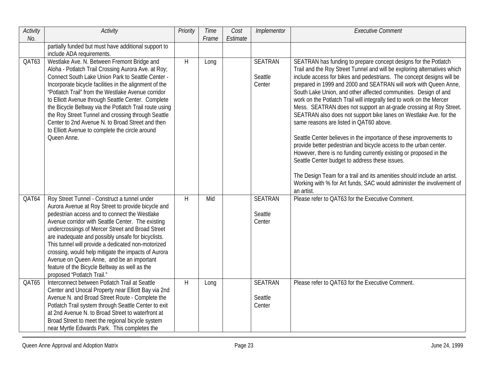| Activity | Activity                                                                                                                                                                                                                                                                                                                                                                                                                                                                                                                                                    | Priority | Time  | Cost     | Implementor                         | <b>Executive Comment</b>                                                                                                                                                                                                                                                                                                                                                                                                                                                                                                                                                                                                                                                                                                                                                                                                                                                                              |
|----------|-------------------------------------------------------------------------------------------------------------------------------------------------------------------------------------------------------------------------------------------------------------------------------------------------------------------------------------------------------------------------------------------------------------------------------------------------------------------------------------------------------------------------------------------------------------|----------|-------|----------|-------------------------------------|-------------------------------------------------------------------------------------------------------------------------------------------------------------------------------------------------------------------------------------------------------------------------------------------------------------------------------------------------------------------------------------------------------------------------------------------------------------------------------------------------------------------------------------------------------------------------------------------------------------------------------------------------------------------------------------------------------------------------------------------------------------------------------------------------------------------------------------------------------------------------------------------------------|
| No.      |                                                                                                                                                                                                                                                                                                                                                                                                                                                                                                                                                             |          | Frame | Estimate |                                     |                                                                                                                                                                                                                                                                                                                                                                                                                                                                                                                                                                                                                                                                                                                                                                                                                                                                                                       |
|          | partially funded but must have additional support to<br>include ADA requirements.                                                                                                                                                                                                                                                                                                                                                                                                                                                                           |          |       |          |                                     |                                                                                                                                                                                                                                                                                                                                                                                                                                                                                                                                                                                                                                                                                                                                                                                                                                                                                                       |
| QAT63    | Westlake Ave. N. Between Fremont Bridge and                                                                                                                                                                                                                                                                                                                                                                                                                                                                                                                 | H        | Long  |          | <b>SEATRAN</b>                      | SEATRAN has funding to prepare concept designs for the Potlatch                                                                                                                                                                                                                                                                                                                                                                                                                                                                                                                                                                                                                                                                                                                                                                                                                                       |
|          | Aloha - Potlatch Trail Crossing Aurora Ave. at Roy;<br>Connect South Lake Union Park to Seattle Center -<br>Incorporate bicycle facilities in the alignment of the<br>"Potlatch Trail" from the Westlake Avenue corridor<br>to Elliott Avenue through Seattle Center. Complete<br>the Bicycle Beltway via the Potlatch Trail route using<br>the Roy Street Tunnel and crossing through Seattle<br>Center to 2nd Avenue N. to Broad Street and then<br>to Elliott Avenue to complete the circle around<br>Queen Anne.                                        |          |       |          | Seattle<br>Center                   | Trail and the Roy Street Tunnel and will be exploring alternatives which<br>include access for bikes and pedestrians. The concept designs will be<br>prepared in 1999 and 2000 and SEATRAN will work with Queen Anne,<br>South Lake Union, and other affected communities. Design of and<br>work on the Potlatch Trail will integrally tied to work on the Mercer<br>Mess. SEATRAN does not support an at-grade crossing at Roy Street.<br>SEATRAN also does not support bike lanes on Westlake Ave. for the<br>same reasons are listed in QAT60 above.<br>Seattle Center believes in the importance of these improvements to<br>provide better pedestrian and bicycle access to the urban center.<br>However, there is no funding currently existing or proposed in the<br>Seattle Center budget to address these issues.<br>The Design Team for a trail and its amenities should include an artist. |
|          |                                                                                                                                                                                                                                                                                                                                                                                                                                                                                                                                                             |          |       |          |                                     | Working with % for Art funds, SAC would administer the involvement of                                                                                                                                                                                                                                                                                                                                                                                                                                                                                                                                                                                                                                                                                                                                                                                                                                 |
| QAT64    | Roy Street Tunnel - Construct a tunnel under<br>Aurora Avenue at Roy Street to provide bicycle and<br>pedestrian access and to connect the Westlake<br>Avenue corridor with Seattle Center. The existing<br>undercrossings of Mercer Street and Broad Street<br>are inadequate and possibly unsafe for bicyclists.<br>This tunnel will provide a dedicated non-motorized<br>crossing, would help mitigate the impacts of Aurora<br>Avenue on Queen Anne, and be an important<br>feature of the Bicycle Beltway as well as the<br>proposed "Potlatch Trail." | H        | Mid   |          | <b>SEATRAN</b><br>Seattle<br>Center | an artist.<br>Please refer to QAT63 for the Executive Comment.                                                                                                                                                                                                                                                                                                                                                                                                                                                                                                                                                                                                                                                                                                                                                                                                                                        |
| QAT65    | Interconnect between Potlatch Trail at Seattle<br>Center and Unocal Property near Elliott Bay via 2nd<br>Avenue N. and Broad Street Route - Complete the<br>Potlatch Trail system through Seattle Center to exit<br>at 2nd Avenue N. to Broad Street to waterfront at<br>Broad Street to meet the regional bicycle system<br>near Myrtle Edwards Park. This completes the                                                                                                                                                                                   | H        | Long  |          | <b>SEATRAN</b><br>Seattle<br>Center | Please refer to QAT63 for the Executive Comment.                                                                                                                                                                                                                                                                                                                                                                                                                                                                                                                                                                                                                                                                                                                                                                                                                                                      |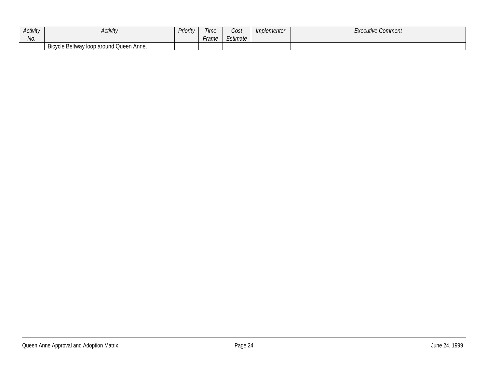| <b>Activity</b> | <b>Activity</b>                         | Priority | Time  | Cost     | Implementor | <i>Executive Comment</i> |
|-----------------|-----------------------------------------|----------|-------|----------|-------------|--------------------------|
| . .<br>No.      |                                         |          | Frame | Estimate |             |                          |
|                 | Bicycle Beltway loop around Queen Anne. |          |       |          |             |                          |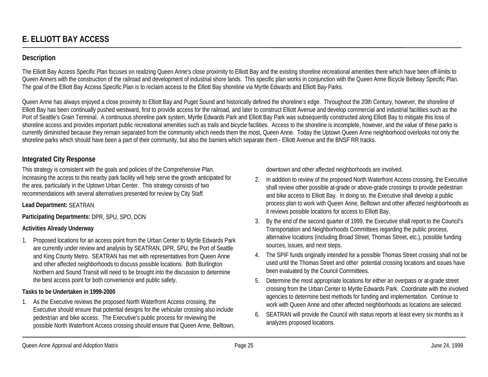# **Description**

The Elliott Bay Access Specific Plan focuses on realizing Queen Anne's close proximity to Elliott Bay and the existing shoreline recreational amenities there which have been off-limits to Queen Anners with the construction of the railroad and development of industrial shore lands. This specific plan works in conjunction with the Queen Anne Bicycle Beltway Specific Plan. The goal of the Elliott Bay Access Specific Plan is to reclaim access to the Elliott Bay shoreline via Myrtle Edwards and Elliott Bay Parks.

Queen Anne has always enjoyed a close proximity to Elliott Bay and Puget Sound and historically defined the shoreline's edge. Throughout the 20th Century, however, the shoreline of Elliott Bay has been continually pushed westward, first to provide access for the railroad, and later to construct Elliott Avenue and develop commercial and industrial facilities such as the Port of Seattle's Grain Terminal. A continuous shoreline park system, Myrtle Edwards Park and Elliott Bay Park was subsequently constructed along Elliott Bay to mitigate this loss of shoreline access and provides important public recreational amenities such as trails and bicycle facilities. Access to the shoreline is incomplete, however, and the value of these parks is currently diminished because they remain separated from the community which needs them the most, Queen Anne. Today the Uptown Queen Anne neighborhood overlooks not only the shoreline parks which should have been a part of their community, but also the barriers which separate them - Elliott Avenue and the BNSF RR tracks.

# **Integrated City Response**

This strategy is consistent with the goals and policies of the Comprehensive Plan. Increasing the access to this nearby park facility will help serve the growth anticipated for the area, particularly in the Uptown Urban Center. This strategy consists of two recommendations with several alternatives presented for review by City Staff.

## **Lead Department:** SEATRAN

**Participating Departments:** DPR, SPU, SPO, DON

## **Activities Already Underway**

1. Proposed locations for an access point from the Urban Center to Myrtle Edwards Park are currently under review and analysis by SEATRAN, DPR, SPU, the Port of Seattle and King County Metro. SEATRAN has met with representatives from Queen Anne and other affected neighborhoods to discuss possible locations. Both Burlington Northern and Sound Transit will need to be brought into the discussion to determine the best access point for both convenience and public safety.

# **Tasks to be Undertaken in 1999-2000**

1. As the Executive reviews the proposed North Waterfront Access crossing, the Executive should ensure that potential designs for the vehicular crossing also include pedestrian and bike access. The Executive's public process for reviewing the possible North Waterfront Access crossing should ensure that Queen Anne, Belltown, downtown and other affected neighborhoods are involved.

- 2. In addition to review of the proposed North Waterfront Access crossing, the Executive shall review other possible at-grade or above-grade crossings to provide pedestrian and bike access to Elliott Bay. In doing so, the Executive shall develop a public process plan to work with Queen Anne, Belltown and other affected neighborhoods as it reviews possible locations for access to Elliott Bay.
- 3. By the end of the second quarter of 1999, the Executive shall report to the Council's Transportation and Neighborhoods Committees regarding the public process, alternative locations (including Broad Street, Thomas Street, etc.), possible funding sources, issues, and next steps.
- 4. The SPIF funds originally intended for a possible Thomas Street crossing shall not be used until the Thomas Street and other potential crossing locations and issues have been evaluated by the Council Committees.
- 5. Determine the most appropriate locations for either an overpass or at-grade street crossing from the Urban Center to Myrtle Edwards Park. Coordinate with the involved agencies to determine best methods for funding and implementation. Continue to work with Queen Anne and other affected neighborhoods as locations are selected.
- 6. SEATRAN will provide the Council with status reports at least every six months as it analyzes proposed locations.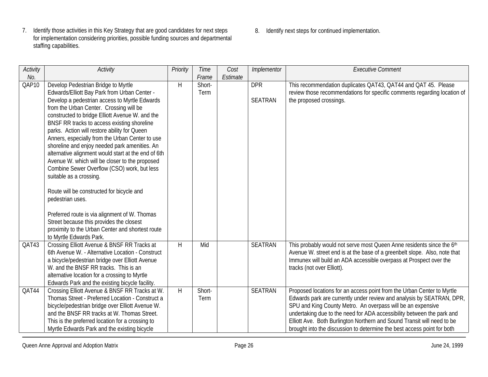- 7. Identify those activities in this Key Strategy that are good candidates for next steps for implementation considering priorities, possible funding sources and departmental staffing capabilities.
- 8. Identify next steps for continued implementation.

| Activity | Activity                                            | Priority     | Time   | Cost     | Implementor    | <b>Executive Comment</b>                                                  |
|----------|-----------------------------------------------------|--------------|--------|----------|----------------|---------------------------------------------------------------------------|
| No.      |                                                     |              | Frame  | Estimate |                |                                                                           |
| QAP10    | Develop Pedestrian Bridge to Myrtle                 | H            | Short- |          | <b>DPR</b>     | This recommendation duplicates QAT43, QAT44 and QAT 45. Please            |
|          | Edwards/Elliott Bay Park from Urban Center -        |              | Term   |          |                | review those recommendations for specific comments regarding location of  |
|          | Develop a pedestrian access to Myrtle Edwards       |              |        |          | <b>SEATRAN</b> | the proposed crossings.                                                   |
|          | from the Urban Center. Crossing will be             |              |        |          |                |                                                                           |
|          | constructed to bridge Elliott Avenue W. and the     |              |        |          |                |                                                                           |
|          | BNSF RR tracks to access existing shoreline         |              |        |          |                |                                                                           |
|          | parks. Action will restore ability for Queen        |              |        |          |                |                                                                           |
|          | Anners, especially from the Urban Center to use     |              |        |          |                |                                                                           |
|          | shoreline and enjoy needed park amenities. An       |              |        |          |                |                                                                           |
|          | alternative alignment would start at the end of 6th |              |        |          |                |                                                                           |
|          | Avenue W. which will be closer to the proposed      |              |        |          |                |                                                                           |
|          | Combine Sewer Overflow (CSO) work, but less         |              |        |          |                |                                                                           |
|          | suitable as a crossing.                             |              |        |          |                |                                                                           |
|          | Route will be constructed for bicycle and           |              |        |          |                |                                                                           |
|          | pedestrian uses.                                    |              |        |          |                |                                                                           |
|          |                                                     |              |        |          |                |                                                                           |
|          | Preferred route is via alignment of W. Thomas       |              |        |          |                |                                                                           |
|          | Street because this provides the closest            |              |        |          |                |                                                                           |
|          | proximity to the Urban Center and shortest route    |              |        |          |                |                                                                           |
|          | to Myrtle Edwards Park.                             |              |        |          |                |                                                                           |
| QAT43    | Crossing Elliott Avenue & BNSF RR Tracks at         | $\mathsf{H}$ | Mid    |          | <b>SEATRAN</b> | This probably would not serve most Queen Anne residents since the 6th     |
|          | 6th Avenue W. - Alternative Location - Construct    |              |        |          |                | Avenue W. street end is at the base of a greenbelt slope. Also, note that |
|          | a bicycle/pedestrian bridge over Elliott Avenue     |              |        |          |                | Immunex will build an ADA accessible overpass at Prospect over the        |
|          | W. and the BNSF RR tracks. This is an               |              |        |          |                | tracks (not over Elliott).                                                |
|          | alternative location for a crossing to Myrtle       |              |        |          |                |                                                                           |
|          | Edwards Park and the existing bicycle facility.     |              |        |          |                |                                                                           |
| QAT44    | Crossing Elliott Avenue & BNSF RR Tracks at W.      | $\mathsf{H}$ | Short- |          | <b>SEATRAN</b> | Proposed locations for an access point from the Urban Center to Myrtle    |
|          | Thomas Street - Preferred Location - Construct a    |              | Term   |          |                | Edwards park are currently under review and analysis by SEATRAN, DPR,     |
|          | bicycle/pedestrian bridge over Elliott Avenue W.    |              |        |          |                | SPU and King County Metro. An overpass will be an expensive               |
|          | and the BNSF RR tracks at W. Thomas Street.         |              |        |          |                | undertaking due to the need for ADA accessibility between the park and    |
|          | This is the preferred location for a crossing to    |              |        |          |                | Elliott Ave. Both Burlington Northern and Sound Transit will need to be   |
|          | Myrtle Edwards Park and the existing bicycle        |              |        |          |                | brought into the discussion to determine the best access point for both   |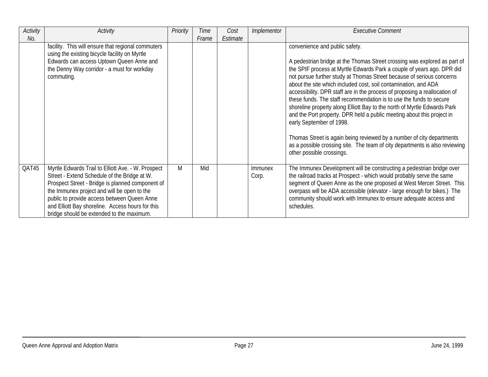| Activity | Activity                                                                                                                                                                                                                                                                                                                                              | Priority | <b>Time</b> | Cost     | Implementor      | <b>Executive Comment</b>                                                                                                                                                                                                                                                                                                                                                                                                                                                                                                                                                                                                               |
|----------|-------------------------------------------------------------------------------------------------------------------------------------------------------------------------------------------------------------------------------------------------------------------------------------------------------------------------------------------------------|----------|-------------|----------|------------------|----------------------------------------------------------------------------------------------------------------------------------------------------------------------------------------------------------------------------------------------------------------------------------------------------------------------------------------------------------------------------------------------------------------------------------------------------------------------------------------------------------------------------------------------------------------------------------------------------------------------------------------|
| No.      |                                                                                                                                                                                                                                                                                                                                                       |          | Frame       | Estimate |                  |                                                                                                                                                                                                                                                                                                                                                                                                                                                                                                                                                                                                                                        |
|          | facility. This will ensure that regional commuters                                                                                                                                                                                                                                                                                                    |          |             |          |                  | convenience and public safety.                                                                                                                                                                                                                                                                                                                                                                                                                                                                                                                                                                                                         |
|          | using the existing bicycle facility on Myrtle<br>Edwards can access Uptown Queen Anne and<br>the Denny Way corridor - a must for workday<br>commuting.                                                                                                                                                                                                |          |             |          |                  | A pedestrian bridge at the Thomas Street crossing was explored as part of<br>the SPIF process at Myrtle Edwards Park a couple of years ago. DPR did<br>not pursue further study at Thomas Street because of serious concerns<br>about the site which included cost, soil contamination, and ADA<br>accessibility. DPR staff are in the process of proposing a reallocation of<br>these funds. The staff recommendation is to use the funds to secure<br>shoreline property along Elliott Bay to the north of Myrtle Edwards Park<br>and the Port property. DPR held a public meeting about this project in<br>early September of 1998. |
|          |                                                                                                                                                                                                                                                                                                                                                       |          |             |          |                  | Thomas Street is again being reviewed by a number of city departments<br>as a possible crossing site. The team of city departments is also reviewing<br>other possible crossings.                                                                                                                                                                                                                                                                                                                                                                                                                                                      |
| QAT45    | Myrtle Edwards Trail to Elliott Ave. - W. Prospect<br>Street - Extend Schedule of the Bridge at W.<br>Prospect Street - Bridge is planned component of<br>the Immunex project and will be open to the<br>public to provide access between Queen Anne<br>and Elliott Bay shoreline. Access hours for this<br>bridge should be extended to the maximum. | M        | Mid         |          | Immunex<br>Corp. | The Immunex Development will be constructing a pedestrian bridge over<br>the railroad tracks at Prospect - which would probably serve the same<br>segment of Queen Anne as the one proposed at West Mercer Street. This<br>overpass will be ADA accessible (elevator - large enough for bikes.) The<br>community should work with Immunex to ensure adequate access and<br>schedules.                                                                                                                                                                                                                                                  |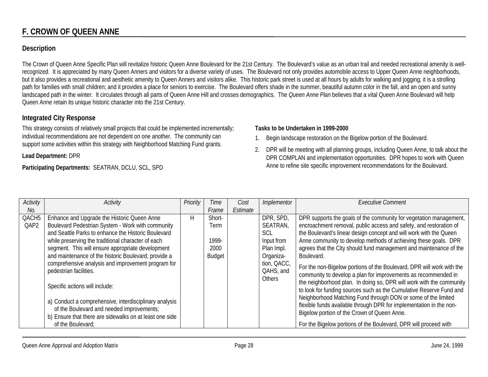# **F. CROWN OF QUEEN ANNE**

## **Description**

The Crown of Queen Anne Specific Plan will revitalize historic Queen Anne Boulevard for the 21st Century. The Boulevard's value as an urban trail and needed recreational amenity is wellrecognized. It is appreciated by many Queen Anners and visitors for a diverse variety of uses. The Boulevard not only provides automobile access to Upper Queen Anne neighborhoods, but it also provides a recreational and aesthetic amenity to Queen Anners and visitors alike. This historic park street is used at all hours by adults for walking and jogging; it is a strolling path for families with small children; and it provides a place for seniors to exercise. The Boulevard offers shade in the summer, beautiful autumn color in the fall, and an open and sunny landscaped path in the winter. It circulates through all parts of Queen Anne Hill and crosses demographics. The *Queen Anne Plan* believes that a vital Queen Anne Boulevard will help Queen Anne retain its unique historic character into the 21st Century.

## **Integrated City Response**

This strategy consists of relatively small projects that could be implemented incrementally; individual recommendations are not dependent on one another. The community can support some activities within this strategy with Neighborhood Matching Fund grants.

#### **Lead Department:** DPR

#### **Participating Departments:** SEATRAN, DCLU, SCL, SPD

#### **Tasks to be Undertaken in 1999-2000**

- 1. Begin landscape restoration on the Bigelow portion of the Boulevard.
- 2. DPR will be meeting with all planning groups, including Queen Anne, to talk about the DPR COMPLAN and implementation opportunities. DPR hopes to work with Queen Anne to refine site specific improvement recommendations for the Boulevard.

| Activity          | Activity                                                | Priority | Time   | Cost     | Implementor   | <b>Executive Comment</b>                                              |
|-------------------|---------------------------------------------------------|----------|--------|----------|---------------|-----------------------------------------------------------------------|
| No.               |                                                         |          | Frame  | Estimate |               |                                                                       |
| QACH <sub>5</sub> | Enhance and Upgrade the Historic Queen Anne             | H        | Short- |          | DPR, SPD,     | DPR supports the goals of the community for vegetation management,    |
| QAP2              | Boulevard Pedestrian System - Work with community       |          | Term   |          | SEATRAN,      | encroachment removal, public access and safety, and restoration of    |
|                   | and Seattle Parks to enhance the Historic Boulevard     |          |        |          | <b>SCL</b>    | the Boulevard's linear design concept and will work with the Queen    |
|                   | while preserving the traditional character of each      |          | 1999-  |          | Input from    | Anne community to develop methods of achieving these goals. DPR       |
|                   | segment. This will ensure appropriate development       |          | 2000   |          | Plan Impl.    | agrees that the City should fund management and maintenance of the    |
|                   | and maintenance of the historic Boulevard, provide a    |          | Budget |          | Organiza-     | Boulevard.                                                            |
|                   | comprehensive analysis and improvement program for      |          |        |          | tion, QACC,   | For the non-Bigelow portions of the Boulevard, DPR will work with the |
|                   | pedestrian facilities.                                  |          |        |          | QAHS, and     | community to develop a plan for improvements as recommended in        |
|                   |                                                         |          |        |          | <b>Others</b> | the neighborhood plan. In doing so, DPR will work with the community  |
|                   | Specific actions will include:                          |          |        |          |               | to look for funding sources such as the Cumulative Reserve Fund and   |
|                   |                                                         |          |        |          |               | Neighborhood Matching Fund through DON or some of the limited         |
|                   | a) Conduct a comprehensive, interdisciplinary analysis  |          |        |          |               | flexible funds available through DPR for implementation in the non-   |
|                   | of the Boulevard and needed improvements;               |          |        |          |               | Bigelow portion of the Crown of Queen Anne.                           |
|                   | b) Ensure that there are sidewalks on at least one side |          |        |          |               |                                                                       |
|                   | of the Boulevard;                                       |          |        |          |               | For the Bigelow portions of the Boulevard, DPR will proceed with      |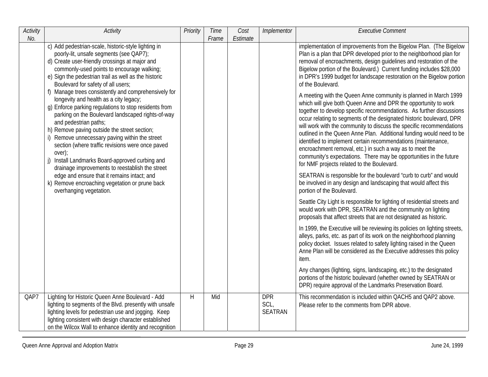| <b>Activity</b><br>No. | Activity                                                                                                                                                                                                                                                                                                                                                                                                                                         | Priority | <b>Time</b><br>Frame | Cost<br>Estimate | Implementor                          | <b>Executive Comment</b>                                                                                                                                                                                                                                                                                                                                                                                                                                                                                                                                                                                                                                                             |
|------------------------|--------------------------------------------------------------------------------------------------------------------------------------------------------------------------------------------------------------------------------------------------------------------------------------------------------------------------------------------------------------------------------------------------------------------------------------------------|----------|----------------------|------------------|--------------------------------------|--------------------------------------------------------------------------------------------------------------------------------------------------------------------------------------------------------------------------------------------------------------------------------------------------------------------------------------------------------------------------------------------------------------------------------------------------------------------------------------------------------------------------------------------------------------------------------------------------------------------------------------------------------------------------------------|
|                        | c) Add pedestrian-scale, historic-style lighting in<br>poorly-lit, unsafe segments (see QAP7);<br>d) Create user-friendly crossings at major and<br>commonly-used points to encourage walking;<br>e) Sign the pedestrian trail as well as the historic<br>Boulevard for safety of all users;<br>f) Manage trees consistently and comprehensively for                                                                                             |          |                      |                  |                                      | implementation of improvements from the Bigelow Plan. (The Bigelow<br>Plan is a plan that DPR developed prior to the neighborhood plan for<br>removal of encroachments, design guidelines and restoration of the<br>Bigelow portion of the Boulevard.) Current funding includes \$28,000<br>in DPR's 1999 budget for landscape restoration on the Bigelow portion<br>of the Boulevard.                                                                                                                                                                                                                                                                                               |
|                        | longevity and health as a city legacy;<br>g) Enforce parking regulations to stop residents from<br>parking on the Boulevard landscaped rights-of-way<br>and pedestrian paths;<br>h) Remove paving outside the street section;<br>i) Remove unnecessary paving within the street<br>section (where traffic revisions were once paved<br>over);<br>Install Landmarks Board-approved curbing and<br>drainage improvements to reestablish the street |          |                      |                  |                                      | A meeting with the Queen Anne community is planned in March 1999<br>which will give both Queen Anne and DPR the opportunity to work<br>together to develop specific recommendations. As further discussions<br>occur relating to segments of the designated historic boulevard, DPR<br>will work with the community to discuss the specific recommendations<br>outlined in the Queen Anne Plan. Additional funding would need to be<br>identified to implement certain recommendations (maintenance,<br>encroachment removal, etc.) in such a way as to meet the<br>community's expectations. There may be opportunities in the future<br>for NMF projects related to the Boulevard. |
|                        | edge and ensure that it remains intact; and<br>k) Remove encroaching vegetation or prune back<br>overhanging vegetation.                                                                                                                                                                                                                                                                                                                         |          |                      |                  |                                      | SEATRAN is responsible for the boulevard "curb to curb" and would<br>be involved in any design and landscaping that would affect this<br>portion of the Boulevard.                                                                                                                                                                                                                                                                                                                                                                                                                                                                                                                   |
|                        |                                                                                                                                                                                                                                                                                                                                                                                                                                                  |          |                      |                  |                                      | Seattle City Light is responsible for lighting of residential streets and<br>would work with DPR, SEATRAN and the community on lighting<br>proposals that affect streets that are not designated as historic.                                                                                                                                                                                                                                                                                                                                                                                                                                                                        |
|                        |                                                                                                                                                                                                                                                                                                                                                                                                                                                  |          |                      |                  |                                      | In 1999, the Executive will be reviewing its policies on lighting streets,<br>alleys, parks, etc. as part of its work on the neighborhood planning<br>policy docket. Issues related to safety lighting raised in the Queen<br>Anne Plan will be considered as the Executive addresses this policy<br>item.                                                                                                                                                                                                                                                                                                                                                                           |
|                        |                                                                                                                                                                                                                                                                                                                                                                                                                                                  |          |                      |                  |                                      | Any changes (lighting, signs, landscaping, etc.) to the designated<br>portions of the historic boulevard (whether owned by SEATRAN or<br>DPR) require approval of the Landmarks Preservation Board.                                                                                                                                                                                                                                                                                                                                                                                                                                                                                  |
| QAP7                   | Lighting for Historic Queen Anne Boulevard - Add<br>lighting to segments of the Blvd. presently with unsafe<br>lighting levels for pedestrian use and jogging. Keep<br>lighting consistent with design character established<br>on the Wilcox Wall to enhance identity and recognition                                                                                                                                                           | H        | Mid                  |                  | <b>DPR</b><br>SCL,<br><b>SEATRAN</b> | This recommendation is included within QACH5 and QAP2 above.<br>Please refer to the comments from DPR above.                                                                                                                                                                                                                                                                                                                                                                                                                                                                                                                                                                         |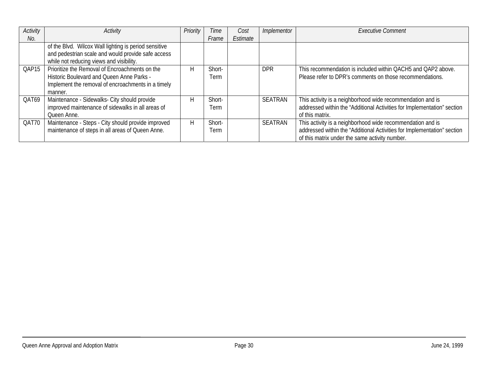| Activity | Activity                                              | Priority | Time   | Cost     | Implementor    | <b>Executive Comment</b>                                                |
|----------|-------------------------------------------------------|----------|--------|----------|----------------|-------------------------------------------------------------------------|
| No.      |                                                       |          | Frame  | Estimate |                |                                                                         |
|          | of the Blvd. Wilcox Wall lighting is period sensitive |          |        |          |                |                                                                         |
|          | and pedestrian scale and would provide safe access    |          |        |          |                |                                                                         |
|          | while not reducing views and visibility.              |          |        |          |                |                                                                         |
| QAP15    | Prioritize the Removal of Encroachments on the        | H        | Short- |          | <b>DPR</b>     | This recommendation is included within QACH5 and QAP2 above.            |
|          | Historic Boulevard and Queen Anne Parks -             |          | Term   |          |                | Please refer to DPR's comments on those recommendations.                |
|          | Implement the removal of encroachments in a timely    |          |        |          |                |                                                                         |
|          | manner.                                               |          |        |          |                |                                                                         |
| QAT69    | Maintenance - Sidewalks- City should provide          | H        | Short- |          | <b>SEATRAN</b> | This activity is a neighborhood wide recommendation and is              |
|          | improved maintenance of sidewalks in all areas of     |          | Term   |          |                | addressed within the "Additional Activities for Implementation" section |
|          | Queen Anne.                                           |          |        |          |                | of this matrix.                                                         |
| QAT70    | Maintenance - Steps - City should provide improved    | H        | Short- |          | <b>SEATRAN</b> | This activity is a neighborhood wide recommendation and is              |
|          | maintenance of steps in all areas of Queen Anne.      |          | Term   |          |                | addressed within the "Additional Activities for Implementation" section |
|          |                                                       |          |        |          |                | of this matrix under the same activity number.                          |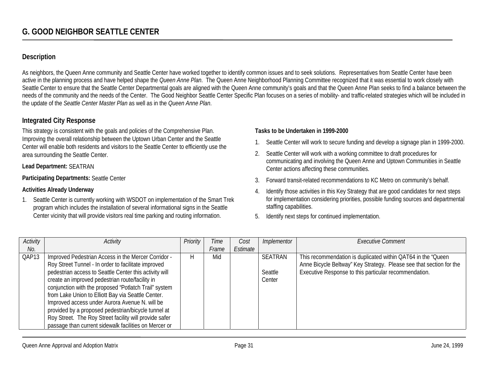# **Description**

As neighbors, the Queen Anne community and Seattle Center have worked together to identify common issues and to seek solutions. Representatives from Seattle Center have been active in the planning process and have helped shape the *Queen Anne Plan*. The Queen Anne Neighborhood Planning Committee recognized that it was essential to work closely with Seattle Center to ensure that the Seattle Center Departmental goals are aligned with the Queen Anne community's goals and that the Queen Anne Plan seeks to find a balance between the needs of the community and the needs of the Center. The Good Neighbor Seattle Center Specific Plan focuses on a series of mobility- and traffic-related strategies which will be included in the update of the *Seattle Center Master Plan* as well as in the *Queen Anne Plan*.

## **Integrated City Response**

This strategy is consistent with the goals and policies of the Comprehensive Plan. Improving the overall relationship between the Uptown Urban Center and the Seattle Center will enable both residents and visitors to the Seattle Center to efficiently use the area surrounding the Seattle Center.

#### **Lead Department:** SEATRAN

#### **Participating Departments:** Seattle Center

#### **Activities Already Underway**

1. Seattle Center is currently working with WSDOT on implementation of the Smart Trek program which includes the installation of several informational signs in the Seattle Center vicinity that will provide visitors real time parking and routing information.

#### **Tasks to be Undertaken in 1999-2000**

- 1. Seattle Center will work to secure funding and develop a signage plan in 1999-2000.
- 2. Seattle Center will work with a working committee to draft procedures for communicating and involving the Queen Anne and Uptown Communities in Seattle Center actions affecting these communities.
- 3. Forward transit-related recommendations to KC Metro on community's behalf.
- 4. Identify those activities in this Key Strategy that are good candidates for next steps for implementation considering priorities, possible funding sources and departmental staffing capabilities.
- 5. Identify next steps for continued implementation.

| Activity | Activity                                               | Priority | Time  | Cost     | Implementor    | <b>Executive Comment</b>                                            |
|----------|--------------------------------------------------------|----------|-------|----------|----------------|---------------------------------------------------------------------|
| No.      |                                                        |          | Frame | Estimate |                |                                                                     |
| QAP13    | Improved Pedestrian Access in the Mercer Corridor -    | H        | Mid   |          | <b>SEATRAN</b> | This recommendation is duplicated within QAT64 in the "Queen"       |
|          | Roy Street Tunnel - In order to facilitate improved    |          |       |          |                | Anne Bicycle Beltway" Key Strategy. Please see that section for the |
|          | pedestrian access to Seattle Center this activity will |          |       |          | Seattle        | Executive Response to this particular recommendation.               |
|          | create an improved pedestrian route/facility in        |          |       |          | Center         |                                                                     |
|          | conjunction with the proposed "Potlatch Trail" system  |          |       |          |                |                                                                     |
|          | from Lake Union to Elliott Bay via Seattle Center.     |          |       |          |                |                                                                     |
|          | Improved access under Aurora Avenue N. will be         |          |       |          |                |                                                                     |
|          | provided by a proposed pedestrian/bicycle tunnel at    |          |       |          |                |                                                                     |
|          | Roy Street. The Roy Street facility will provide safer |          |       |          |                |                                                                     |
|          | passage than current sidewalk facilities on Mercer or  |          |       |          |                |                                                                     |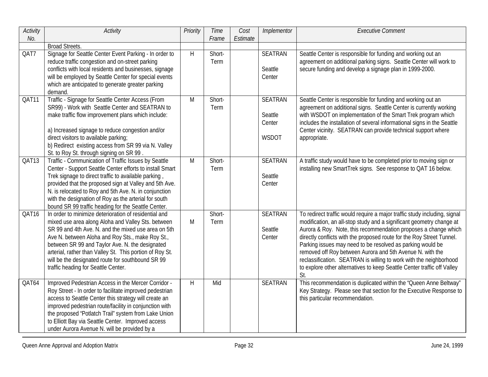| Activity<br>No. | Activity                                                                                                                                                                                                                                                                                                                                                                                                                          | Priority | Time<br>Frame  | Cost<br>Estimate | Implementor                                         | <b>Executive Comment</b>                                                                                                                                                                                                                                                                                                                                                                                                                                                                                                                                                         |
|-----------------|-----------------------------------------------------------------------------------------------------------------------------------------------------------------------------------------------------------------------------------------------------------------------------------------------------------------------------------------------------------------------------------------------------------------------------------|----------|----------------|------------------|-----------------------------------------------------|----------------------------------------------------------------------------------------------------------------------------------------------------------------------------------------------------------------------------------------------------------------------------------------------------------------------------------------------------------------------------------------------------------------------------------------------------------------------------------------------------------------------------------------------------------------------------------|
|                 | <b>Broad Streets.</b>                                                                                                                                                                                                                                                                                                                                                                                                             |          |                |                  |                                                     |                                                                                                                                                                                                                                                                                                                                                                                                                                                                                                                                                                                  |
| QAT7            | Signage for Seattle Center Event Parking - In order to<br>reduce traffic congestion and on-street parking<br>conflicts with local residents and businesses, signage<br>will be employed by Seattle Center for special events<br>which are anticipated to generate greater parking<br>demand.                                                                                                                                      | H        | Short-<br>Term |                  | <b>SEATRAN</b><br>Seattle<br>Center                 | Seattle Center is responsible for funding and working out an<br>agreement on additional parking signs. Seattle Center will work to<br>secure funding and develop a signage plan in 1999-2000.                                                                                                                                                                                                                                                                                                                                                                                    |
| QAT11           | Traffic - Signage for Seattle Center Access (From<br>SR99) - Work with Seattle Center and SEATRAN to<br>make traffic flow improvement plans which include:<br>a) Increased signage to reduce congestion and/or<br>direct visitors to available parking;<br>b) Redirect existing access from SR 99 via N. Valley<br>St. to Roy St. through signing on SR 99.                                                                       | M        | Short-<br>Term |                  | <b>SEATRAN</b><br>Seattle<br>Center<br><b>WSDOT</b> | Seattle Center is responsible for funding and working out an<br>agreement on additional signs. Seattle Center is currently working<br>with WSDOT on implementation of the Smart Trek program which<br>includes the installation of several informational signs in the Seattle<br>Center vicinity. SEATRAN can provide technical support where<br>appropriate.                                                                                                                                                                                                                    |
| QAT13           | Traffic - Communication of Traffic Issues by Seattle<br>Center - Support Seattle Center efforts to install Smart<br>Trek signage to direct traffic to available parking,<br>provided that the proposed sign at Valley and 5th Ave.<br>N. is relocated to Roy and 5th Ave. N. in conjunction<br>with the designation of Roy as the arterial for south<br>bound SR 99 traffic heading for the Seattle Center.                       | M        | Short-<br>Term |                  | <b>SEATRAN</b><br>Seattle<br>Center                 | A traffic study would have to be completed prior to moving sign or<br>installing new SmartTrek signs. See response to QAT 16 below.                                                                                                                                                                                                                                                                                                                                                                                                                                              |
| QAT16           | In order to minimize deterioration of residential and<br>mixed use area along Aloha and Valley Sts. between<br>SR 99 and 4th Ave. N. and the mixed use area on 5th<br>Ave N. between Aloha and Roy Sts., make Roy St.,<br>between SR 99 and Taylor Ave. N. the designated<br>arterial, rather than Valley St. This portion of Roy St.<br>will be the designated route for southbound SR 99<br>traffic heading for Seattle Center. | M        | Short-<br>Term |                  | <b>SEATRAN</b><br>Seattle<br>Center                 | To redirect traffic would require a major traffic study including, signal<br>modification, an all-stop study and a significant geometry change at<br>Aurora & Roy. Note, this recommendation proposes a change which<br>directly conflicts with the proposed route for the Roy Street Tunnel.<br>Parking issues may need to be resolved as parking would be<br>removed off Roy between Aurora and 5th Avenue N. with the<br>reclassification. SEATRAN is willing to work with the neighborhood<br>to explore other alternatives to keep Seattle Center traffic off Valley<br>St. |
| QAT64           | Improved Pedestrian Access in the Mercer Corridor -<br>Roy Street - In order to facilitate improved pedestrian<br>access to Seattle Center this strategy will create an<br>improved pedestrian route/facility in conjunction with<br>the proposed "Potlatch Trail" system from Lake Union<br>to Elliott Bay via Seattle Center. Improved access<br>under Aurora Avenue N. will be provided by a                                   | H        | Mid            |                  | <b>SEATRAN</b>                                      | This recommendation is duplicated within the "Queen Anne Beltway"<br>Key Strategy. Please see that section for the Executive Response to<br>this particular recommendation.                                                                                                                                                                                                                                                                                                                                                                                                      |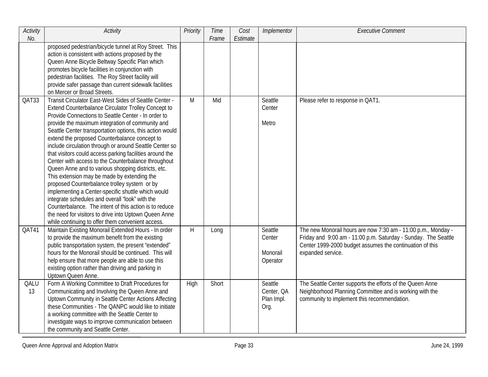| Activity<br>No. | Activity                                                                                                                                                                                                                                                                                                                                                                                                                                                                                                                                                                                                                                                                                                                                                                                                                                                                                                                                                  | Priority | Time<br>Frame | Cost<br>Estimate | Implementor                                 | <b>Executive Comment</b>                                                                                                                                                                                         |
|-----------------|-----------------------------------------------------------------------------------------------------------------------------------------------------------------------------------------------------------------------------------------------------------------------------------------------------------------------------------------------------------------------------------------------------------------------------------------------------------------------------------------------------------------------------------------------------------------------------------------------------------------------------------------------------------------------------------------------------------------------------------------------------------------------------------------------------------------------------------------------------------------------------------------------------------------------------------------------------------|----------|---------------|------------------|---------------------------------------------|------------------------------------------------------------------------------------------------------------------------------------------------------------------------------------------------------------------|
|                 | proposed pedestrian/bicycle tunnel at Roy Street. This<br>action is consistent with actions proposed by the<br>Queen Anne Bicycle Beltway Specific Plan which<br>promotes bicycle facilities in conjunction with<br>pedestrian facilities. The Roy Street facility will<br>provide safer passage than current sidewalk facilities<br>on Mercer or Broad Streets.                                                                                                                                                                                                                                                                                                                                                                                                                                                                                                                                                                                          |          |               |                  |                                             |                                                                                                                                                                                                                  |
| QAT33           | Transit Circulator East-West Sides of Seattle Center -<br>Extend Counterbalance Circulator Trolley Concept to<br>Provide Connections to Seattle Center - In order to<br>provide the maximum integration of community and<br>Seattle Center transportation options, this action would<br>extend the proposed Counterbalance concept to<br>include circulation through or around Seattle Center so<br>that visitors could access parking facilities around the<br>Center with access to the Counterbalance throughout<br>Queen Anne and to various shopping districts, etc.<br>This extension may be made by extending the<br>proposed Counterbalance trolley system or by<br>implementing a Center-specific shuttle which would<br>integrate schedules and overall "look" with the<br>Counterbalance. The intent of this action is to reduce<br>the need for visitors to drive into Uptown Queen Anne<br>while continuing to offer them convenient access. | M        | Mid           |                  | Seattle<br>Center<br>Metro                  | Please refer to response in QAT1.                                                                                                                                                                                |
| QAT41           | Maintain Existing Monorail Extended Hours - In order<br>to provide the maximum benefit from the existing<br>public transportation system, the present "extended"<br>hours for the Monorail should be continued. This will<br>help ensure that more people are able to use this<br>existing option rather than driving and parking in<br>Uptown Queen Anne.                                                                                                                                                                                                                                                                                                                                                                                                                                                                                                                                                                                                | H        | Long          |                  | Seattle<br>Center<br>Monorail<br>Operator   | The new Monorail hours are now 7:30 am - 11:00 p.m., Monday -<br>Friday and 9:00 am - 11:00 p.m. Saturday - Sunday. The Seattle<br>Center 1999-2000 budget assumes the continuation of this<br>expanded service. |
| QALU<br>13      | Form A Working Committee to Draft Procedures for<br>Communicating and Involving the Queen Anne and<br>Uptown Community in Seattle Center Actions Affecting<br>these Communities - The QANPC would like to initiate<br>a working committee with the Seattle Center to<br>investigate ways to improve communication between<br>the community and Seattle Center.                                                                                                                                                                                                                                                                                                                                                                                                                                                                                                                                                                                            | High     | Short         |                  | Seattle<br>Center, QA<br>Plan Impl.<br>Org. | The Seattle Center supports the efforts of the Queen Anne<br>Neighborhood Planning Committee and is working with the<br>community to implement this recommendation.                                              |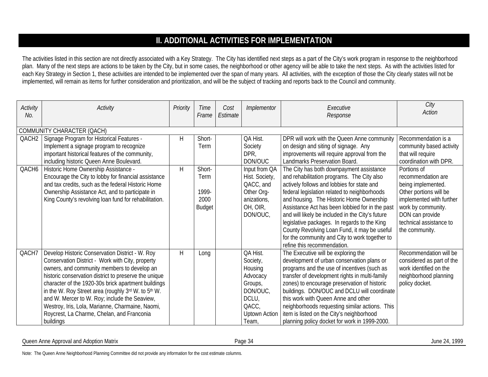# **II. ADDITIONAL ACTIVITIES FOR IMPLEMENTATION**

The activities listed in this section are not directly associated with a Key Strategy. The City has identified next steps as a part of the City's work program in response to the neighborhood plan. Many of the next steps are actions to be taken by the City, but in some cases, the neighborhood or other agency will be able to take the next steps. As with the activities listed for each Key Strategy in Section 1, these activities are intended to be implemented over the span of many years. All activities, with the exception of those the City clearly states will not be implemented, will remain as items for further consideration and prioritization, and will be the subject of tracking and reports back to the Council and community.

| Activity<br>No.   | Activity                                                                                                                                                                                                                                                                                                                                                                                                                                                                                  | Priority | Time<br>Frame                                    | Cost<br>Estimate | Implementor                                                                                                           | Executive<br>Response                                                                                                                                                                                                                                                                                                                                                                                                                                                                                                    | City<br><b>Action</b>                                                                                                                                                                               |
|-------------------|-------------------------------------------------------------------------------------------------------------------------------------------------------------------------------------------------------------------------------------------------------------------------------------------------------------------------------------------------------------------------------------------------------------------------------------------------------------------------------------------|----------|--------------------------------------------------|------------------|-----------------------------------------------------------------------------------------------------------------------|--------------------------------------------------------------------------------------------------------------------------------------------------------------------------------------------------------------------------------------------------------------------------------------------------------------------------------------------------------------------------------------------------------------------------------------------------------------------------------------------------------------------------|-----------------------------------------------------------------------------------------------------------------------------------------------------------------------------------------------------|
|                   | COMMUNITY CHARACTER (QACH)                                                                                                                                                                                                                                                                                                                                                                                                                                                                |          |                                                  |                  |                                                                                                                       |                                                                                                                                                                                                                                                                                                                                                                                                                                                                                                                          |                                                                                                                                                                                                     |
| QACH <sub>2</sub> | Signage Program for Historical Features -<br>Implement a signage program to recognize<br>important historical features of the community,<br>including historic Queen Anne Boulevard.                                                                                                                                                                                                                                                                                                      | H        | Short-<br>Term                                   |                  | QA Hist.<br>Society<br>DPR,<br>DON/OUC                                                                                | DPR will work with the Queen Anne community<br>on design and siting of signage. Any<br>improvements will require approval from the<br>Landmarks Preservation Board.                                                                                                                                                                                                                                                                                                                                                      | Recommendation is a<br>community based activity<br>that will require<br>coordination with DPR.                                                                                                      |
| QACH6             | Historic Home Ownership Assistance -<br>Encourage the City to lobby for financial assistance<br>and tax credits, such as the federal Historic Home<br>Ownership Assistance Act, and to participate in<br>King County's revolving loan fund for rehabilitation.                                                                                                                                                                                                                            | H        | Short-<br>Term<br>1999-<br>2000<br><b>Budget</b> |                  | Input from QA<br>Hist. Society,<br>QACC, and<br>Other Org-<br>anizations,<br>OH, OIR,<br>DON/OUC,                     | The City has both downpayment assistance<br>and rehabilitation programs. The City also<br>actively follows and lobbies for state and<br>federal legislation related to neighborhoods<br>and housing. The Historic Home Ownership<br>Assistance Act has been lobbied for in the past<br>and will likely be included in the City's future<br>legislative packages. In regards to the King<br>County Revolving Loan Fund, it may be useful<br>for the community and City to work together to<br>refine this recommendation. | Portions of<br>recommendation are<br>being implemented.<br>Other portions will be<br>implemented with further<br>work by community.<br>DON can provide<br>technical assistance to<br>the community. |
| QACH7             | Develop Historic Conservation District - W. Roy<br>Conservation District - Work with City, property<br>owners, and community members to develop an<br>historic conservation district to preserve the unique<br>character of the 1920-30s brick apartment buildings<br>in the W. Roy Street area (roughly 3rd W. to 5th W.<br>and W. Mercer to W. Roy; include the Seaview,<br>Westroy, Iris, Lola, Marianne, Charmaine, Naomi,<br>Roycrest, La Charme, Chelan, and Franconia<br>buildings | H        | Long                                             |                  | QA Hist.<br>Society,<br>Housing<br>Advocacy<br>Groups,<br>DON/OUC,<br>DCLU,<br>QACC,<br><b>Uptown Action</b><br>Team, | The Executive will be exploring the<br>development of urban conservation plans or<br>programs and the use of incentives (such as<br>transfer of development rights in multi-family<br>zones) to encourage preservation of historic<br>buildings. DON/OUC and DCLU will coordinate<br>this work with Queen Anne and other<br>neighborhoods requesting similar actions. This<br>item is listed on the City's neighborhood<br>planning policy docket for work in 1999-2000.                                                 | Recommendation will be<br>considered as part of the<br>work identified on the<br>neighborhood planning<br>policy docket.                                                                            |

Queen Anne Approval and Adoption Matrix and according the control of the Case of the Case of the Case of the Case of the Case of the Case of the Case of the Case of the Case of the Case of the Case of the Case of the Case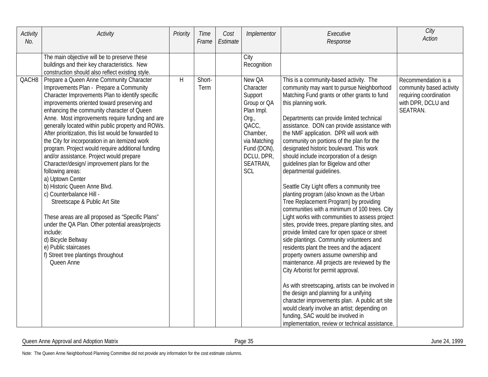| Activity<br>No.   | Activity                                                                                                                                                                                                                                                                                                                                                                                                                                                                                                                                                                                                                                                                                                                                                                                                                                                                                                                                                              | Priority | <b>Time</b><br>Frame | Cost<br>Estimate | Implementor                                                                                                                                               | Executive<br>Response                                                                                                                                                                                                                                                                                                                                                                                                                                                                                                                                                                                                                                                                                                                                                                                                                                                                                                                                                                                                                                                                                                                                                                                                                                                                                                                                                         | City<br><b>Action</b>                                                                                       |
|-------------------|-----------------------------------------------------------------------------------------------------------------------------------------------------------------------------------------------------------------------------------------------------------------------------------------------------------------------------------------------------------------------------------------------------------------------------------------------------------------------------------------------------------------------------------------------------------------------------------------------------------------------------------------------------------------------------------------------------------------------------------------------------------------------------------------------------------------------------------------------------------------------------------------------------------------------------------------------------------------------|----------|----------------------|------------------|-----------------------------------------------------------------------------------------------------------------------------------------------------------|-------------------------------------------------------------------------------------------------------------------------------------------------------------------------------------------------------------------------------------------------------------------------------------------------------------------------------------------------------------------------------------------------------------------------------------------------------------------------------------------------------------------------------------------------------------------------------------------------------------------------------------------------------------------------------------------------------------------------------------------------------------------------------------------------------------------------------------------------------------------------------------------------------------------------------------------------------------------------------------------------------------------------------------------------------------------------------------------------------------------------------------------------------------------------------------------------------------------------------------------------------------------------------------------------------------------------------------------------------------------------------|-------------------------------------------------------------------------------------------------------------|
|                   | The main objective will be to preserve these<br>buildings and their key characteristics. New<br>construction should also reflect existing style.                                                                                                                                                                                                                                                                                                                                                                                                                                                                                                                                                                                                                                                                                                                                                                                                                      |          |                      |                  | City<br>Recognition                                                                                                                                       |                                                                                                                                                                                                                                                                                                                                                                                                                                                                                                                                                                                                                                                                                                                                                                                                                                                                                                                                                                                                                                                                                                                                                                                                                                                                                                                                                                               |                                                                                                             |
| QACH <sub>8</sub> | Prepare a Queen Anne Community Character<br>Improvements Plan - Prepare a Community<br>Character Improvements Plan to identify specific<br>improvements oriented toward preserving and<br>enhancing the community character of Queen<br>Anne. Most improvements require funding and are<br>generally located within public property and ROWs.<br>After prioritization, this list would be forwarded to<br>the City for incorporation in an itemized work<br>program. Project would require additional funding<br>and/or assistance. Project would prepare<br>Character/design/ improvement plans for the<br>following areas:<br>a) Uptown Center<br>b) Historic Queen Anne Blvd.<br>c) Counterbalance Hill -<br>Streetscape & Public Art Site<br>These areas are all proposed as "Specific Plans"<br>under the QA Plan. Other potential areas/projects<br>include:<br>d) Bicycle Beltway<br>e) Public staircases<br>f) Street tree plantings throughout<br>Queen Anne | H        | Short-<br>Term       |                  | New QA<br>Character<br>Support<br>Group or QA<br>Plan Impl.<br>Org.,<br>QACC,<br>Chamber,<br>via Matching<br>Fund (DON),<br>DCLU, DPR,<br>SEATRAN,<br>SCL | This is a community-based activity. The<br>community may want to pursue Neighborhood<br>Matching Fund grants or other grants to fund<br>this planning work.<br>Departments can provide limited technical<br>assistance. DON can provide assistance with<br>the NMF application. DPR will work with<br>community on portions of the plan for the<br>designated historic boulevard. This work<br>should include incorporation of a design<br>guidelines plan for Bigelow and other<br>departmental guidelines.<br>Seattle City Light offers a community tree<br>planting program (also known as the Urban<br>Tree Replacement Program) by providing<br>communities with a minimum of 100 trees. City<br>Light works with communities to assess project<br>sites, provide trees, prepare planting sites, and<br>provide limited care for open space or street<br>side plantings. Community volunteers and<br>residents plant the trees and the adjacent<br>property owners assume ownership and<br>maintenance. All projects are reviewed by the<br>City Arborist for permit approval.<br>As with streetscaping, artists can be involved in<br>the design and planning for a unifying<br>character improvements plan. A public art site<br>would clearly involve an artist; depending on<br>funding, SAC would be involved in<br>implementation, review or technical assistance. | Recommendation is a<br>community based activity<br>requiring coordination<br>with DPR, DCLU and<br>SEATRAN. |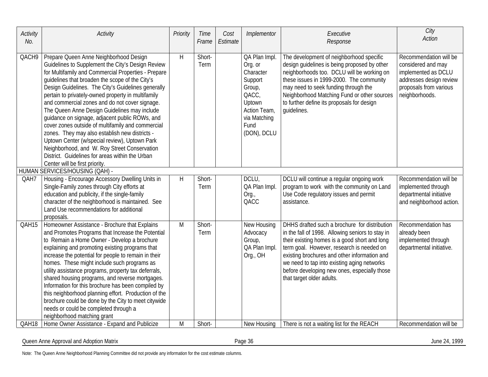| Activity<br>No. | Activity                                                                                                                                                                                                                                                                                                                                                                                                                                                                                                                                                                                                                                                                                                                                                           | Priority | Time<br>Frame  | Cost<br>Estimate | Implementor                                                                                                                          | Executive<br>Response                                                                                                                                                                                                                                                                                                                                                       | City<br><b>Action</b>                                                                                                                      |
|-----------------|--------------------------------------------------------------------------------------------------------------------------------------------------------------------------------------------------------------------------------------------------------------------------------------------------------------------------------------------------------------------------------------------------------------------------------------------------------------------------------------------------------------------------------------------------------------------------------------------------------------------------------------------------------------------------------------------------------------------------------------------------------------------|----------|----------------|------------------|--------------------------------------------------------------------------------------------------------------------------------------|-----------------------------------------------------------------------------------------------------------------------------------------------------------------------------------------------------------------------------------------------------------------------------------------------------------------------------------------------------------------------------|--------------------------------------------------------------------------------------------------------------------------------------------|
| QACH9           | Prepare Queen Anne Neighborhood Design<br>Guidelines to Supplement the City's Design Review<br>for Multifamily and Commercial Properties - Prepare<br>quidelines that broaden the scope of the City's<br>Design Guidelines. The City's Guidelines generally<br>pertain to privately-owned property in multifamily<br>and commercial zones and do not cover signage.<br>The Queen Anne Design Guidelines may include<br>guidance on signage, adjacent public ROWs, and<br>cover zones outside of multifamily and commercial<br>zones. They may also establish new districts -<br>Uptown Center (w/special review), Uptown Park<br>Neighborhood, and W. Roy Street Conservation<br>District. Guidelines for areas within the Urban<br>Center will be first priority. | H        | Short-<br>Term |                  | QA Plan Impl.<br>Org. or<br>Character<br>Support<br>Group,<br>QACC,<br>Uptown<br>Action Team,<br>via Matching<br>Fund<br>(DON), DCLU | The development of neighborhood specific<br>design guidelines is being proposed by other<br>neighborhoods too. DCLU will be working on<br>these issues in 1999-2000. The community<br>may need to seek funding through the<br>Neighborhood Matching Fund or other sources<br>to further define its proposals for design<br>quidelines.                                      | Recommendation will be<br>considered and may<br>implemented as DCLU<br>addresses design review<br>proposals from various<br>neighborhoods. |
|                 | HUMAN SERVICES/HOUSING (QAH) -                                                                                                                                                                                                                                                                                                                                                                                                                                                                                                                                                                                                                                                                                                                                     |          |                |                  |                                                                                                                                      |                                                                                                                                                                                                                                                                                                                                                                             |                                                                                                                                            |
| QAH7            | Housing - Encourage Accessory Dwelling Units in<br>Single-Family zones through City efforts at<br>education and publicity, if the single-family<br>character of the neighborhood is maintained. See<br>Land Use recommendations for additional<br>proposals.                                                                                                                                                                                                                                                                                                                                                                                                                                                                                                       | H        | Short-<br>Term |                  | DCLU,<br>QA Plan Impl.<br>Org.,<br>QACC                                                                                              | DCLU will continue a regular ongoing work<br>program to work with the community on Land<br>Use Code regulatory issues and permit<br>assistance.                                                                                                                                                                                                                             | Recommendation will be<br>implemented through<br>departmental initiative<br>and neighborhood action.                                       |
| QAH15           | Homeowner Assistance - Brochure that Explains<br>and Promotes Programs that Increase the Potential<br>to Remain a Home Owner - Develop a brochure<br>explaining and promoting existing programs that<br>increase the potential for people to remain in their<br>homes. These might include such programs as<br>utility assistance programs, property tax deferrals,<br>shared housing programs, and reverse mortgages.<br>Information for this brochure has been compiled by<br>this neighborhood planning effort. Production of the<br>brochure could be done by the City to meet citywide<br>needs or could be completed through a<br>neighborhood matching grant                                                                                                | M        | Short-<br>Term |                  | New Housing<br>Advocacy<br>Group,<br>QA Plan Impl.<br>Org., OH                                                                       | DHHS drafted such a brochure for distribution<br>in the fall of 1998. Allowing seniors to stay in<br>their existing homes is a good short and long<br>term goal. However, research is needed on<br>existing brochures and other information and<br>we need to tap into existing aging networks<br>before developing new ones, especially those<br>that target older adults. | Recommendation has<br>already been<br>implemented through<br>departmental initiative.                                                      |
| QAH18           | Home Owner Assistance - Expand and Publicize                                                                                                                                                                                                                                                                                                                                                                                                                                                                                                                                                                                                                                                                                                                       | M        | Short-         |                  | New Housing                                                                                                                          | There is not a waiting list for the REACH                                                                                                                                                                                                                                                                                                                                   | Recommendation will be                                                                                                                     |

Queen Anne Approval and Adoption Matrix **Contract Contract Contract Contract Contract Contract Contract Contract Contract Contract Contract Contract Contract Contract Contract Contract Contract Contract Contract Contract C** 

Note: The Queen Anne Neighborhood Planning Committee did not provide any information for the cost estimate columns.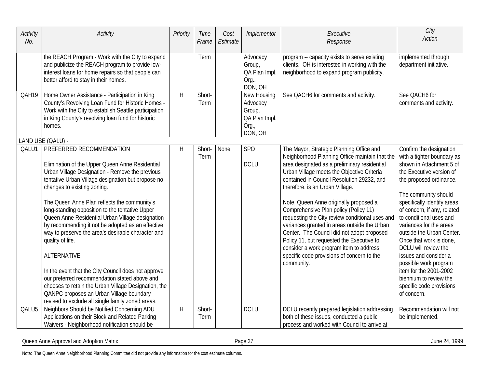| Activity<br>No. | Activity                                                                                                                                                                                                                                                                                                                                                        | Priority | <b>Time</b><br>Frame  | Cost<br>Estimate | Implementor                                                            | Executive<br>Response                                                                                                                                                                                                                                                                                                                                                                | City<br><b>Action</b>                                                                                                                                                                                                                                                        |
|-----------------|-----------------------------------------------------------------------------------------------------------------------------------------------------------------------------------------------------------------------------------------------------------------------------------------------------------------------------------------------------------------|----------|-----------------------|------------------|------------------------------------------------------------------------|--------------------------------------------------------------------------------------------------------------------------------------------------------------------------------------------------------------------------------------------------------------------------------------------------------------------------------------------------------------------------------------|------------------------------------------------------------------------------------------------------------------------------------------------------------------------------------------------------------------------------------------------------------------------------|
|                 | the REACH Program - Work with the City to expand<br>and publicize the REACH program to provide low-<br>interest loans for home repairs so that people can<br>better afford to stay in their homes.                                                                                                                                                              |          | Term                  |                  | Advocacy<br>Group,<br>QA Plan Impl.<br>Org.,<br>DON, OH                | program -- capacity exists to serve existing<br>clients. OH is interested in working with the<br>neighborhood to expand program publicity.                                                                                                                                                                                                                                           | implemented through<br>department initiative.                                                                                                                                                                                                                                |
| QAH19           | Home Owner Assistance - Participation in King<br>County's Revolving Loan Fund for Historic Homes -<br>Work with the City to establish Seattle participation<br>in King County's revolving loan fund for historic<br>homes.                                                                                                                                      | H        | Short-<br>Term        |                  | New Housing<br>Advocacy<br>Group.<br>QA Plan Impl.<br>Org.,<br>DON, OH | See QACH6 for comments and activity.                                                                                                                                                                                                                                                                                                                                                 | See QACH6 for<br>comments and activity.                                                                                                                                                                                                                                      |
|                 | LAND USE (QALU) -                                                                                                                                                                                                                                                                                                                                               |          |                       |                  |                                                                        |                                                                                                                                                                                                                                                                                                                                                                                      |                                                                                                                                                                                                                                                                              |
| QALU1           | PREFERRED RECOMMENDATION<br>Elimination of the Upper Queen Anne Residential<br>Urban Village Designation - Remove the previous<br>tentative Urban Village designation but propose no<br>changes to existing zoning.                                                                                                                                             | Н        | Short-<br>Term        | None             | SP <sub>O</sub><br><b>DCLU</b>                                         | The Mayor, Strategic Planning Office and<br>Neighborhood Planning Office maintain that the<br>area designated as a preliminary residential<br>Urban Village meets the Objective Criteria<br>contained in Council Resolution 29232, and<br>therefore, is an Urban Village.                                                                                                            | Confirm the designation<br>with a tighter boundary as<br>shown in Attachment 5 of<br>the Executive version of<br>the proposed ordinance.<br>The community should                                                                                                             |
|                 | The Queen Anne Plan reflects the community's<br>long-standing opposition to the tentative Upper<br>Queen Anne Residential Urban Village designation<br>by recommending it not be adopted as an effective<br>way to preserve the area's desirable character and<br>quality of life.<br><b>ALTERNATIVE</b><br>In the event that the City Council does not approve |          |                       |                  |                                                                        | Note, Queen Anne originally proposed a<br>Comprehensive Plan policy (Policy 11)<br>requesting the City review conditional uses and<br>variances granted in areas outside the Urban<br>Center. The Council did not adopt proposed<br>Policy 11, but requested the Executive to<br>consider a work program item to address<br>specific code provisions of concern to the<br>community. | specifically identify areas<br>of concern, if any, related<br>to conditional uses and<br>variances for the areas<br>outside the Urban Center.<br>Once that work is done,<br>DCLU will review the<br>issues and consider a<br>possible work program<br>item for the 2001-2002 |
|                 | our preferred recommendation stated above and<br>chooses to retain the Urban Village Designation, the<br>QANPC proposes an Urban Village boundary<br>revised to exclude all single family zoned areas.                                                                                                                                                          |          |                       |                  |                                                                        |                                                                                                                                                                                                                                                                                                                                                                                      | biennium to review the<br>specific code provisions<br>of concern.                                                                                                                                                                                                            |
| QALU5           | Neighbors Should be Notified Concerning ADU<br>Applications on their Block and Related Parking<br>Waivers - Neighborhood notification should be                                                                                                                                                                                                                 | Η        | Short-<br><b>Term</b> |                  | <b>DCLU</b>                                                            | DCLU recently prepared legislation addressing<br>both of these issues, conducted a public<br>process and worked with Council to arrive at                                                                                                                                                                                                                                            | Recommendation will not<br>be implemented.                                                                                                                                                                                                                                   |

Queen Anne Approval and Adoption Matrix **Exercise 24, 1999** Page 37 June 24, 1999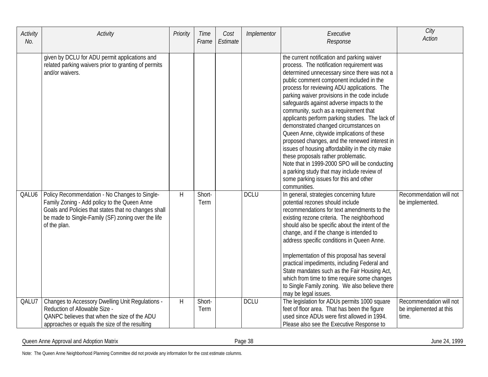| Activity<br>No. | Activity                                                                                                                                                                                                                    | Priority | Time<br>Frame  | Cost<br>Estimate | Implementor | Executive<br>Response                                                                                                                                                                                                                                                                                                                                                                                                                                                                                                                                                                                                                                                                                                                                                                                                     | City<br><b>Action</b>                                      |
|-----------------|-----------------------------------------------------------------------------------------------------------------------------------------------------------------------------------------------------------------------------|----------|----------------|------------------|-------------|---------------------------------------------------------------------------------------------------------------------------------------------------------------------------------------------------------------------------------------------------------------------------------------------------------------------------------------------------------------------------------------------------------------------------------------------------------------------------------------------------------------------------------------------------------------------------------------------------------------------------------------------------------------------------------------------------------------------------------------------------------------------------------------------------------------------------|------------------------------------------------------------|
|                 | given by DCLU for ADU permit applications and<br>related parking waivers prior to granting of permits<br>and/or waivers.                                                                                                    |          |                |                  |             | the current notification and parking waiver<br>process. The notification requirement was<br>determined unnecessary since there was not a<br>public comment component included in the<br>process for reviewing ADU applications. The<br>parking waiver provisions in the code include<br>safeguards against adverse impacts to the<br>community, such as a requirement that<br>applicants perform parking studies. The lack of<br>demonstrated changed circumstances on<br>Queen Anne, citywide implications of these<br>proposed changes, and the renewed interest in<br>issues of housing affordability in the city make<br>these proposals rather problematic.<br>Note that in 1999-2000 SPO will be conducting<br>a parking study that may include review of<br>some parking issues for this and other<br>communities. |                                                            |
| QALU6           | Policy Recommendation - No Changes to Single-<br>Family Zoning - Add policy to the Queen Anne<br>Goals and Policies that states that no changes shall<br>be made to Single-Family (SF) zoning over the life<br>of the plan. | H        | Short-<br>Term |                  | <b>DCLU</b> | In general, strategies concerning future<br>potential rezones should include<br>recommendations for text amendments to the<br>existing rezone criteria. The neighborhood<br>should also be specific about the intent of the<br>change, and if the change is intended to<br>address specific conditions in Queen Anne.<br>Implementation of this proposal has several<br>practical impediments, including Federal and<br>State mandates such as the Fair Housing Act,<br>which from time to time require some changes<br>to Single Family zoning. We also believe there<br>may be legal issues.                                                                                                                                                                                                                            | Recommendation will not<br>be implemented.                 |
| QALU7           | <b>Changes to Accessory Dwelling Unit Regulations -</b><br>Reduction of Allowable Size -<br>QANPC believes that when the size of the ADU<br>approaches or equals the size of the resulting                                  | H        | Short-<br>Term |                  | <b>DCLU</b> | The legislation for ADUs permits 1000 square<br>feet of floor area. That has been the figure<br>used since ADUs were first allowed in 1994.<br>Please also see the Executive Response to                                                                                                                                                                                                                                                                                                                                                                                                                                                                                                                                                                                                                                  | Recommendation will not<br>be implemented at this<br>time. |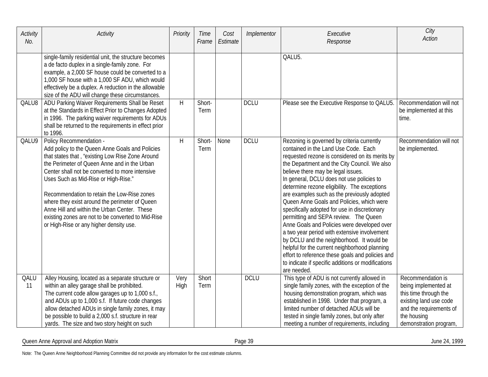| Activity<br>No. | Activity                                                                                                                                                                                                                                                                                                                                                                                                                                                                                                                    | Priority     | Time<br>Frame  | Cost<br>Estimate | Implementor | Executive<br>Response                                                                                                                                                                                                                                                                                                                                                                                                                                                                                                                                                                                                                                                                                                                                                                                                                | City<br><b>Action</b>                                                                                                                                            |
|-----------------|-----------------------------------------------------------------------------------------------------------------------------------------------------------------------------------------------------------------------------------------------------------------------------------------------------------------------------------------------------------------------------------------------------------------------------------------------------------------------------------------------------------------------------|--------------|----------------|------------------|-------------|--------------------------------------------------------------------------------------------------------------------------------------------------------------------------------------------------------------------------------------------------------------------------------------------------------------------------------------------------------------------------------------------------------------------------------------------------------------------------------------------------------------------------------------------------------------------------------------------------------------------------------------------------------------------------------------------------------------------------------------------------------------------------------------------------------------------------------------|------------------------------------------------------------------------------------------------------------------------------------------------------------------|
|                 | single-family residential unit, the structure becomes<br>a de facto duplex in a single-family zone. For<br>example, a 2,000 SF house could be converted to a<br>1,000 SF house with a 1,000 SF ADU, which would<br>effectively be a duplex. A reduction in the allowable<br>size of the ADU will change these circumstances.                                                                                                                                                                                                |              |                |                  |             | QALU5.                                                                                                                                                                                                                                                                                                                                                                                                                                                                                                                                                                                                                                                                                                                                                                                                                               |                                                                                                                                                                  |
| QALU8           | ADU Parking Waiver Requirements Shall be Reset<br>at the Standards in Effect Prior to Changes Adopted<br>in 1996. The parking waiver requirements for ADUs<br>shall be returned to the requirements in effect prior<br>to 1996.                                                                                                                                                                                                                                                                                             | H            | Short-<br>Term |                  | <b>DCLU</b> | Please see the Executive Response to QALU5.                                                                                                                                                                                                                                                                                                                                                                                                                                                                                                                                                                                                                                                                                                                                                                                          | Recommendation will not<br>be implemented at this<br>time.                                                                                                       |
| QALU9           | Policy Recommendation -<br>Add policy to the Queen Anne Goals and Policies<br>that states that, "existing Low Rise Zone Around<br>the Perimeter of Queen Anne and in the Urban<br>Center shall not be converted to more intensive<br>Uses Such as Mid-Rise or High-Rise."<br>Recommendation to retain the Low-Rise zones<br>where they exist around the perimeter of Queen<br>Anne Hill and within the Urban Center. These<br>existing zones are not to be converted to Mid-Rise<br>or High-Rise or any higher density use. | H            | Short-<br>Term | None             | <b>DCLU</b> | Rezoning is governed by criteria currently<br>contained in the Land Use Code. Each<br>requested rezone is considered on its merits by<br>the Department and the City Council. We also<br>believe there may be legal issues.<br>In general, DCLU does not use policies to<br>determine rezone eligibility. The exceptions<br>are examples such as the previously adopted<br>Queen Anne Goals and Policies, which were<br>specifically adopted for use in discretionary<br>permitting and SEPA review. The Queen<br>Anne Goals and Policies were developed over<br>a two year period with extensive involvement<br>by DCLU and the neighborhood. It would be<br>helpful for the current neighborhood planning<br>effort to reference these goals and policies and<br>to indicate if specific additions or modifications<br>are needed. | Recommendation will not<br>be implemented.                                                                                                                       |
| QALU<br>11      | Alley Housing, located as a separate structure or<br>within an alley garage shall be prohibited.<br>The current code allow garages up to 1,000 s.f.,<br>and ADUs up to 1,000 s.f. If future code changes<br>allow detached ADUs in single family zones, it may<br>be possible to build a 2,000 s.f. structure in rear<br>yards. The size and two story height on such                                                                                                                                                       | Very<br>High | Short<br>Term  |                  | <b>DCLU</b> | This type of ADU is not currently allowed in<br>single family zones, with the exception of the<br>housing demonstration program, which was<br>established in 1998. Under that program, a<br>limited number of detached ADUs will be<br>tested in single family zones, but only after<br>meeting a number of requirements, including                                                                                                                                                                                                                                                                                                                                                                                                                                                                                                  | Recommendation is<br>being implemented at<br>this time through the<br>existing land use code<br>and the requirements of<br>the housing<br>demonstration program, |

Queen Anne Approval and Adoption Matrix Page 39 June 24, 1999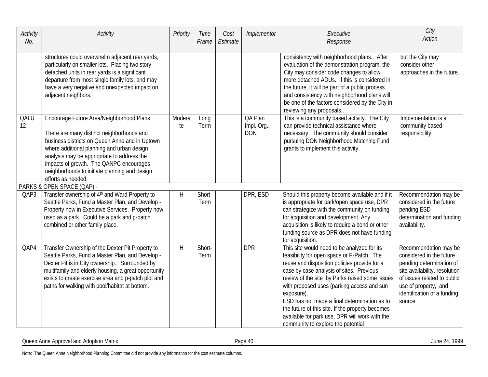| Activity<br>No. | Activity                                                                                                                                                                                                                                                                                                                                              | Priority     | Time<br>Frame  | Cost<br>Estimate | Implementor                          | Executive<br>Response                                                                                                                                                                                                                                                                                                                                                                                                                                                                           | City<br><b>Action</b>                                                                                                                                                                                           |
|-----------------|-------------------------------------------------------------------------------------------------------------------------------------------------------------------------------------------------------------------------------------------------------------------------------------------------------------------------------------------------------|--------------|----------------|------------------|--------------------------------------|-------------------------------------------------------------------------------------------------------------------------------------------------------------------------------------------------------------------------------------------------------------------------------------------------------------------------------------------------------------------------------------------------------------------------------------------------------------------------------------------------|-----------------------------------------------------------------------------------------------------------------------------------------------------------------------------------------------------------------|
|                 | structures could overwhelm adjacent rear yards,<br>particularly on smaller lots. Placing two story<br>detached units in rear yards is a significant<br>departure from most single family lots, and may<br>have a very negative and unexpected impact on<br>adjacent neighbors.                                                                        |              |                |                  |                                      | consistency with neighborhood plans After<br>evaluation of the demonstration program, the<br>City may consider code changes to allow<br>more detached ADUs. If this is considered in<br>the future, it will be part of a public process<br>and consistency with neighborhood plans will<br>be one of the factors considered by the City in<br>reviewing any proposals                                                                                                                           | but the City may<br>consider other<br>approaches in the future.                                                                                                                                                 |
| QALU<br>12      | Encourage Future Area/Neighborhood Plans<br>There are many distinct neighborhoods and<br>business districts on Queen Anne and in Uptown<br>where additional planning and urban design<br>analysis may be appropriate to address the<br>impacts of growth. The QANPC encourages<br>neighborhoods to initiate planning and design<br>efforts as needed. | Modera<br>te | Long<br>Term   |                  | QA Plan<br>Impl. Org.,<br><b>DON</b> | This is a community based activity. The City<br>can provide technical assistance where<br>necessary. The community should consider<br>pursuing DON Neighborhood Matching Fund<br>grants to implement this activity.                                                                                                                                                                                                                                                                             | Implementation is a<br>community based<br>responsibility.                                                                                                                                                       |
|                 | PARKS & OPEN SPACE (QAP) -                                                                                                                                                                                                                                                                                                                            |              |                |                  |                                      |                                                                                                                                                                                                                                                                                                                                                                                                                                                                                                 |                                                                                                                                                                                                                 |
| QAP3            | Transfer ownership of 4th and Ward Property to<br>Seattle Parks, Fund a Master Plan, and Develop -<br>Property now in Executive Services. Property now<br>used as a park. Could be a park and p-patch<br>combined or other family place.                                                                                                              | H            | Short-<br>Term |                  | DPR, ESD                             | Should this property become available and if it<br>is appropriate for park/open space use, DPR<br>can strategize with the community on funding<br>for acquisition and development. Any<br>acquisition is likely to require a bond or other<br>funding source as DPR does not have funding<br>for acquisition.                                                                                                                                                                                   | Recommendation may be<br>considered in the future<br>pending ESD<br>determination and funding<br>availability.                                                                                                  |
| QAP4            | Transfer Ownership of the Dexter Pit Property to<br>Seattle Parks, Fund a Master Plan, and Develop -<br>Dexter Pit is in City ownership. Surrounded by<br>multifamily and elderly housing, a great opportunity<br>exists to create exercise area and p-patch plot and<br>paths for walking with pool/habitat at bottom.                               | H            | Short-<br>Term |                  | <b>DPR</b>                           | This site would need to be analyzed for its<br>feasibility for open space or P-Patch. The<br>reuse and disposition policies provide for a<br>case by case analysis of sites. Previous<br>review of the site by Parks raised some issues<br>with proposed uses (parking access and sun<br>exposure).<br>ESD has not made a final determination as to<br>the future of this site. If the property becomes<br>available for park use, DPR will work with the<br>community to explore the potential | Recommendation may be<br>considered in the future<br>pending determination of<br>site availability, resolution<br>of issues related to public<br>use of property, and<br>identification of a funding<br>source. |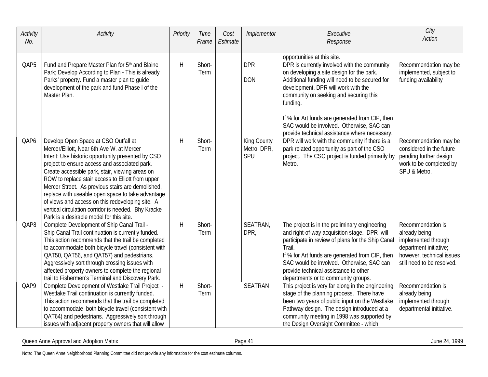| Activity<br>No. | Activity                                                                                                                                                                                                                                                                                                                                                                                                                                                                                                                                                         | Priority     | Time<br>Frame  | Cost<br>Estimate | Implementor                              | Executive<br>Response                                                                                                                                                                                                                                                                                                                                                                     | City<br><b>Action</b>                                                                                                                          |
|-----------------|------------------------------------------------------------------------------------------------------------------------------------------------------------------------------------------------------------------------------------------------------------------------------------------------------------------------------------------------------------------------------------------------------------------------------------------------------------------------------------------------------------------------------------------------------------------|--------------|----------------|------------------|------------------------------------------|-------------------------------------------------------------------------------------------------------------------------------------------------------------------------------------------------------------------------------------------------------------------------------------------------------------------------------------------------------------------------------------------|------------------------------------------------------------------------------------------------------------------------------------------------|
|                 |                                                                                                                                                                                                                                                                                                                                                                                                                                                                                                                                                                  |              |                |                  |                                          | opportunities at this site.                                                                                                                                                                                                                                                                                                                                                               |                                                                                                                                                |
| QAP5            | Fund and Prepare Master Plan for 5th and Blaine<br>Park; Develop According to Plan - This is already<br>Parks' property. Fund a master plan to guide<br>development of the park and fund Phase I of the<br>Master Plan.                                                                                                                                                                                                                                                                                                                                          | H            | Short-<br>Term |                  | <b>DPR</b><br><b>DON</b>                 | DPR is currently involved with the community<br>on developing a site design for the park.<br>Additional funding will need to be secured for<br>development. DPR will work with the<br>community on seeking and securing this<br>funding.<br>If % for Art funds are generated from CIP, then<br>SAC would be involved. Otherwise, SAC can<br>provide technical assistance where necessary. | Recommendation may be<br>implemented, subject to<br>funding availability                                                                       |
| QAP6            | Develop Open Space at CSO Outfall at<br>Mercer/Elliott, Near 6th Ave W. at Mercer<br>Intent: Use historic opportunity presented by CSO<br>project to ensure access and associated park.<br>Create accessible park, stair, viewing areas on<br>ROW to replace stair access to Elliott from upper<br>Mercer Street. As previous stairs are demolished,<br>replace with useable open space to take advantage<br>of views and access on this redeveloping site. A<br>vertical circulation corridor is needed. Bhy Kracke<br>Park is a desirable model for this site. | $\mathsf{H}$ | Short-<br>Term |                  | <b>King County</b><br>Metro, DPR,<br>SPU | DPR will work with the community if there is a<br>park related opportunity as part of the CSO<br>project. The CSO project is funded primarily by<br>Metro.                                                                                                                                                                                                                                | Recommendation may be<br>considered in the future<br>pending further design<br>work to be completed by<br>SPU & Metro.                         |
| QAP8            | Complete Development of Ship Canal Trail -<br>Ship Canal Trail continuation is currently funded.<br>This action recommends that the trail be completed<br>to accommodate both bicycle travel (consistent with<br>QAT50, QAT56, and QAT57) and pedestrians.<br>Aggressively sort through crossing issues with<br>affected property owners to complete the regional<br>trail to Fishermen's Terminal and Discovery Park.                                                                                                                                           | H            | Short-<br>Term |                  | SEATRAN,<br>DPR,                         | The project is in the preliminary engineering<br>and right-of-way acquisition stage. DPR will<br>participate in review of plans for the Ship Canal<br>Trail.<br>If % for Art funds are generated from CIP, then<br>SAC would be involved. Otherwise, SAC can<br>provide technical assistance to other<br>departments or to community groups.                                              | Recommendation is<br>already being<br>implemented through<br>department initiative;<br>however, technical issues<br>still need to be resolved. |
| QAP9            | Complete Development of Westlake Trail Project -<br>Westlake Trail continuation is currently funded.<br>This action recommends that the trail be completed<br>to accommodate both bicycle travel (consistent with<br>QAT64) and pedestrians. Aggressively sort through<br>issues with adjacent property owners that will allow                                                                                                                                                                                                                                   | Н            | Short-<br>Term |                  | <b>SEATRAN</b>                           | This project is very far along in the engineering<br>stage of the planning process. There have<br>been two years of public input on the Westlake<br>Pathway design. The design introduced at a<br>community meeting in 1998 was supported by<br>the Design Oversight Committee - which                                                                                                    | Recommendation is<br>already being<br>implemented through<br>departmental initiative.                                                          |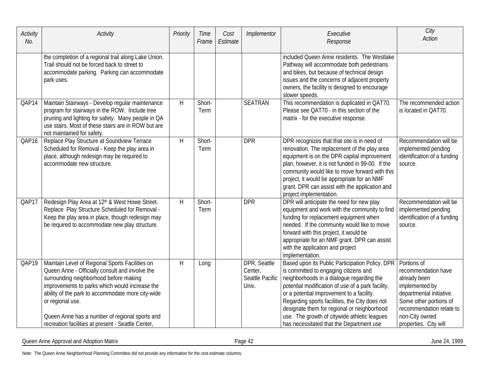| Activity<br>No. | Activity                                                                                                                                                                                                                                                                                                                                                                        | Priority | Time<br>Frame  | Cost<br>Estimate | Implementor                                         | Executive<br>Response                                                                                                                                                                                                                                                                                                                                                                                                                | City<br><b>Action</b>                                                                                                                                                                             |
|-----------------|---------------------------------------------------------------------------------------------------------------------------------------------------------------------------------------------------------------------------------------------------------------------------------------------------------------------------------------------------------------------------------|----------|----------------|------------------|-----------------------------------------------------|--------------------------------------------------------------------------------------------------------------------------------------------------------------------------------------------------------------------------------------------------------------------------------------------------------------------------------------------------------------------------------------------------------------------------------------|---------------------------------------------------------------------------------------------------------------------------------------------------------------------------------------------------|
|                 | the completion of a regional trail along Lake Union.<br>Trail should not be forced back to street to<br>accommodate parking. Parking can accommodate<br>park uses.                                                                                                                                                                                                              |          |                |                  |                                                     | included Queen Anne residents. The Westlake<br>Pathway will accommodate both pedestrians<br>and bikes, but because of technical design<br>issues and the concerns of adjacent property<br>owners, the facility is designed to encourage<br>slower speeds.                                                                                                                                                                            |                                                                                                                                                                                                   |
| QAP14           | Maintain Stairways - Develop regular maintenance<br>program for stairways in the ROW. Include tree<br>pruning and lighting for safety. Many people in QA<br>use stairs. Most of these stairs are in ROW but are<br>not maintained for safety.                                                                                                                                   | H        | Short-<br>Term |                  | <b>SEATRAN</b>                                      | This recommendation is duplicated in QAT70.<br>Please see QAT70 - in this section of the<br>matrix - for the executive response.                                                                                                                                                                                                                                                                                                     | The recommended action<br>is located in QAT70.                                                                                                                                                    |
| QAP16           | Replace Play Structure at Soundview Terrace<br>Scheduled for Removal - Keep the play area in<br>place, although redesign may be required to<br>accommodate new structure.                                                                                                                                                                                                       | H        | Short-<br>Term |                  | <b>DPR</b>                                          | DPR recognizes that that site is in need of<br>renovation. The replacement of the play area<br>equipment is on the DPR capital improvement<br>plan, however, it is not funded in 99-00. If the<br>community would like to move forward with this<br>project, it would be appropriate for an NMF<br>grant. DPR can assist with the application and<br>project implementation.                                                         | Recommendation will be<br>implemented pending<br>identification of a funding<br>source.                                                                                                           |
| QAP17           | Redesign Play Area at 12th & West Howe Street.<br>Replace Play Structure Scheduled for Removal -<br>Keep the play area in place, though redesign may<br>be required to accommodate new play structure.                                                                                                                                                                          | H        | Short-<br>Term |                  | <b>DPR</b>                                          | DPR will anticipate the need for new play<br>equipment and work with the community to find<br>funding for replacement equipment when<br>needed. If the community would like to move<br>forward with this project, it would be<br>appropriate for an NMF grant. DPR can assist<br>with the application and project<br>implementation.                                                                                                 | Recommendation will be<br>implemented pending<br>identification of a funding<br>source.                                                                                                           |
| QAP19           | Maintain Level of Regional Sports Facilities on<br>Queen Anne - Officially consult and involve the<br>surrounding neighborhood before making<br>improvements to parks which would increase the<br>ability of the park to accommodate more city-wide<br>or regional use.<br>Queen Anne has a number of regional sports and<br>recreation facilities at present - Seattle Center, | H        | Long           |                  | DPR, Seattle<br>Center,<br>Seattle Pacific<br>Univ. | Based upon its Public Participation Policy, DPR<br>is committed to engaging citizens and<br>neighborhoods in a dialogue regarding the<br>potential modification of use of a park facility,<br>or a potential improvement to a facility.<br>Regarding sports facilities, the City does not<br>designate them for regional or neighborhood<br>use. The growth of citywide athletic leagues<br>has necessitated that the Department use | Portions of<br>recommendation have<br>already been<br>implemented by<br>departmental initiative.<br>Some other portions of<br>recommendation relate to<br>non-City owned<br>properties. City will |

Queen Anne Approval and Adoption Matrix **Contract Contract Contract Contract Contract Contract Contract Contract Contract Contract Contract Contract Contract Contract Contract Contract Contract Contract Contract Contract C**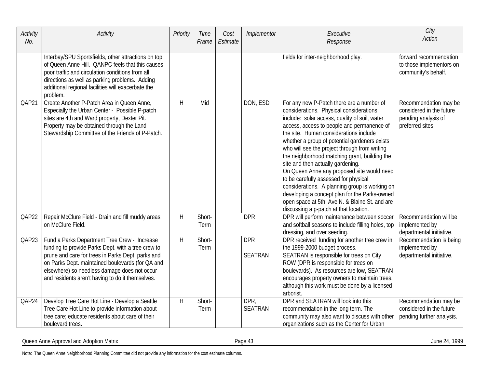| Activity<br>No. | Activity                                                                                                                                                                                                                                                                                                        | Priority | Time<br>Frame         | Cost<br>Estimate | Implementor                  | Executive<br>Response                                                                                                                                                                                                                                                                                                                                                                                                                                                                                                                                                                                                                                                                                      | City<br><b>Action</b>                                                                        |
|-----------------|-----------------------------------------------------------------------------------------------------------------------------------------------------------------------------------------------------------------------------------------------------------------------------------------------------------------|----------|-----------------------|------------------|------------------------------|------------------------------------------------------------------------------------------------------------------------------------------------------------------------------------------------------------------------------------------------------------------------------------------------------------------------------------------------------------------------------------------------------------------------------------------------------------------------------------------------------------------------------------------------------------------------------------------------------------------------------------------------------------------------------------------------------------|----------------------------------------------------------------------------------------------|
|                 | Interbay/SPU Sportsfields, other attractions on top<br>of Queen Anne Hill. QANPC feels that this causes<br>poor traffic and circulation conditions from all<br>directions as well as parking problems. Adding<br>additional regional facilities will exacerbate the<br>problem.                                 |          |                       |                  |                              | fields for inter-neighborhood play.                                                                                                                                                                                                                                                                                                                                                                                                                                                                                                                                                                                                                                                                        | forward recommendation<br>to those implementors on<br>community's behalf.                    |
| QAP21           | Create Another P-Patch Area in Queen Anne,<br>Especially the Urban Center - Possible P-patch<br>sites are 4th and Ward property, Dexter Pit.<br>Property may be obtained through the Land<br>Stewardship Committee of the Friends of P-Patch.                                                                   | H        | Mid                   |                  | DON, ESD                     | For any new P-Patch there are a number of<br>considerations. Physical considerations<br>include: solar access, quality of soil, water<br>access, access to people and permanence of<br>the site. Human considerations include<br>whether a group of potential gardeners exists<br>who will see the project through from writing<br>the neighborhood matching grant, building the<br>site and then actually gardening.<br>On Queen Anne any proposed site would need<br>to be carefully assessed for physical<br>considerations. A planning group is working on<br>developing a concept plan for the Parks-owned<br>open space at 5th Ave N. & Blaine St. and are<br>discussing a p-patch at that location. | Recommendation may be<br>considered in the future<br>pending analysis of<br>preferred sites. |
| QAP22           | Repair McClure Field - Drain and fill muddy areas<br>on McClure Field.                                                                                                                                                                                                                                          | H        | Short-<br>Term        |                  | <b>DPR</b>                   | DPR will perform maintenance between soccer<br>and softball seasons to include filling holes, top<br>dressing, and over seeding.                                                                                                                                                                                                                                                                                                                                                                                                                                                                                                                                                                           | Recommendation will be<br>implemented by<br>departmental initiative.                         |
| QAP23           | Fund a Parks Department Tree Crew - Increase<br>funding to provide Parks Dept. with a tree crew to<br>prune and care for trees in Parks Dept. parks and<br>on Parks Dept. maintained boulevards (for QA and<br>elsewhere) so needless damage does not occur<br>and residents aren't having to do it themselves. | H        | Short-<br>Term        |                  | <b>DPR</b><br><b>SEATRAN</b> | DPR received funding for another tree crew in<br>the 1999-2000 budget process.<br>SEATRAN is responsible for trees on City<br>ROW (DPR is responsible for trees on<br>boulevards). As resources are low, SEATRAN<br>encourages property owners to maintain trees,<br>although this work must be done by a licensed<br>arborist.                                                                                                                                                                                                                                                                                                                                                                            | Recommendation is being<br>implemented by<br>departmental initiative.                        |
| QAP24           | Develop Tree Care Hot Line - Develop a Seattle<br>Tree Care Hot Line to provide information about<br>tree care; educate residents about care of their<br>boulevard trees.                                                                                                                                       | H        | Short-<br><b>Term</b> |                  | DPR,<br><b>SEATRAN</b>       | DPR and SEATRAN will look into this<br>recommendation in the long term. The<br>community may also want to discuss with other<br>organizations such as the Center for Urban                                                                                                                                                                                                                                                                                                                                                                                                                                                                                                                                 | Recommendation may be<br>considered in the future<br>pending further analysis.               |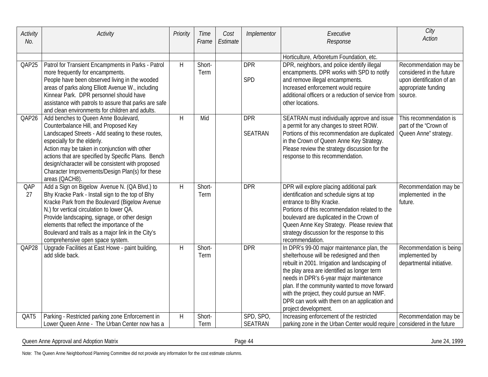| Activity<br>No. | Activity                                                                                                                                                                                                                                                                                                                                                                                            | Priority | Time<br>Frame  | Cost<br>Estimate | Implementor                  | Executive<br>Response                                                                                                                                                                                                                                                                                                                                                                                      | City<br><b>Action</b>                                                                                 |
|-----------------|-----------------------------------------------------------------------------------------------------------------------------------------------------------------------------------------------------------------------------------------------------------------------------------------------------------------------------------------------------------------------------------------------------|----------|----------------|------------------|------------------------------|------------------------------------------------------------------------------------------------------------------------------------------------------------------------------------------------------------------------------------------------------------------------------------------------------------------------------------------------------------------------------------------------------------|-------------------------------------------------------------------------------------------------------|
| QAP25           | Patrol for Transient Encampments in Parks - Patrol<br>more frequently for encampments.<br>People have been observed living in the wooded<br>areas of parks along Elliott Avenue W., including                                                                                                                                                                                                       | H        | Short-<br>Term |                  | <b>DPR</b><br>SPD            | Horticulture, Arboretum Foundation, etc.<br>DPR, neighbors, and police identify illegal<br>encampments. DPR works with SPD to notify<br>and remove illegal encampments.<br>Increased enforcement would require                                                                                                                                                                                             | Recommendation may be<br>considered in the future<br>upon identification of an<br>appropriate funding |
|                 | Kinnear Park. DPR personnel should have<br>assistance with patrols to assure that parks are safe<br>and clean environments for children and adults.                                                                                                                                                                                                                                                 |          |                |                  |                              | additional officers or a reduction of service from<br>other locations.                                                                                                                                                                                                                                                                                                                                     | source.                                                                                               |
| QAP26           | Add benches to Queen Anne Boulevard,<br>Counterbalance Hill, and Proposed Key<br>Landscaped Streets - Add seating to these routes,<br>especially for the elderly.<br>Action may be taken in conjunction with other<br>actions that are specified by Specific Plans. Bench<br>design/character will be consistent with proposed<br>Character Improvements/Design Plan(s) for these<br>areas (QACH8). | H        | Mid            |                  | <b>DPR</b><br><b>SEATRAN</b> | SEATRAN must individually approve and issue<br>a permit for any changes to street ROW.<br>Portions of this recommendation are duplicated<br>in the Crown of Queen Anne Key Strategy.<br>Please review the strategy discussion for the<br>response to this recommendation.                                                                                                                                  | This recommendation is<br>part of the "Crown of<br>Queen Anne" strategy.                              |
| QAP<br>27       | Add a Sign on Bigelow Avenue N. (QA Blvd.) to<br>Bhy Kracke Park - Install sign to the top of Bhy<br>Kracke Park from the Boulevard (Bigelow Avenue<br>N.) for vertical circulation to lower QA.<br>Provide landscaping, signage, or other design<br>elements that reflect the importance of the<br>Boulevard and trails as a major link in the City's<br>comprehensive open space system.          | H        | Short-<br>Term |                  | <b>DPR</b>                   | DPR will explore placing additional park<br>identification and schedule signs at top<br>entrance to Bhy Kracke.<br>Portions of this recommendation related to the<br>boulevard are duplicated in the Crown of<br>Queen Anne Key Strategy. Please review that<br>strategy discussion for the response to this<br>recommendation.                                                                            | Recommendation may be<br>implemented in the<br>future.                                                |
| QAP28           | Upgrade Facilities at East Howe - paint building,<br>add slide back.                                                                                                                                                                                                                                                                                                                                | H        | Short-<br>Term |                  | <b>DPR</b>                   | In DPR's 99-00 major maintenance plan, the<br>shelterhouse will be redesigned and then<br>rebuilt in 2001. Irrigation and landscaping of<br>the play area are identified as longer term<br>needs in DPR's 6-year major maintenance<br>plan. If the community wanted to move forward<br>with the project, they could pursue an NMF.<br>DPR can work with them on an application and<br>project development. | Recommendation is being<br>implemented by<br>departmental initiative.                                 |
| QAT5            | Parking - Restricted parking zone Enforcement in<br>Lower Queen Anne - The Urban Center now has a                                                                                                                                                                                                                                                                                                   | H        | Short-<br>Term |                  | SPD, SPO,<br><b>SEATRAN</b>  | Increasing enforcement of the restricted<br>parking zone in the Urban Center would require                                                                                                                                                                                                                                                                                                                 | Recommendation may be<br>considered in the future                                                     |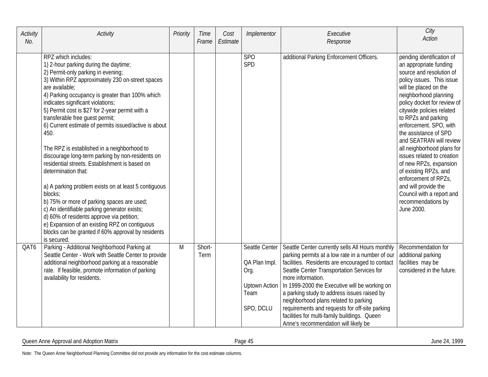| Activity<br>No. | Activity                                                                                                                                                                                                                                                                                                                                                                                                                                                                                                                                                                                                                                                                                                                                                                                                                                                                                                                                | Priority | Time<br>Frame  | Cost<br>Estimate | Implementor                                                                          | Executive<br>Response                                                                                                                                                                                                                                                                                                                                                                                                                                                                                         | City<br><b>Action</b>                                                                                                                                                                                                                                                                                                                                                                                                                                                                                                                                           |
|-----------------|-----------------------------------------------------------------------------------------------------------------------------------------------------------------------------------------------------------------------------------------------------------------------------------------------------------------------------------------------------------------------------------------------------------------------------------------------------------------------------------------------------------------------------------------------------------------------------------------------------------------------------------------------------------------------------------------------------------------------------------------------------------------------------------------------------------------------------------------------------------------------------------------------------------------------------------------|----------|----------------|------------------|--------------------------------------------------------------------------------------|---------------------------------------------------------------------------------------------------------------------------------------------------------------------------------------------------------------------------------------------------------------------------------------------------------------------------------------------------------------------------------------------------------------------------------------------------------------------------------------------------------------|-----------------------------------------------------------------------------------------------------------------------------------------------------------------------------------------------------------------------------------------------------------------------------------------------------------------------------------------------------------------------------------------------------------------------------------------------------------------------------------------------------------------------------------------------------------------|
|                 | RPZ which includes:<br>1) 2-hour parking during the daytime;<br>2) Permit-only parking in evening;<br>3) Within RPZ approximately 230 on-street spaces<br>are available;<br>4) Parking occupancy is greater than 100% which<br>indicates significant violations;<br>5) Permit cost is \$27 for 2-year permit with a<br>transferable free guest permit;<br>6) Current estimate of permits issued/active is about<br>450.<br>The RPZ is established in a neighborhood to<br>discourage long-term parking by non-residents on<br>residential streets. Establishment is based on<br>determination that:<br>a) A parking problem exists on at least 5 contiguous<br>blocks;<br>b) 75% or more of parking spaces are used;<br>c) An identifiable parking generator exists;<br>d) 60% of residents approve via petition;<br>e) Expansion of an existing RPZ on contiguous<br>blocks can be granted if 60% approval by residents<br>is secured. |          |                |                  | <b>SPO</b><br>SPD                                                                    | additional Parking Enforcement Officers.                                                                                                                                                                                                                                                                                                                                                                                                                                                                      | pending identification of<br>an appropriate funding<br>source and resolution of<br>policy issues. This issue<br>will be placed on the<br>neighborhood planning<br>policy docket for review of<br>citywide policies related<br>to RPZs and parking<br>enforcement. SPO, with<br>the assistance of SPD<br>and SEATRAN will review<br>all neighborhood plans for<br>issues related to creation<br>of new RPZs, expansion<br>of existing RPZs, and<br>enforcement of RPZs,<br>and will provide the<br>Council with a report and<br>recommendations by<br>June 2000. |
| QAT6            | Parking - Additional Neighborhood Parking at<br>Seattle Center - Work with Seattle Center to provide<br>additional neighborhood parking at a reasonable<br>rate. If feasible, promote information of parking<br>availability for residents.                                                                                                                                                                                                                                                                                                                                                                                                                                                                                                                                                                                                                                                                                             | M        | Short-<br>Term |                  | Seattle Center<br>QA Plan Impl.<br>Org.<br><b>Uptown Action</b><br>Team<br>SPO, DCLU | Seattle Center currently sells All Hours monthly<br>parking permits at a low rate in a number of our<br>facilities. Residents are encouraged to contact<br>Seattle Center Transportation Services for<br>more information.<br>In 1999-2000 the Executive will be working on<br>a parking study to address issues raised by<br>neighborhood plans related to parking<br>requirements and requests for off-site parking<br>facilities for multi-family buildings. Queen<br>Anne's recommendation will likely be | Recommendation for<br>additional parking<br>facilities may be<br>considered in the future.                                                                                                                                                                                                                                                                                                                                                                                                                                                                      |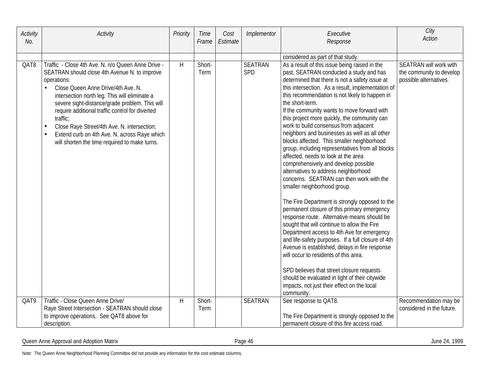| Activity<br>No. | Activity                                                                                                                                                                                                                                                                                                                                                                                                                                                                                                          | Priority     | Time<br>Frame  | Cost<br>Estimate | Implementor                  | Executive<br>Response                                                                                                                                                                                                                                                                                                                                                                                                                                                                                                                                                                                                                                                                                                                                                                                                                                                                                                                                                                                                                                                                                                                                                                                                                             | City<br><b>Action</b>                                                        |
|-----------------|-------------------------------------------------------------------------------------------------------------------------------------------------------------------------------------------------------------------------------------------------------------------------------------------------------------------------------------------------------------------------------------------------------------------------------------------------------------------------------------------------------------------|--------------|----------------|------------------|------------------------------|---------------------------------------------------------------------------------------------------------------------------------------------------------------------------------------------------------------------------------------------------------------------------------------------------------------------------------------------------------------------------------------------------------------------------------------------------------------------------------------------------------------------------------------------------------------------------------------------------------------------------------------------------------------------------------------------------------------------------------------------------------------------------------------------------------------------------------------------------------------------------------------------------------------------------------------------------------------------------------------------------------------------------------------------------------------------------------------------------------------------------------------------------------------------------------------------------------------------------------------------------|------------------------------------------------------------------------------|
|                 |                                                                                                                                                                                                                                                                                                                                                                                                                                                                                                                   |              |                |                  |                              |                                                                                                                                                                                                                                                                                                                                                                                                                                                                                                                                                                                                                                                                                                                                                                                                                                                                                                                                                                                                                                                                                                                                                                                                                                                   |                                                                              |
| QAT8            | Traffic - Close 4th Ave. N. n/o Queen Anne Drive -<br>SEATRAN should close 4th Avenue N. to improve<br>operations:<br>Close Queen Anne Drive/4th Ave. N.<br>$\bullet$<br>intersection north leg. This will eliminate a<br>severe sight-distance/grade problem. This will<br>require additional traffic control for diverted<br>traffic:<br>Close Raye Street/4th Ave. N. intersection;<br>$\bullet$<br>Extend curb on 4th Ave. N. across Raye which<br>$\bullet$<br>will shorten the time required to make turns. | H            | Short-<br>Term |                  | <b>SEATRAN</b><br><b>SPD</b> | considered as part of that study.<br>As a result of this issue being raised in the<br>past, SEATRAN conducted a study and has<br>determined that there is not a safety issue at<br>this intersection. As a result, implementation of<br>this recommendation is not likely to happen in<br>the short-term.<br>If the community wants to move forward with<br>this project more quickly, the community can<br>work to build consensus from adjacent<br>neighbors and businesses as well as all other<br>blocks affected. This smaller neighborhood<br>group, including representatives from all blocks<br>affected, needs to look at the area<br>comprehensively and develop possible<br>alternatives to address neighborhood<br>concerns. SEATRAN can then work with the<br>smaller neighborhood group.<br>The Fire Department is strongly opposed to the<br>permanent closure of this primary emergency<br>response route. Alternative means should be<br>sought that will continue to allow the Fire<br>Department access to 4th Ave for emergency<br>and life-safety purposes. If a full closure of 4th<br>Avenue is established, delays in fire response<br>will occur to residents of this area.<br>SPD believes that street closure requests | SEATRAN will work with<br>the community to develop<br>possible alternatives. |
|                 |                                                                                                                                                                                                                                                                                                                                                                                                                                                                                                                   |              |                |                  |                              | should be evaluated in light of their citywide                                                                                                                                                                                                                                                                                                                                                                                                                                                                                                                                                                                                                                                                                                                                                                                                                                                                                                                                                                                                                                                                                                                                                                                                    |                                                                              |
|                 |                                                                                                                                                                                                                                                                                                                                                                                                                                                                                                                   |              |                |                  |                              | impacts, not just their effect on the local<br>community.                                                                                                                                                                                                                                                                                                                                                                                                                                                                                                                                                                                                                                                                                                                                                                                                                                                                                                                                                                                                                                                                                                                                                                                         |                                                                              |
| QAT9            | Traffic - Close Queen Anne Drive/                                                                                                                                                                                                                                                                                                                                                                                                                                                                                 | $\mathsf{H}$ | Short-         |                  | <b>SEATRAN</b>               | See response to QAT8.                                                                                                                                                                                                                                                                                                                                                                                                                                                                                                                                                                                                                                                                                                                                                                                                                                                                                                                                                                                                                                                                                                                                                                                                                             | Recommendation may be                                                        |
|                 | Raye Street Intersection - SEATRAN should close                                                                                                                                                                                                                                                                                                                                                                                                                                                                   |              | Term           |                  |                              |                                                                                                                                                                                                                                                                                                                                                                                                                                                                                                                                                                                                                                                                                                                                                                                                                                                                                                                                                                                                                                                                                                                                                                                                                                                   | considered in the future.                                                    |
|                 | to improve operations. See QAT8 above for                                                                                                                                                                                                                                                                                                                                                                                                                                                                         |              |                |                  |                              | The Fire Department is strongly opposed to the                                                                                                                                                                                                                                                                                                                                                                                                                                                                                                                                                                                                                                                                                                                                                                                                                                                                                                                                                                                                                                                                                                                                                                                                    |                                                                              |
|                 | description.                                                                                                                                                                                                                                                                                                                                                                                                                                                                                                      |              |                |                  |                              | permanent closure of this fire access road.                                                                                                                                                                                                                                                                                                                                                                                                                                                                                                                                                                                                                                                                                                                                                                                                                                                                                                                                                                                                                                                                                                                                                                                                       |                                                                              |

Queen Anne Approval and Adoption Matrix **Contract Contract Contract Contract Contract Contract Contract Contract Contract Contract Contract Contract Contract Contract Contract Contract Contract Contract Contract Contract C**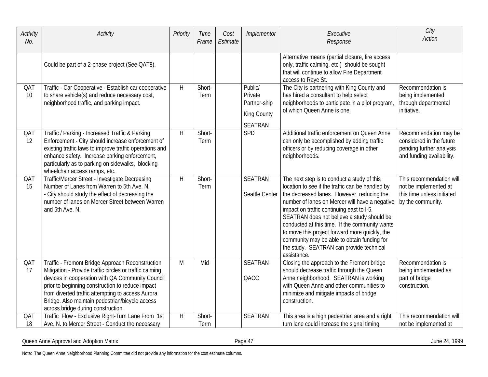| Activity<br>No. | Activity                                                                                                                                                                                                                                                                                                                                                          | Priority | Time<br>Frame  | Cost<br>Estimate | Implementor                                                                | Executive<br>Response                                                                                                                                                                                                                                                                                                                                                                                                                                                                                    | City<br><b>Action</b>                                                                                      |
|-----------------|-------------------------------------------------------------------------------------------------------------------------------------------------------------------------------------------------------------------------------------------------------------------------------------------------------------------------------------------------------------------|----------|----------------|------------------|----------------------------------------------------------------------------|----------------------------------------------------------------------------------------------------------------------------------------------------------------------------------------------------------------------------------------------------------------------------------------------------------------------------------------------------------------------------------------------------------------------------------------------------------------------------------------------------------|------------------------------------------------------------------------------------------------------------|
|                 | Could be part of a 2-phase project (See QAT8).                                                                                                                                                                                                                                                                                                                    |          |                |                  |                                                                            | Alternative means (partial closure, fire access<br>only, traffic calming, etc.) should be sought<br>that will continue to allow Fire Department<br>access to Raye St.                                                                                                                                                                                                                                                                                                                                    |                                                                                                            |
| QAT<br>10       | Traffic - Car Cooperative - Establish car cooperative<br>to share vehicle(s) and reduce necessary cost,<br>neighborhood traffic, and parking impact.                                                                                                                                                                                                              | H        | Short-<br>Term |                  | Public/<br>Private<br>Partner-ship<br><b>King County</b><br><b>SEATRAN</b> | The City is partnering with King County and<br>has hired a consultant to help select<br>neighborhoods to participate in a pilot program,<br>of which Queen Anne is one.                                                                                                                                                                                                                                                                                                                                  | Recommendation is<br>being implemented<br>through departmental<br>initiative.                              |
| QAT<br>12       | Traffic / Parking - Increased Traffic & Parking<br>Enforcement - City should increase enforcement of<br>existing traffic laws to improve traffic operations and<br>enhance safety. Increase parking enforcement,<br>particularly as to parking on sidewalks, blocking<br>wheelchair access ramps, etc.                                                            | H        | Short-<br>Term |                  | SPD                                                                        | Additional traffic enforcement on Queen Anne<br>can only be accomplished by adding traffic<br>officers or by reducing coverage in other<br>neighborhoods.                                                                                                                                                                                                                                                                                                                                                | Recommendation may be<br>considered in the future<br>pending further analysis<br>and funding availability. |
| QAT<br>15       | Traffic/Mercer Street - Investigate Decreasing<br>Number of Lanes from Warren to 5th Ave. N.<br>- City should study the effect of decreasing the<br>number of lanes on Mercer Street between Warren<br>and 5th Ave. N.                                                                                                                                            | H        | Short-<br>Term |                  | <b>SEATRAN</b><br>Seattle Center                                           | The next step is to conduct a study of this<br>location to see if the traffic can be handled by<br>the decreased lanes. However, reducing the<br>number of lanes on Mercer will have a negative<br>impact on traffic continuing east to I-5.<br>SEATRAN does not believe a study should be<br>conducted at this time. If the community wants<br>to move this project forward more quickly, the<br>community may be able to obtain funding for<br>the study. SEATRAN can provide technical<br>assistance. | This recommendation will<br>not be implemented at<br>this time unless initiated<br>by the community.       |
| QAT<br>17       | Traffic - Fremont Bridge Approach Reconstruction<br>Mitigation - Provide traffic circles or traffic calming<br>devices in cooperation with QA Community Council<br>prior to beginning construction to reduce impact<br>from diverted traffic attempting to access Aurora<br>Bridge. Also maintain pedestrian/bicycle access<br>across bridge during construction. | M        | Mid            |                  | <b>SEATRAN</b><br>QACC                                                     | Closing the approach to the Fremont bridge<br>should decrease traffic through the Queen<br>Anne neighborhood. SEATRAN is working<br>with Queen Anne and other communities to<br>minimize and mitigate impacts of bridge<br>construction.                                                                                                                                                                                                                                                                 | Recommendation is<br>being implemented as<br>part of bridge<br>construction.                               |
| QAT<br>18       | Traffic Flow - Exclusive Right-Turn Lane From 1st<br>Ave. N. to Mercer Street - Conduct the necessary                                                                                                                                                                                                                                                             | H        | Short-<br>Term |                  | <b>SEATRAN</b>                                                             | This area is a high pedestrian area and a right<br>turn lane could increase the signal timing                                                                                                                                                                                                                                                                                                                                                                                                            | This recommendation will<br>not be implemented at                                                          |

Queen Anne Approval and Adoption Matrix **Exercise 24, 1999** Page 47 June 24, 1999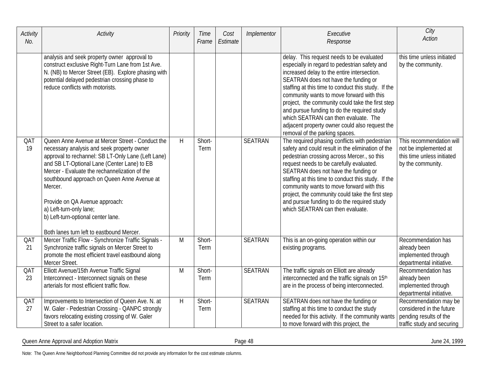| Activity<br>No. | Activity                                                                                                                                                                                                                                                                                                                                                                                                                                                       | Priority | Time<br>Frame  | Cost<br>Estimate | Implementor    | Executive<br>Response                                                                                                                                                                                                                                                                                                                                                                                                                                                                                                | City<br><b>Action</b>                                                                                     |
|-----------------|----------------------------------------------------------------------------------------------------------------------------------------------------------------------------------------------------------------------------------------------------------------------------------------------------------------------------------------------------------------------------------------------------------------------------------------------------------------|----------|----------------|------------------|----------------|----------------------------------------------------------------------------------------------------------------------------------------------------------------------------------------------------------------------------------------------------------------------------------------------------------------------------------------------------------------------------------------------------------------------------------------------------------------------------------------------------------------------|-----------------------------------------------------------------------------------------------------------|
|                 | analysis and seek property owner approval to<br>construct exclusive Right-Turn Lane from 1st Ave.<br>N. (NB) to Mercer Street (EB). Explore phasing with<br>potential delayed pedestrian crossing phase to<br>reduce conflicts with motorists.                                                                                                                                                                                                                 |          |                |                  |                | delay. This request needs to be evaluated<br>especially in regard to pedestrian safety and<br>increased delay to the entire intersection.<br>SEATRAN does not have the funding or<br>staffing at this time to conduct this study. If the<br>community wants to move forward with this<br>project, the community could take the first step<br>and pursue funding to do the required study<br>which SEATRAN can then evaluate. The<br>adjacent property owner could also request the<br>removal of the parking spaces. | this time unless initiated<br>by the community.                                                           |
| QAT<br>19       | Queen Anne Avenue at Mercer Street - Conduct the<br>necessary analysis and seek property owner<br>approval to rechannel: SB LT-Only Lane (Left Lane)<br>and SB LT-Optional Lane (Center Lane) to EB<br>Mercer - Evaluate the rechannelization of the<br>southbound approach on Queen Anne Avenue at<br>Mercer.<br>Provide on QA Avenue approach:<br>a) Left-turn-only lane;<br>b) Left-turn-optional center lane.<br>Both lanes turn left to eastbound Mercer. | H        | Short-<br>Term |                  | <b>SEATRAN</b> | The required phasing conflicts with pedestrian<br>safety and could result in the elimination of the<br>pedestrian crossing across Mercer., so this<br>request needs to be carefully evaluated.<br>SEATRAN does not have the funding or<br>staffing at this time to conduct this study. If the<br>community wants to move forward with this<br>project, the community could take the first step<br>and pursue funding to do the required study<br>which SEATRAN can then evaluate.                                    | This recommendation will<br>not be implemented at<br>this time unless initiated<br>by the community.      |
| QAT<br>21       | Mercer Traffic Flow - Synchronize Traffic Signals -<br>Synchronize traffic signals on Mercer Street to<br>promote the most efficient travel eastbound along<br>Mercer Street.                                                                                                                                                                                                                                                                                  | M        | Short-<br>Term |                  | <b>SEATRAN</b> | This is an on-going operation within our<br>existing programs.                                                                                                                                                                                                                                                                                                                                                                                                                                                       | Recommendation has<br>already been<br>implemented through<br>departmental initiative.                     |
| QAT<br>23       | Elliott Avenue/15th Avenue Traffic Signal<br>Interconnect - Interconnect signals on these<br>arterials for most efficient traffic flow.                                                                                                                                                                                                                                                                                                                        | M        | Short-<br>Term |                  | <b>SEATRAN</b> | The traffic signals on Elliott are already<br>interconnected and the traffic signals on 15th<br>are in the process of being interconnected.                                                                                                                                                                                                                                                                                                                                                                          | Recommendation has<br>already been<br>implemented through<br>departmental initiative.                     |
| QAT<br>27       | Improvements to Intersection of Queen Ave. N. at<br>W. Galer - Pedestrian Crossing - QANPC strongly<br>favors relocating existing crossing of W. Galer<br>Street to a safer location.                                                                                                                                                                                                                                                                          | H        | Short-<br>Term |                  | <b>SEATRAN</b> | SEATRAN does not have the funding or<br>staffing at this time to conduct the study<br>needed for this activity. If the community wants<br>to move forward with this project, the                                                                                                                                                                                                                                                                                                                                     | Recommendation may be<br>considered in the future<br>pending results of the<br>traffic study and securing |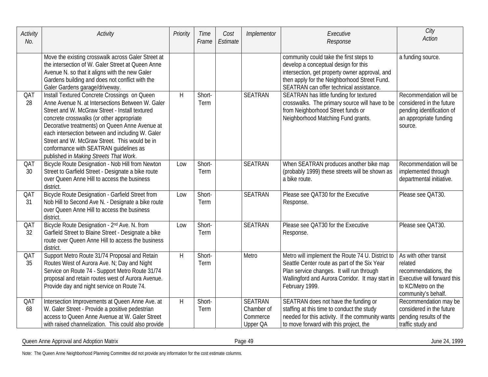| Activity<br>No. | Activity                                                                                                                                                                                                                                                                                                                                                                                                                                   | Priority     | Time<br>Frame  | Cost<br>Estimate | Implementor                                          | Executive<br>Response                                                                                                                                                                                                        | City<br><b>Action</b>                                                                                                                |
|-----------------|--------------------------------------------------------------------------------------------------------------------------------------------------------------------------------------------------------------------------------------------------------------------------------------------------------------------------------------------------------------------------------------------------------------------------------------------|--------------|----------------|------------------|------------------------------------------------------|------------------------------------------------------------------------------------------------------------------------------------------------------------------------------------------------------------------------------|--------------------------------------------------------------------------------------------------------------------------------------|
|                 | Move the existing crosswalk across Galer Street at<br>the intersection of W. Galer Street at Queen Anne<br>Avenue N. so that it aligns with the new Galer<br>Gardens building and does not conflict with the<br>Galer Gardens garage/driveway.                                                                                                                                                                                             |              |                |                  |                                                      | community could take the first steps to<br>develop a conceptual design for this<br>intersection, get property owner approval, and<br>then apply for the Neighborhood Street Fund.<br>SEATRAN can offer technical assistance. | a funding source.                                                                                                                    |
| QAT<br>28       | Install Textured Concrete Crossings on Queen<br>Anne Avenue N. at Intersections Between W. Galer<br>Street and W. McGraw Street - Install textured<br>concrete crosswalks (or other appropriate<br>Decorative treatments) on Queen Anne Avenue at<br>each intersection between and including W. Galer<br>Street and W. McGraw Street. This would be in<br>conformance with SEATRAN guidelines as<br>published in Making Streets That Work. | $\mathsf{H}$ | Short-<br>Term |                  | <b>SEATRAN</b>                                       | SEATRAN has little funding for textured<br>crosswalks. The primary source will have to be<br>from Neighborhood Street funds or<br>Neighborhood Matching Fund grants.                                                         | Recommendation will be<br>considered in the future<br>pending identification of<br>an appropriate funding<br>source.                 |
| QAT<br>30       | Bicycle Route Designation - Nob Hill from Newton<br>Street to Garfield Street - Designate a bike route<br>over Queen Anne Hill to access the business<br>district.                                                                                                                                                                                                                                                                         | Low          | Short-<br>Term |                  | <b>SEATRAN</b>                                       | When SEATRAN produces another bike map<br>(probably 1999) these streets will be shown as<br>a bike route.                                                                                                                    | Recommendation will be<br>implemented through<br>departmental initiative.                                                            |
| QAT<br>31       | Bicycle Route Designation - Garfield Street from<br>Nob Hill to Second Ave N. - Designate a bike route<br>over Queen Anne Hill to access the business<br>district.                                                                                                                                                                                                                                                                         | Low          | Short-<br>Term |                  | <b>SEATRAN</b>                                       | Please see QAT30 for the Executive<br>Response.                                                                                                                                                                              | Please see QAT30.                                                                                                                    |
| QAT<br>32       | Bicycle Route Designation - 2 <sup>nd</sup> Ave. N. from<br>Garfield Street to Blaine Street - Designate a bike<br>route over Queen Anne Hill to access the business<br>district.                                                                                                                                                                                                                                                          | Low          | Short-<br>Term |                  | <b>SEATRAN</b>                                       | Please see QAT30 for the Executive<br>Response.                                                                                                                                                                              | Please see QAT30.                                                                                                                    |
| QAT<br>35       | Support Metro Route 31/74 Proposal and Retain<br>Routes West of Aurora Ave. N; Day and Night<br>Service on Route 74 - Support Metro Route 31/74<br>proposal and retain routes west of Aurora Avenue.<br>Provide day and night service on Route 74.                                                                                                                                                                                         | H            | Short-<br>Term |                  | Metro                                                | Metro will implement the Route 74 U. District to<br>Seattle Center route as part of the Six Year<br>Plan service changes. It will run through<br>Wallingford and Aurora Corridor. It may start in<br>February 1999.          | As with other transit<br>related<br>recommendations, the<br>Executive will forward this<br>to KC/Metro on the<br>community's behalf. |
| QAT<br>68       | Intersection Improvements at Queen Anne Ave. at<br>W. Galer Street - Provide a positive pedestrian<br>access to Queen Anne Avenue at W. Galer Street<br>with raised channelization. This could also provide                                                                                                                                                                                                                                | $\mathsf{H}$ | Short-<br>Term |                  | <b>SEATRAN</b><br>Chamber of<br>Commerce<br>Upper QA | SEATRAN does not have the funding or<br>staffing at this time to conduct the study<br>needed for this activity. If the community wants<br>to move forward with this project, the                                             | Recommendation may be<br>considered in the future<br>pending results of the<br>traffic study and                                     |

Queen Anne Approval and Adoption Matrix **Exercise 24, 1999** Page 49 June 24, 1999 June 24, 1999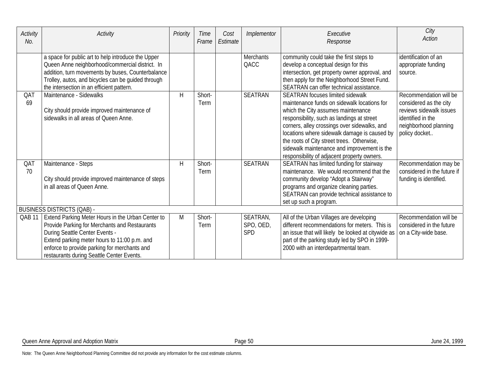| <b>Activity</b><br>No. | Activity                                                                                                                                                                                                                                                                          | Priority | Time<br>Frame  | Cost<br>Estimate | Implementor                         | Executive<br>Response                                                                                                                                                                                                                                                                                                                                                                                                  | City<br>Action                                                                                                                             |
|------------------------|-----------------------------------------------------------------------------------------------------------------------------------------------------------------------------------------------------------------------------------------------------------------------------------|----------|----------------|------------------|-------------------------------------|------------------------------------------------------------------------------------------------------------------------------------------------------------------------------------------------------------------------------------------------------------------------------------------------------------------------------------------------------------------------------------------------------------------------|--------------------------------------------------------------------------------------------------------------------------------------------|
|                        | a space for public art to help introduce the Upper<br>Queen Anne neighborhood/commercial district. In<br>addition, turn movements by buses, Counterbalance<br>Trolley, autos, and bicycles can be guided through<br>the intersection in an efficient pattern.                     |          |                |                  | <b>Merchants</b><br>QACC            | community could take the first steps to<br>develop a conceptual design for this<br>intersection, get property owner approval, and<br>then apply for the Neighborhood Street Fund.<br>SEATRAN can offer technical assistance.                                                                                                                                                                                           | identification of an<br>appropriate funding<br>source.                                                                                     |
| QAT<br>69              | Maintenance - Sidewalks<br>City should provide improved maintenance of<br>sidewalks in all areas of Queen Anne.                                                                                                                                                                   | H        | Short-<br>Term |                  | <b>SEATRAN</b>                      | <b>SEATRAN</b> focuses limited sidewalk<br>maintenance funds on sidewalk locations for<br>which the City assumes maintenance<br>responsibility, such as landings at street<br>corners, alley crossings over sidewalks, and<br>locations where sidewalk damage is caused by<br>the roots of City street trees. Otherwise,<br>sidewalk maintenance and improvement is the<br>responsibility of adjacent property owners. | Recommendation will be<br>considered as the city<br>reviews sidewalk issues<br>identified in the<br>neighborhood planning<br>policy docket |
| QAT<br>70              | Maintenance - Steps<br>City should provide improved maintenance of steps<br>in all areas of Queen Anne.                                                                                                                                                                           | H        | Short-<br>Term |                  | <b>SEATRAN</b>                      | SEATRAN has limited funding for stairway<br>maintenance. We would recommend that the<br>community develop "Adopt a Stairway"<br>programs and organize cleaning parties.<br>SEATRAN can provide technical assistance to<br>set up such a program.                                                                                                                                                                       | Recommendation may be<br>considered in the future if<br>funding is identified.                                                             |
|                        | <b>BUSINESS DISTRICTS (QAB) -</b>                                                                                                                                                                                                                                                 |          |                |                  |                                     |                                                                                                                                                                                                                                                                                                                                                                                                                        |                                                                                                                                            |
| QAB <sub>11</sub>      | Extend Parking Meter Hours in the Urban Center to<br>Provide Parking for Merchants and Restaurants<br>During Seattle Center Events -<br>Extend parking meter hours to 11:00 p.m. and<br>enforce to provide parking for merchants and<br>restaurants during Seattle Center Events. | M        | Short-<br>Term |                  | SEATRAN,<br>SPO, OED,<br><b>SPD</b> | All of the Urban Villages are developing<br>different recommendations for meters. This is<br>an issue that will likely be looked at citywide as<br>part of the parking study led by SPO in 1999-<br>2000 with an interdepartmental team.                                                                                                                                                                               | Recommendation will be<br>considered in the future<br>on a City-wide base.                                                                 |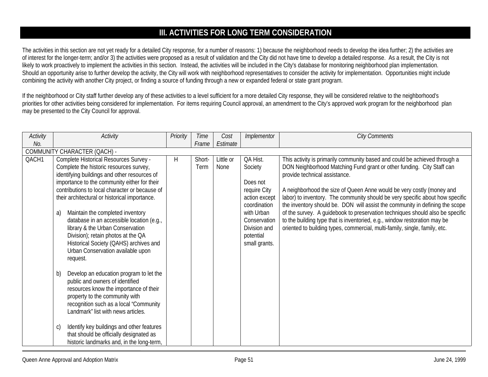# **III. ACTIVITIES FOR LONG TERM CONSIDERATION**

The activities in this section are not yet ready for a detailed City response, for a number of reasons: 1) because the neighborhood needs to develop the idea further; 2) the activities are of interest for the longer-term; and/or 3) the activities were proposed as a result of validation and the City did not have time to develop a detailed response. As a result, the City is not likely to work proactively to implement the activities in this section. Instead, the activities will be included in the City's database for monitoring neighborhood plan implementation. Should an opportunity arise to further develop the activity, the City will work with neighborhood representatives to consider the activity for implementation. Opportunities might include combining the activity with another City project, or finding a source of funding through a new or expanded federal or state grant program.

If the neighborhood or City staff further develop any of these activities to a level sufficient for a more detailed City response, they will be considered relative to the neighborhood's priorities for other activities being considered for implementation. For items requiring Council approval, an amendment to the City's approved work program for the neighborhood plan may be presented to the City Council for approval.

| Activity | Activity                                        | Priority | <b>Time</b> | Cost      | Implementor   | <b>City Comments</b>                                                          |
|----------|-------------------------------------------------|----------|-------------|-----------|---------------|-------------------------------------------------------------------------------|
| No.      |                                                 |          | Frame       | Estimate  |               |                                                                               |
|          | COMMUNITY CHARACTER (QACH) -                    |          |             |           |               |                                                                               |
| QACH1    | Complete Historical Resources Survey -          | H        | Short-      | Little or | QA Hist.      | This activity is primarily community based and could be achieved through a    |
|          | Complete the historic resources survey,         |          | Term        | None      | Society       | DON Neighborhood Matching Fund grant or other funding. City Staff can         |
|          | identifying buildings and other resources of    |          |             |           |               | provide technical assistance.                                                 |
|          | importance to the community either for their    |          |             |           | Does not      |                                                                               |
|          | contributions to local character or because of  |          |             |           | require City  | A neighborhood the size of Queen Anne would be very costly (money and         |
|          | their architectural or historical importance.   |          |             |           | action except | labor) to inventory. The community should be very specific about how specific |
|          |                                                 |          |             |           | coordination  | the inventory should be. DON will assist the community in defining the scope  |
|          | Maintain the completed inventory<br>a)          |          |             |           | with Urban    | of the survey. A guidebook to preservation techniques should also be specific |
|          | database in an accessible location (e.g.,       |          |             |           | Conservation  | to the building type that is inventoried, e.g., window restoration may be     |
|          | library & the Urban Conservation                |          |             |           | Division and  | oriented to building types, commercial, multi-family, single, family, etc.    |
|          | Division); retain photos at the QA              |          |             |           | potential     |                                                                               |
|          | Historical Society (QAHS) archives and          |          |             |           | small grants. |                                                                               |
|          | Urban Conservation available upon               |          |             |           |               |                                                                               |
|          | request.                                        |          |             |           |               |                                                                               |
|          | Develop an education program to let the<br>b)   |          |             |           |               |                                                                               |
|          | public and owners of identified                 |          |             |           |               |                                                                               |
|          | resources know the importance of their          |          |             |           |               |                                                                               |
|          | property to the community with                  |          |             |           |               |                                                                               |
|          | recognition such as a local "Community          |          |             |           |               |                                                                               |
|          | Landmark" list with news articles.              |          |             |           |               |                                                                               |
|          |                                                 |          |             |           |               |                                                                               |
|          | Identify key buildings and other features<br>C) |          |             |           |               |                                                                               |
|          | that should be officially designated as         |          |             |           |               |                                                                               |
|          | historic landmarks and, in the long-term,       |          |             |           |               |                                                                               |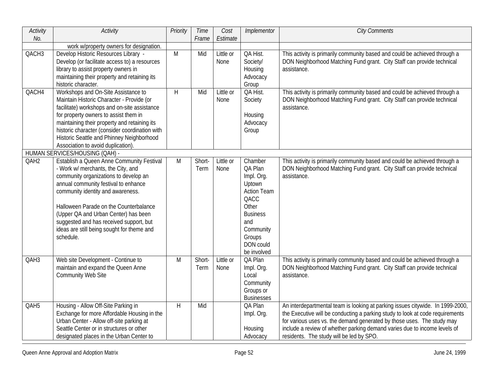| Activity<br>No.   | <b>Activity</b>                                                                                                                                                                                                                                                                                                                                                                               | Priority     | <b>Time</b><br>Frame | Cost<br>Estimate  | Implementor                                                                                                                                                    | <b>City Comments</b>                                                                                                                                                                                                                                                                                                                                               |
|-------------------|-----------------------------------------------------------------------------------------------------------------------------------------------------------------------------------------------------------------------------------------------------------------------------------------------------------------------------------------------------------------------------------------------|--------------|----------------------|-------------------|----------------------------------------------------------------------------------------------------------------------------------------------------------------|--------------------------------------------------------------------------------------------------------------------------------------------------------------------------------------------------------------------------------------------------------------------------------------------------------------------------------------------------------------------|
|                   | work w/property owners for designation.                                                                                                                                                                                                                                                                                                                                                       |              |                      |                   |                                                                                                                                                                |                                                                                                                                                                                                                                                                                                                                                                    |
| QACH <sub>3</sub> | Develop Historic Resources Library -<br>Develop (or facilitate access to) a resources<br>library to assist property owners in<br>maintaining their property and retaining its<br>historic character.                                                                                                                                                                                          | M            | Mid                  | Little or<br>None | QA Hist.<br>Society/<br>Housing<br>Advocacy<br>Group                                                                                                           | This activity is primarily community based and could be achieved through a<br>DON Neighborhood Matching Fund grant. City Staff can provide technical<br>assistance.                                                                                                                                                                                                |
| QACH4             | Workshops and On-Site Assistance to<br>Maintain Historic Character - Provide (or<br>facilitate) workshops and on-site assistance<br>for property owners to assist them in<br>maintaining their property and retaining its<br>historic character (consider coordination with<br>Historic Seattle and Phinney Neighborhood<br>Association to avoid duplication).                                | H            | Mid                  | Little or<br>None | QA Hist.<br>Society<br>Housing<br>Advocacy<br>Group                                                                                                            | This activity is primarily community based and could be achieved through a<br>DON Neighborhood Matching Fund grant. City Staff can provide technical<br>assistance.                                                                                                                                                                                                |
|                   | HUMAN SERVICES/HOUSING (QAH) -                                                                                                                                                                                                                                                                                                                                                                |              |                      |                   |                                                                                                                                                                |                                                                                                                                                                                                                                                                                                                                                                    |
| QAH <sub>2</sub>  | Establish a Queen Anne Community Festival<br>- Work w/ merchants, the City, and<br>community organizations to develop an<br>annual community festival to enhance<br>community identity and awareness.<br>Halloween Parade on the Counterbalance<br>(Upper QA and Urban Center) has been<br>suggested and has received support, but<br>ideas are still being sought for theme and<br>schedule. | M            | Short-<br>Term       | Little or<br>None | Chamber<br>QA Plan<br>Impl. Org.<br>Uptown<br><b>Action Team</b><br>QACC<br>Other<br><b>Business</b><br>and<br>Community<br>Groups<br>DON could<br>be involved | This activity is primarily community based and could be achieved through a<br>DON Neighborhood Matching Fund grant. City Staff can provide technical<br>assistance.                                                                                                                                                                                                |
| QAH3              | Web site Development - Continue to<br>maintain and expand the Queen Anne<br><b>Community Web Site</b>                                                                                                                                                                                                                                                                                         | M            | Short-<br>Term       | Little or<br>None | QA Plan<br>Impl. Org.<br>Local<br>Community<br>Groups or<br><b>Businesses</b>                                                                                  | This activity is primarily community based and could be achieved through a<br>DON Neighborhood Matching Fund grant. City Staff can provide technical<br>assistance.                                                                                                                                                                                                |
| QAH5              | Housing - Allow Off-Site Parking in<br>Exchange for more Affordable Housing in the<br>Urban Center - Allow off-site parking at<br>Seattle Center or in structures or other<br>designated places in the Urban Center to                                                                                                                                                                        | $\mathsf{H}$ | Mid                  |                   | QA Plan<br>Impl. Org.<br>Housing<br>Advocacy                                                                                                                   | An interdepartmental team is looking at parking issues citywide. In 1999-2000,<br>the Executive will be conducting a parking study to look at code requirements<br>for various uses vs. the demand generated by those uses. The study may<br>include a review of whether parking demand varies due to income levels of<br>residents. The study will be led by SPO. |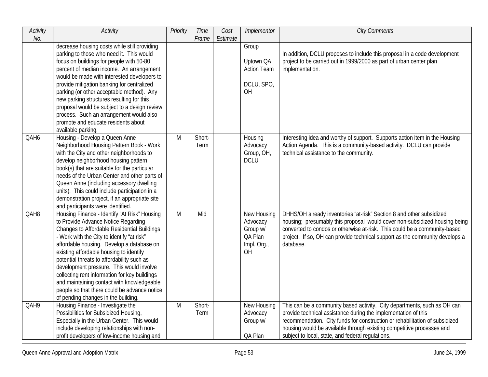| Activity         | Activity                                                                                                                                                                                                                                                                                                                                                                                                                                                                                                                                                        | Priority       | Time           | Cost     | Implementor                                                         | <b>City Comments</b>                                                                                                                                                                                                                                                                                                                                    |
|------------------|-----------------------------------------------------------------------------------------------------------------------------------------------------------------------------------------------------------------------------------------------------------------------------------------------------------------------------------------------------------------------------------------------------------------------------------------------------------------------------------------------------------------------------------------------------------------|----------------|----------------|----------|---------------------------------------------------------------------|---------------------------------------------------------------------------------------------------------------------------------------------------------------------------------------------------------------------------------------------------------------------------------------------------------------------------------------------------------|
| No.              |                                                                                                                                                                                                                                                                                                                                                                                                                                                                                                                                                                 |                | Frame          | Estimate |                                                                     |                                                                                                                                                                                                                                                                                                                                                         |
|                  | decrease housing costs while still providing<br>parking to those who need it. This would<br>focus on buildings for people with 50-80<br>percent of median income. An arrangement<br>would be made with interested developers to<br>provide mitigation banking for centralized<br>parking (or other acceptable method). Any<br>new parking structures resulting for this<br>proposal would be subject to a design review<br>process. Such an arrangement would also<br>promote and educate residents about<br>available parking.                                 |                |                |          | Group<br>Uptown QA<br><b>Action Team</b><br>DCLU, SPO,<br>OH        | In addition, DCLU proposes to include this proposal in a code development<br>project to be carried out in 1999/2000 as part of urban center plan<br>implementation.                                                                                                                                                                                     |
| QAH6             | Housing - Develop a Queen Anne<br>Neighborhood Housing Pattern Book - Work<br>with the City and other neighborhoods to<br>develop neighborhood housing pattern<br>book(s) that are suitable for the particular<br>needs of the Urban Center and other parts of<br>Queen Anne (including accessory dwelling<br>units). This could include participation in a<br>demonstration project, if an appropriate site<br>and participants were identified.                                                                                                               | M              | Short-<br>Term |          | Housing<br>Advocacy<br>Group, OH,<br><b>DCLU</b>                    | Interesting idea and worthy of support. Supports action item in the Housing<br>Action Agenda. This is a community-based activity. DCLU can provide<br>technical assistance to the community.                                                                                                                                                            |
| QAH <sub>8</sub> | Housing Finance - Identify "At Risk" Housing<br>to Provide Advance Notice Regarding<br><b>Changes to Affordable Residential Buildings</b><br>- Work with the City to identify "at risk"<br>affordable housing. Develop a database on<br>existing affordable housing to identify<br>potential threats to affordability such as<br>development pressure. This would involve<br>collecting rent information for key buildings<br>and maintaining contact with knowledgeable<br>people so that there could be advance notice<br>of pending changes in the building. | $\overline{M}$ | Mid            |          | New Housing<br>Advocacy<br>Group w/<br>QA Plan<br>Impl. Org.,<br>OH | DHHS/OH already inventories "at-risk" Section 8 and other subsidized<br>housing; presumably this proposal would cover non-subsidized housing being<br>converted to condos or otherwise at-risk. This could be a community-based<br>project. If so, OH can provide technical support as the community develops a<br>database.                            |
| QAH9             | Housing Finance - Investigate the<br>Possibilities for Subsidized Housing,<br>Especially in the Urban Center. This would<br>include developing relationships with non-<br>profit developers of low-income housing and                                                                                                                                                                                                                                                                                                                                           | M              | Short-<br>Term |          | New Housing<br>Advocacy<br>Group w/<br>QA Plan                      | This can be a community based activity. City departments, such as OH can<br>provide technical assistance during the implementation of this<br>recommendation. City funds for construction or rehabilitation of subsidized<br>housing would be available through existing competitive processes and<br>subject to local, state, and federal regulations. |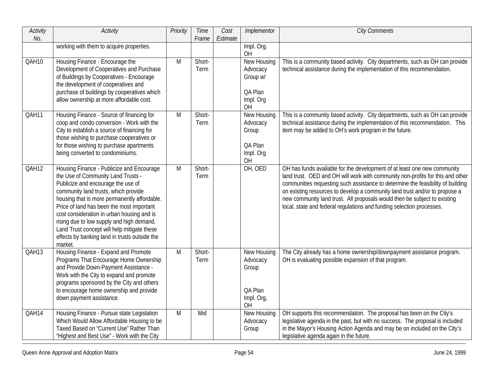| Activity<br>No. | Activity                                                                                                                                                                                                                                                                                                                                                                                                                                                         | Priority | Time<br>Frame  | Cost<br>Estimate | Implementor                                                       | <b>City Comments</b>                                                                                                                                                                                                                                                                                                                                                                                                                                                               |
|-----------------|------------------------------------------------------------------------------------------------------------------------------------------------------------------------------------------------------------------------------------------------------------------------------------------------------------------------------------------------------------------------------------------------------------------------------------------------------------------|----------|----------------|------------------|-------------------------------------------------------------------|------------------------------------------------------------------------------------------------------------------------------------------------------------------------------------------------------------------------------------------------------------------------------------------------------------------------------------------------------------------------------------------------------------------------------------------------------------------------------------|
|                 | working with them to acquire properties.                                                                                                                                                                                                                                                                                                                                                                                                                         |          |                |                  | Impl. Org.<br><b>OH</b>                                           |                                                                                                                                                                                                                                                                                                                                                                                                                                                                                    |
| QAH10           | Housing Finance - Encourage the<br>Development of Cooperatives and Purchase<br>of Buildings by Cooperatives - Encourage<br>the development of cooperatives and<br>purchase of buildings by cooperatives which<br>allow ownership at more affordable cost.                                                                                                                                                                                                        | M        | Short-<br>Term |                  | New Housing<br>Advocacy<br>Group w/<br>QA Plan<br>Impl. Org<br>OH | This is a community based activity. City departments, such as OH can provide<br>technical assistance during the implementation of this recommendation.                                                                                                                                                                                                                                                                                                                             |
| QAH11           | Housing Finance - Source of financing for<br>coop and condo conversion - Work with the<br>City to establish a source of financing for<br>those wishing to purchase cooperatives or<br>for those wishing to purchase apartments<br>being converted to condominiums.                                                                                                                                                                                               | M        | Short-<br>Term |                  | New Housing<br>Advocacy<br>Group<br>QA Plan<br>Impl. Org<br>OH    | This is a community based activity. City departments, such as OH can provide<br>technical assistance during the implementation of this recommendation. This<br>item may be added to OH's work program in the future.                                                                                                                                                                                                                                                               |
| QAH12           | Housing Finance - Publicize and Encourage<br>the Use of Community Land Trusts -<br>Publicize and encourage the use of<br>community land trusts, which provide<br>housing that is more permanently affordable.<br>Price of land has been the most important<br>cost consideration in urban housing and is<br>rising due to low supply and high demand.<br>Land Trust concept will help mitigate these<br>effects by banking land in trusts outside the<br>market. | M        | Short-<br>Term |                  | OH, OED                                                           | OH has funds available for the development of at least one new community<br>land trust. OED and OH will work with community non-profits for this and other<br>communities requesting such assistance to determine the feasibility of building<br>on existing resources to develop a community land trust and/or to propose a<br>new community land trust. All proposals would then be subject to existing<br>local, state and federal regulations and funding selection processes. |
| QAH13           | Housing Finance - Expand and Promote<br>Programs That Encourage Home Ownership<br>and Provide Down-Payment Assistance -<br>Work with the City to expand and promote<br>programs sponsored by the City and others<br>to encourage home ownership and provide<br>down payment assistance.                                                                                                                                                                          | M        | Short-<br>Term |                  | New Housing<br>Advocacy<br>Group<br>QA Plan<br>Impl. Org,<br>OH   | The City already has a home ownership/downpayment assistance program.<br>OH is evaluating possible expansion of that program.                                                                                                                                                                                                                                                                                                                                                      |
| QAH14           | Housing Finance - Pursue state Legislation<br>Which Would Allow Affordable Housing to be<br>Taxed Based on "Current Use" Rather Than<br>"Highest and Best Use" - Work with the City                                                                                                                                                                                                                                                                              | M        | Mid            |                  | New Housing<br>Advocacy<br>Group                                  | OH supports this recommendation. The proposal has been on the City's<br>legislative agenda in the past, but with no success. The proposal is included<br>in the Mayor's Housing Action Agenda and may be on included on the City's<br>legislative agenda again in the future.                                                                                                                                                                                                      |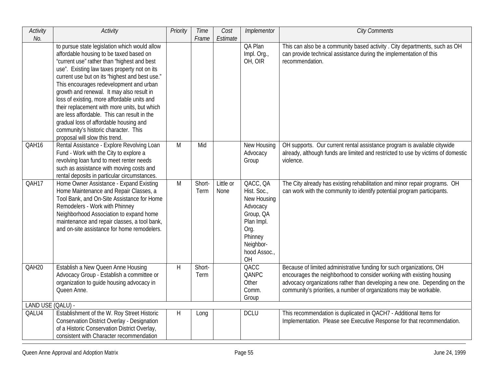| <b>Activity</b>            | <b>Activity</b>                                                                                                                                                                                                                                                                                                                                                                                                                                                                                                                                                                                     | Priority | Time           | Cost              | Implementor                                                                                                                         | <b>City Comments</b>                                                                                                                                                                                                                                                                             |
|----------------------------|-----------------------------------------------------------------------------------------------------------------------------------------------------------------------------------------------------------------------------------------------------------------------------------------------------------------------------------------------------------------------------------------------------------------------------------------------------------------------------------------------------------------------------------------------------------------------------------------------------|----------|----------------|-------------------|-------------------------------------------------------------------------------------------------------------------------------------|--------------------------------------------------------------------------------------------------------------------------------------------------------------------------------------------------------------------------------------------------------------------------------------------------|
| No.                        | to pursue state legislation which would allow<br>affordable housing to be taxed based on<br>"current use" rather than "highest and best<br>use". Existing law taxes property not on its<br>current use but on its "highest and best use."<br>This encourages redevelopment and urban<br>growth and renewal. It may also result in<br>loss of existing, more affordable units and<br>their replacement with more units, but which<br>are less affordable. This can result in the<br>gradual loss of affordable housing and<br>community's historic character. This<br>proposal will slow this trend. |          | Frame          | Estimate          | QA Plan<br>Impl. Org.,<br>OH, OIR                                                                                                   | This can also be a community based activity . City departments, such as OH<br>can provide technical assistance during the implementation of this<br>recommendation.                                                                                                                              |
| QAH16                      | Rental Assistance - Explore Revolving Loan<br>Fund - Work with the City to explore a<br>revolving loan fund to meet renter needs<br>such as assistance with moving costs and<br>rental deposits in particular circumstances.                                                                                                                                                                                                                                                                                                                                                                        | M        | Mid            |                   | New Housing<br>Advocacy<br>Group                                                                                                    | OH supports. Our current rental assistance program is available citywide<br>already, although funds are limited and restricted to use by victims of domestic<br>violence.                                                                                                                        |
| QAH17                      | Home Owner Assistance - Expand Existing<br>Home Maintenance and Repair Classes, a<br>Tool Bank, and On-Site Assistance for Home<br>Remodelers - Work with Phinney<br>Neighborhood Association to expand home<br>maintenance and repair classes, a tool bank,<br>and on-site assistance for home remodelers.                                                                                                                                                                                                                                                                                         | M        | Short-<br>Term | Little or<br>None | QACC, QA<br>Hist. Soc.,<br>New Housing<br>Advocacy<br>Group, QA<br>Plan Impl.<br>Org.<br>Phinney<br>Neighbor-<br>hood Assoc.,<br>OH | The City already has existing rehabilitation and minor repair programs. OH<br>can work with the community to identify potential program participants.                                                                                                                                            |
| QAH20                      | <b>Establish a New Queen Anne Housing</b><br>Advocacy Group - Establish a committee or<br>organization to guide housing advocacy in<br>Queen Anne.                                                                                                                                                                                                                                                                                                                                                                                                                                                  | H        | Short-<br>Term |                   | QACC<br>QANPC<br>Other<br>Comm.<br>Group                                                                                            | Because of limited administrative funding for such organizations, OH<br>encourages the neighborhood to consider working with existing housing<br>advocacy organizations rather than developing a new one. Depending on the<br>community's priorities, a number of organizations may be workable. |
| LAND USE (QALU) -<br>QALU4 | Establishment of the W. Roy Street Historic<br><b>Conservation District Overlay - Designation</b><br>of a Historic Conservation District Overlay,<br>consistent with Character recommendation                                                                                                                                                                                                                                                                                                                                                                                                       | H.       | Long           |                   | <b>DCLU</b>                                                                                                                         | This recommendation is duplicated in QACH7 - Additional Items for<br>Implementation. Please see Executive Response for that recommendation.                                                                                                                                                      |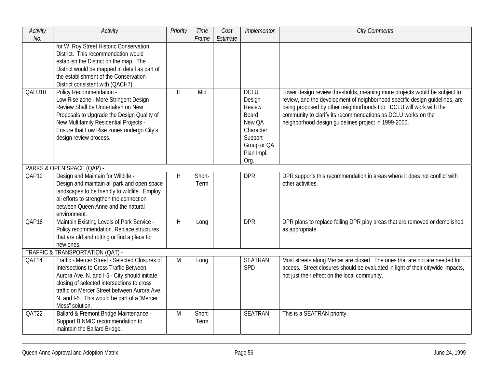| Activity<br>No. | Activity                                                                                                                                                                                                                                                                                                  | Priority | Time<br>Frame  | Cost<br>Estimate | Implementor                                                                                                     | <b>City Comments</b>                                                                                                                                                                                                                                                                                                                                    |
|-----------------|-----------------------------------------------------------------------------------------------------------------------------------------------------------------------------------------------------------------------------------------------------------------------------------------------------------|----------|----------------|------------------|-----------------------------------------------------------------------------------------------------------------|---------------------------------------------------------------------------------------------------------------------------------------------------------------------------------------------------------------------------------------------------------------------------------------------------------------------------------------------------------|
|                 | for W. Roy Street Historic Conservation<br>District. This recommendation would<br>establish the District on the map. The<br>District would be mapped in detail as part of<br>the establishment of the Conservation<br>District consistent with (QACH7).                                                   |          |                |                  |                                                                                                                 |                                                                                                                                                                                                                                                                                                                                                         |
| QALU10          | Policy Recommendation -<br>Low Rise zone - More Stringent Design<br>Review Shall be Undertaken on New<br>Proposals to Upgrade the Design Quality of<br>New Multifamily Residential Projects -<br>Ensure that Low Rise zones undergo City's<br>design review process.                                      | H        | Mid            |                  | <b>DCLU</b><br>Design<br>Review<br>Board<br>New OA<br>Character<br>Support<br>Group or QA<br>Plan Impl.<br>Org. | Lower design review thresholds, meaning more projects would be subject to<br>review, and the development of neighborhood specific design guidelines, are<br>being proposed by other neighborhoods too. DCLU will work with the<br>community to clarify its recommendations as DCLU works on the<br>neighborhood design guidelines project in 1999-2000. |
|                 | PARKS & OPEN SPACE (QAP) -                                                                                                                                                                                                                                                                                |          |                |                  |                                                                                                                 |                                                                                                                                                                                                                                                                                                                                                         |
| QAP12           | Design and Maintain for Wildlife -<br>Design and maintain all park and open space<br>landscapes to be friendly to wildlife. Employ<br>all efforts to strengthen the connection<br>between Queen Anne and the natural<br>environment.                                                                      | H        | Short-<br>Term |                  | <b>DPR</b>                                                                                                      | DPR supports this recommendation in areas where it does not conflict with<br>other activities.                                                                                                                                                                                                                                                          |
| QAP18           | Maintain Existing Levels of Park Service -<br>Policy recommendation. Replace structures<br>that are old and rotting or find a place for<br>new ones.                                                                                                                                                      | H        | Long           |                  | <b>DPR</b>                                                                                                      | DPR plans to replace failing DPR play areas that are removed or demolished<br>as appropriate.                                                                                                                                                                                                                                                           |
|                 | TRAFFIC & TRANSPORTATION (QAT) -                                                                                                                                                                                                                                                                          |          |                |                  |                                                                                                                 |                                                                                                                                                                                                                                                                                                                                                         |
| QAT14           | Traffic - Mercer Street - Selected Closures of<br>Intersections to Cross Traffic Between<br>Aurora Ave. N. and I-5 - City should initiate<br>closing of selected intersections to cross<br>traffic on Mercer Street between Aurora Ave.<br>N. and I-5. This would be part of a "Mercer<br>Mess" solution. | M        | Long           |                  | <b>SEATRAN</b><br>SPD                                                                                           | Most streets along Mercer are closed. The ones that are not are needed for<br>access. Street closures should be evaluated in light of their citywide impacts,<br>not just their effect on the local community.                                                                                                                                          |
| QAT22           | Ballard & Fremont Bridge Maintenance -<br>Support BINMIC recommendation to<br>maintain the Ballard Bridge.                                                                                                                                                                                                | M        | Short-<br>Term |                  | <b>SEATRAN</b>                                                                                                  | This is a SEATRAN priority.                                                                                                                                                                                                                                                                                                                             |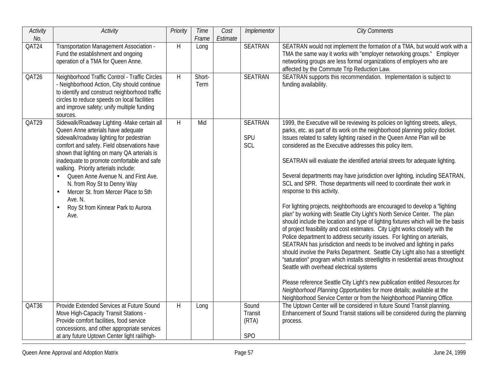| Activity<br>No.    | Activity                                                                                                                                                                                                                                                                                                                                                                                                                                                                                                                       | Priority | Time<br>Frame  | Cost<br>Estimate | Implementor                      | <b>City Comments</b>                                                                                                                                                                                                                                                                                                                                                                                                                                                                                                                                                                                                                                                                                                                                                                                                                                                                                                                                                                                                                                                                                                                                                                                                                                                                                                                                                                                                                                                                                                  |
|--------------------|--------------------------------------------------------------------------------------------------------------------------------------------------------------------------------------------------------------------------------------------------------------------------------------------------------------------------------------------------------------------------------------------------------------------------------------------------------------------------------------------------------------------------------|----------|----------------|------------------|----------------------------------|-----------------------------------------------------------------------------------------------------------------------------------------------------------------------------------------------------------------------------------------------------------------------------------------------------------------------------------------------------------------------------------------------------------------------------------------------------------------------------------------------------------------------------------------------------------------------------------------------------------------------------------------------------------------------------------------------------------------------------------------------------------------------------------------------------------------------------------------------------------------------------------------------------------------------------------------------------------------------------------------------------------------------------------------------------------------------------------------------------------------------------------------------------------------------------------------------------------------------------------------------------------------------------------------------------------------------------------------------------------------------------------------------------------------------------------------------------------------------------------------------------------------------|
| QAT24              | Transportation Management Association -<br>Fund the establishment and ongoing<br>operation of a TMA for Queen Anne.                                                                                                                                                                                                                                                                                                                                                                                                            | H        | Long           |                  | <b>SEATRAN</b>                   | SEATRAN would not implement the formation of a TMA, but would work with a<br>TMA the same way it works with "employer networking groups." Employer<br>networking groups are less formal organizations of employers who are<br>affected by the Commute Trip Reduction Law.                                                                                                                                                                                                                                                                                                                                                                                                                                                                                                                                                                                                                                                                                                                                                                                                                                                                                                                                                                                                                                                                                                                                                                                                                                             |
| QAT26              | Neighborhood Traffic Control - Traffic Circles<br>- Neighborhood Action, City should continue<br>to identify and construct neighborhood traffic<br>circles to reduce speeds on local facilities<br>and improve safety; unify multiple funding<br>sources.                                                                                                                                                                                                                                                                      | H        | Short-<br>Term |                  | <b>SEATRAN</b>                   | SEATRAN supports this recommendation. Implementation is subject to<br>funding availability.                                                                                                                                                                                                                                                                                                                                                                                                                                                                                                                                                                                                                                                                                                                                                                                                                                                                                                                                                                                                                                                                                                                                                                                                                                                                                                                                                                                                                           |
| QAT29              | Sidewalk/Roadway Lighting -Make certain all<br>Queen Anne arterials have adequate<br>sidewalk/roadway lighting for pedestrian<br>comfort and safety. Field observations have<br>shown that lighting on many QA arterials is<br>inadequate to promote comfortable and safe<br>walking. Priority arterials include:<br>Queen Anne Avenue N. and First Ave.<br>$\bullet$<br>N. from Roy St to Denny Way<br>Mercer St. from Mercer Place to 5th<br>$\bullet$<br>Ave. N.<br>Roy St from Kinnear Park to Aurora<br>$\bullet$<br>Ave. | H        | Mid            |                  | <b>SEATRAN</b><br>SPU<br>SCL     | 1999, the Executive will be reviewing its policies on lighting streets, alleys,<br>parks, etc. as part of its work on the neighborhood planning policy docket.<br>Issues related to safety lighting raised in the Queen Anne Plan will be<br>considered as the Executive addresses this policy item.<br>SEATRAN will evaluate the identified arterial streets for adequate lighting.<br>Several departments may have jurisdiction over lighting, including SEATRAN,<br>SCL and SPR. Those departments will need to coordinate their work in<br>response to this activity.<br>For lighting projects, neighborhoods are encouraged to develop a "lighting<br>plan" by working with Seattle City Light's North Service Center. The plan<br>should include the location and type of lighting fixtures which will be the basis<br>of project feasibility and cost estimates. City Light works closely with the<br>Police department to address security issues. For lighting on arterials,<br>SEATRAN has jurisdiction and needs to be involved and lighting in parks<br>should involve the Parks Department. Seattle City Light also has a streetlight<br>"saturation" program which installs streetlights in residential areas throughout<br>Seattle with overhead electrical systems<br>Please reference Seattle City Light's new publication entitled Resources for<br>Neighborhood Planning Opportunities for more details; available at the<br>Neighborhood Service Center or from the Neighborhood Planning Office. |
| $\overline{OAT}36$ | Provide Extended Services at Future Sound<br>Move High-Capacity Transit Stations -<br>Provide comfort facilities, food service<br>concessions, and other appropriate services<br>at any future Uptown Center light rail/high-                                                                                                                                                                                                                                                                                                  | H        | Long           |                  | Sound<br>Transit<br>(RTA)<br>SPO | The Uptown Center will be considered in future Sound Transit planning.<br>Enhancement of Sound Transit stations will be considered during the planning<br>process.                                                                                                                                                                                                                                                                                                                                                                                                                                                                                                                                                                                                                                                                                                                                                                                                                                                                                                                                                                                                                                                                                                                                                                                                                                                                                                                                                    |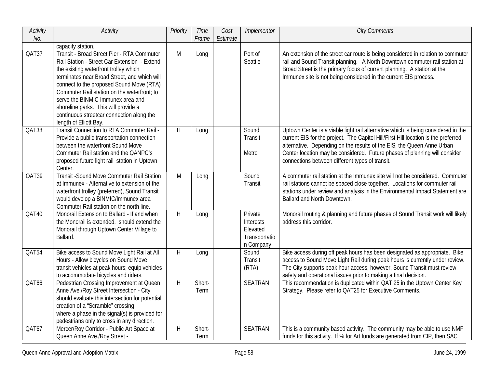| Activity | <b>Activity</b>                                                                                                                                                                                                                                                                                                                                                                                                                    | Priority | Time           | Cost     | Implementor                                                    | <b>City Comments</b>                                                                                                                                                                                                                                                                                                                                                               |
|----------|------------------------------------------------------------------------------------------------------------------------------------------------------------------------------------------------------------------------------------------------------------------------------------------------------------------------------------------------------------------------------------------------------------------------------------|----------|----------------|----------|----------------------------------------------------------------|------------------------------------------------------------------------------------------------------------------------------------------------------------------------------------------------------------------------------------------------------------------------------------------------------------------------------------------------------------------------------------|
| No.      |                                                                                                                                                                                                                                                                                                                                                                                                                                    |          | Frame          | Estimate |                                                                |                                                                                                                                                                                                                                                                                                                                                                                    |
|          | capacity station.                                                                                                                                                                                                                                                                                                                                                                                                                  |          |                |          |                                                                |                                                                                                                                                                                                                                                                                                                                                                                    |
| QAT37    | Transit - Broad Street Pier - RTA Commuter<br>Rail Station - Street Car Extension - Extend<br>the existing waterfront trolley which<br>terminates near Broad Street, and which will<br>connect to the proposed Sound Move (RTA)<br>Commuter Rail station on the waterfront; to<br>serve the BINMIC Immunex area and<br>shoreline parks. This will provide a<br>continuous streetcar connection along the<br>length of Elliott Bay. | M        | Long           |          | Port of<br>Seattle                                             | An extension of the street car route is being considered in relation to commuter<br>rail and Sound Transit planning. A North Downtown commuter rail station at<br>Broad Street is the primary focus of current planning. A station at the<br>Immunex site is not being considered in the current EIS process.                                                                      |
| QAT38    | Transit Connection to RTA Commuter Rail -<br>Provide a public transportation connection<br>between the waterfront Sound Move<br>Commuter Rail station and the QANPC's<br>proposed future light rail station in Uptown<br>Center.                                                                                                                                                                                                   | H        | Long           |          | Sound<br><b>Transit</b><br>Metro                               | Uptown Center is a viable light rail alternative which is being considered in the<br>current EIS for the project. The Capitol Hill/First Hill location is the preferred<br>alternative. Depending on the results of the EIS, the Queen Anne Urban<br>Center location may be considered. Future phases of planning will consider<br>connections between different types of transit. |
| QAT39    | <b>Transit - Sound Move Commuter Rail Station</b><br>at Immunex - Alternative to extension of the<br>waterfront trolley (preferred), Sound Transit<br>would develop a BINMIC/Immunex area<br>Commuter Rail station on the north line.                                                                                                                                                                                              | M        | Long           |          | Sound<br>Transit                                               | A commuter rail station at the Immunex site will not be considered. Commuter<br>rail stations cannot be spaced close together. Locations for commuter rail<br>stations under review and analysis in the Environmental Impact Statement are<br>Ballard and North Downtown.                                                                                                          |
| QAT40    | Monorail Extension to Ballard - If and when<br>the Monorail is extended, should extend the<br>Monorail through Uptown Center Village to<br>Ballard.                                                                                                                                                                                                                                                                                | $\sf H$  | Long           |          | Private<br>Interests<br>Elevated<br>Transportatio<br>n Company | Monorail routing & planning and future phases of Sound Transit work will likely<br>address this corridor.                                                                                                                                                                                                                                                                          |
| QAT54    | Bike access to Sound Move Light Rail at All<br>Hours - Allow bicycles on Sound Move<br>transit vehicles at peak hours; equip vehicles<br>to accommodate bicycles and riders.                                                                                                                                                                                                                                                       | $\sf H$  | Long           |          | Sound<br><b>Transit</b><br>(RTA)                               | Bike access during off peak hours has been designated as appropriate. Bike<br>access to Sound Move Light Rail during peak hours is currently under review.<br>The City supports peak hour access, however, Sound Transit must review<br>safety and operational issues prior to making a final decision.                                                                            |
| QAT66    | Pedestrian Crossing Improvement at Queen<br>Anne Ave./Roy Street Intersection - City<br>should evaluate this intersection for potential<br>creation of a "Scramble" crossing<br>where a phase in the signal(s) is provided for<br>pedestrians only to cross in any direction.                                                                                                                                                      | H        | Short-<br>Term |          | <b>SEATRAN</b>                                                 | This recommendation is duplicated within QAT 25 in the Uptown Center Key<br>Strategy. Please refer to QAT25 for Executive Comments.                                                                                                                                                                                                                                                |
| QAT67    | Mercer/Roy Corridor - Public Art Space at<br>Queen Anne Ave./Roy Street -                                                                                                                                                                                                                                                                                                                                                          | H        | Short-<br>Term |          | <b>SEATRAN</b>                                                 | This is a community based activity. The community may be able to use NMF<br>funds for this activity. If % for Art funds are generated from CIP, then SAC                                                                                                                                                                                                                           |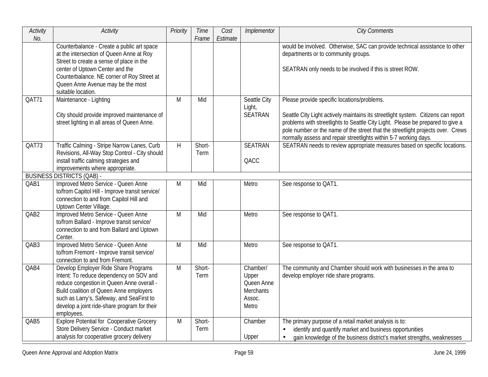| Activity<br>No. | Activity                                                                                                                                                                                                                                                                           | Priority | <b>Time</b><br>Frame | Cost<br>Estimate | Implementor                                                            | <b>City Comments</b>                                                                                                                                                                                                                                                                                                                                                      |
|-----------------|------------------------------------------------------------------------------------------------------------------------------------------------------------------------------------------------------------------------------------------------------------------------------------|----------|----------------------|------------------|------------------------------------------------------------------------|---------------------------------------------------------------------------------------------------------------------------------------------------------------------------------------------------------------------------------------------------------------------------------------------------------------------------------------------------------------------------|
|                 | Counterbalance - Create a public art space<br>at the intersection of Queen Anne at Roy<br>Street to create a sense of place in the<br>center of Uptown Center and the<br>Counterbalance. NE corner of Roy Street at<br>Queen Anne Avenue may be the most<br>suitable location.     |          |                      |                  |                                                                        | would be involved. Otherwise, SAC can provide technical assistance to other<br>departments or to community groups.<br>SEATRAN only needs to be involved if this is street ROW.                                                                                                                                                                                            |
| QAT71           | Maintenance - Lighting<br>City should provide improved maintenance of<br>street lighting in all areas of Queen Anne.                                                                                                                                                               | M        | Mid                  |                  | Seattle City<br>Light,<br><b>SEATRAN</b>                               | Please provide specific locations/problems.<br>Seattle City Light actively maintains its streetlight system. Citizens can report<br>problems with streetlights to Seattle City Light. Please be prepared to give a<br>pole number or the name of the street that the streetlight projects over. Crews<br>normally assess and repair streetlights within 5-7 working days. |
| QAT73           | Traffic Calming - Stripe Narrow Lanes, Curb<br>Revisions, All-Way Stop Control - City should<br>install traffic calming strategies and<br>improvements where appropriate.                                                                                                          | H        | Short-<br>Term       |                  | <b>SEATRAN</b><br>QACC                                                 | SEATRAN needs to review appropriate measures based on specific locations.                                                                                                                                                                                                                                                                                                 |
|                 | <b>BUSINESS DISTRICTS (QAB) -</b>                                                                                                                                                                                                                                                  |          |                      |                  |                                                                        |                                                                                                                                                                                                                                                                                                                                                                           |
| QAB1            | Improved Metro Service - Queen Anne<br>to/from Capitol Hill - Improve transit service/<br>connection to and from Capitol Hill and<br>Uptown Center Village.                                                                                                                        | M        | Mid                  |                  | Metro                                                                  | See response to QAT1.                                                                                                                                                                                                                                                                                                                                                     |
| QAB2            | Improved Metro Service - Queen Anne<br>to/from Ballard - Improve transit service/<br>connection to and from Ballard and Uptown<br>Center.                                                                                                                                          | M        | Mid                  |                  | Metro                                                                  | See response to QAT1.                                                                                                                                                                                                                                                                                                                                                     |
| QAB3            | Improved Metro Service - Queen Anne<br>to/from Fremont - Improve transit service/<br>connection to and from Fremont.                                                                                                                                                               | M        | Mid                  |                  | Metro                                                                  | See response to QAT1.                                                                                                                                                                                                                                                                                                                                                     |
| QAB4            | Develop Employer Ride Share Programs<br>Intent: To reduce dependency on SOV and<br>reduce congestion in Queen Anne overall -<br>Build coalition of Queen Anne employers<br>such as Larry's, Safeway, and SeaFirst to<br>develop a joint ride-share program for their<br>employees. | M        | Short-<br>Term       |                  | Chamber/<br>Upper<br>Queen Anne<br><b>Merchants</b><br>Assoc.<br>Metro | The community and Chamber should work with businesses in the area to<br>develop employer ride share programs.                                                                                                                                                                                                                                                             |
| QAB5            | <b>Explore Potential for Cooperative Grocery</b><br>Store Delivery Service - Conduct market<br>analysis for cooperative grocery delivery                                                                                                                                           | M        | Short-<br>Term       |                  | Chamber<br>Upper                                                       | The primary purpose of a retail market analysis is to:<br>identify and quantify market and business opportunities<br>$\bullet$<br>gain knowledge of the business district's market strengths, weaknesses<br>$\bullet$                                                                                                                                                     |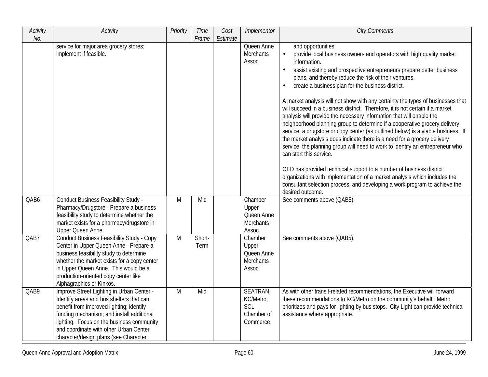| Activity | Activity                                                                                                                                                                                                                                                                                                       | Priority | Time           | Cost     | Implementor                                                  | <b>City Comments</b>                                                                                                                                                                                                                                                                                                                                                                                                                                                                                                                                                                                                                                                                                                                                                                                                                                                                                                                                                                                                                                                                                                                                                       |
|----------|----------------------------------------------------------------------------------------------------------------------------------------------------------------------------------------------------------------------------------------------------------------------------------------------------------------|----------|----------------|----------|--------------------------------------------------------------|----------------------------------------------------------------------------------------------------------------------------------------------------------------------------------------------------------------------------------------------------------------------------------------------------------------------------------------------------------------------------------------------------------------------------------------------------------------------------------------------------------------------------------------------------------------------------------------------------------------------------------------------------------------------------------------------------------------------------------------------------------------------------------------------------------------------------------------------------------------------------------------------------------------------------------------------------------------------------------------------------------------------------------------------------------------------------------------------------------------------------------------------------------------------------|
| No.      |                                                                                                                                                                                                                                                                                                                |          | Frame          | Estimate |                                                              |                                                                                                                                                                                                                                                                                                                                                                                                                                                                                                                                                                                                                                                                                                                                                                                                                                                                                                                                                                                                                                                                                                                                                                            |
|          | service for major area grocery stores;<br>implement if feasible.                                                                                                                                                                                                                                               |          |                |          | Queen Anne<br><b>Merchants</b><br>Assoc.                     | and opportunities.<br>provide local business owners and operators with high quality market<br>information.<br>assist existing and prospective entrepreneurs prepare better business<br>plans, and thereby reduce the risk of their ventures.<br>create a business plan for the business district.<br>$\bullet$<br>A market analysis will not show with any certainty the types of businesses that<br>will succeed in a business district. Therefore, it is not certain if a market<br>analysis will provide the necessary information that will enable the<br>neighborhood planning group to determine if a cooperative grocery delivery<br>service, a drugstore or copy center (as outlined below) is a viable business. If<br>the market analysis does indicate there is a need for a grocery delivery<br>service, the planning group will need to work to identify an entrepreneur who<br>can start this service.<br>OED has provided technical support to a number of business district<br>organizations with implementation of a market analysis which includes the<br>consultant selection process, and developing a work program to achieve the<br>desired outcome. |
| QAB6     | <b>Conduct Business Feasibility Study -</b><br>Pharmacy/Drugstore - Prepare a business<br>feasibility study to determine whether the<br>market exists for a pharmacy/drugstore in<br><b>Upper Queen Anne</b>                                                                                                   | M        | Mid            |          | Chamber<br>Upper<br>Queen Anne<br><b>Merchants</b><br>Assoc. | See comments above (QAB5).                                                                                                                                                                                                                                                                                                                                                                                                                                                                                                                                                                                                                                                                                                                                                                                                                                                                                                                                                                                                                                                                                                                                                 |
| QAB7     | <b>Conduct Business Feasibility Study - Copy</b><br>Center in Upper Queen Anne - Prepare a<br>business feasibility study to determine<br>whether the market exists for a copy center<br>in Upper Queen Anne. This would be a<br>production-oriented copy center like<br>Alphagraphics or Kinkos.               | M        | Short-<br>Term |          | Chamber<br>Upper<br>Queen Anne<br><b>Merchants</b><br>Assoc. | See comments above (QAB5).                                                                                                                                                                                                                                                                                                                                                                                                                                                                                                                                                                                                                                                                                                                                                                                                                                                                                                                                                                                                                                                                                                                                                 |
| QAB9     | Improve Street Lighting in Urban Center -<br>Identify areas and bus shelters that can<br>benefit from improved lighting; identify<br>funding mechanism; and install additional<br>lighting. Focus on the business community<br>and coordinate with other Urban Center<br>character/design plans (see Character | M        | Mid            |          | SEATRAN,<br>KC/Metro,<br>SCL<br>Chamber of<br>Commerce       | As with other transit-related recommendations, the Executive will forward<br>these recommendations to KC/Metro on the community's behalf. Metro<br>prioritizes and pays for lighting by bus stops. City Light can provide technical<br>assistance where appropriate.                                                                                                                                                                                                                                                                                                                                                                                                                                                                                                                                                                                                                                                                                                                                                                                                                                                                                                       |